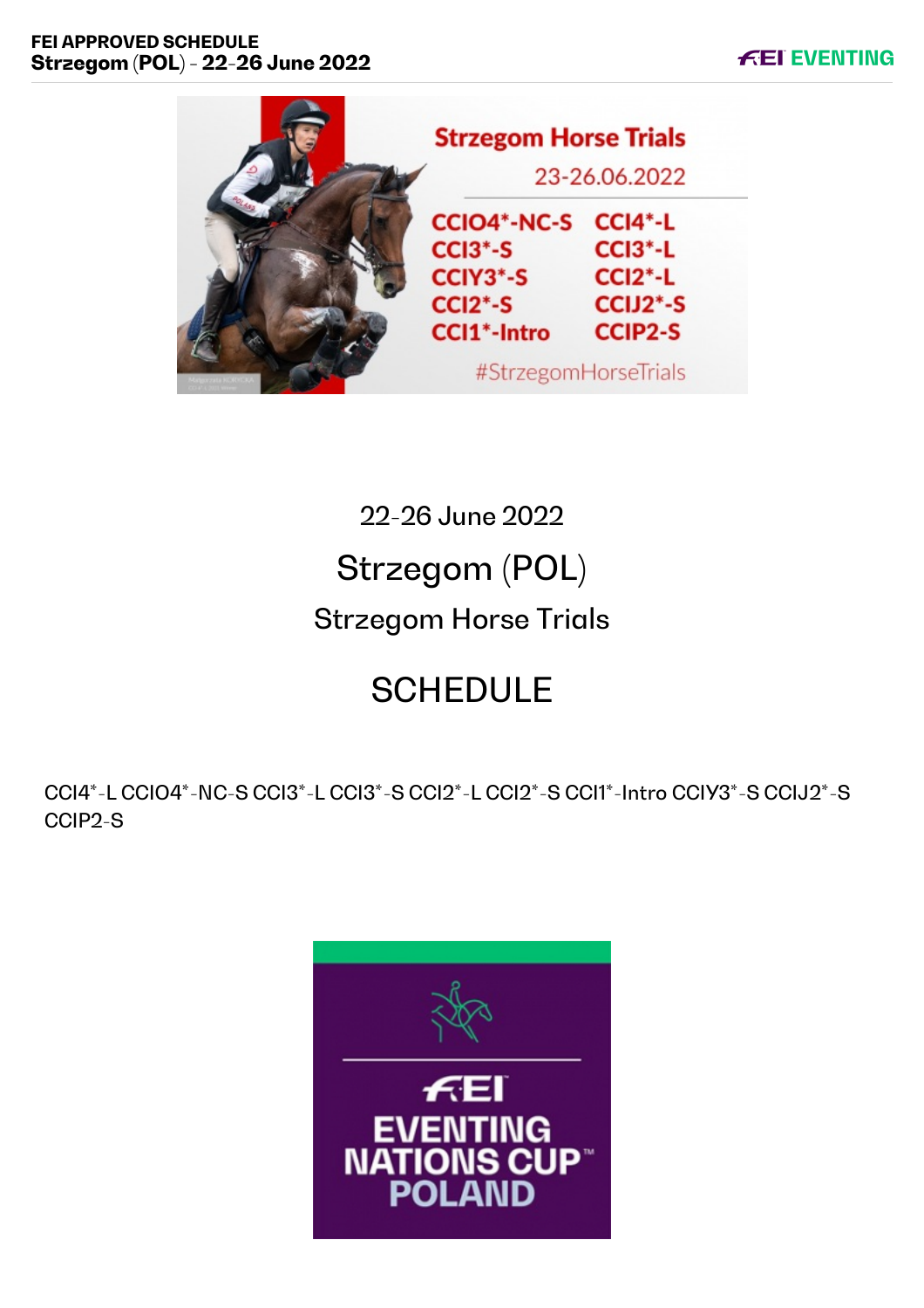



22-26 June 2022 Strzegom (POL) Strzegom Horse Trials

# **SCHEDULE**

CCI4\*-L CCIO4\*-NC-S CCI3\*-L CCI3\*-S CCI2\*-L CCI2\*-S CCI1\*-Intro CCIY3\*-S CCIJ2\*-S CCIP2-S

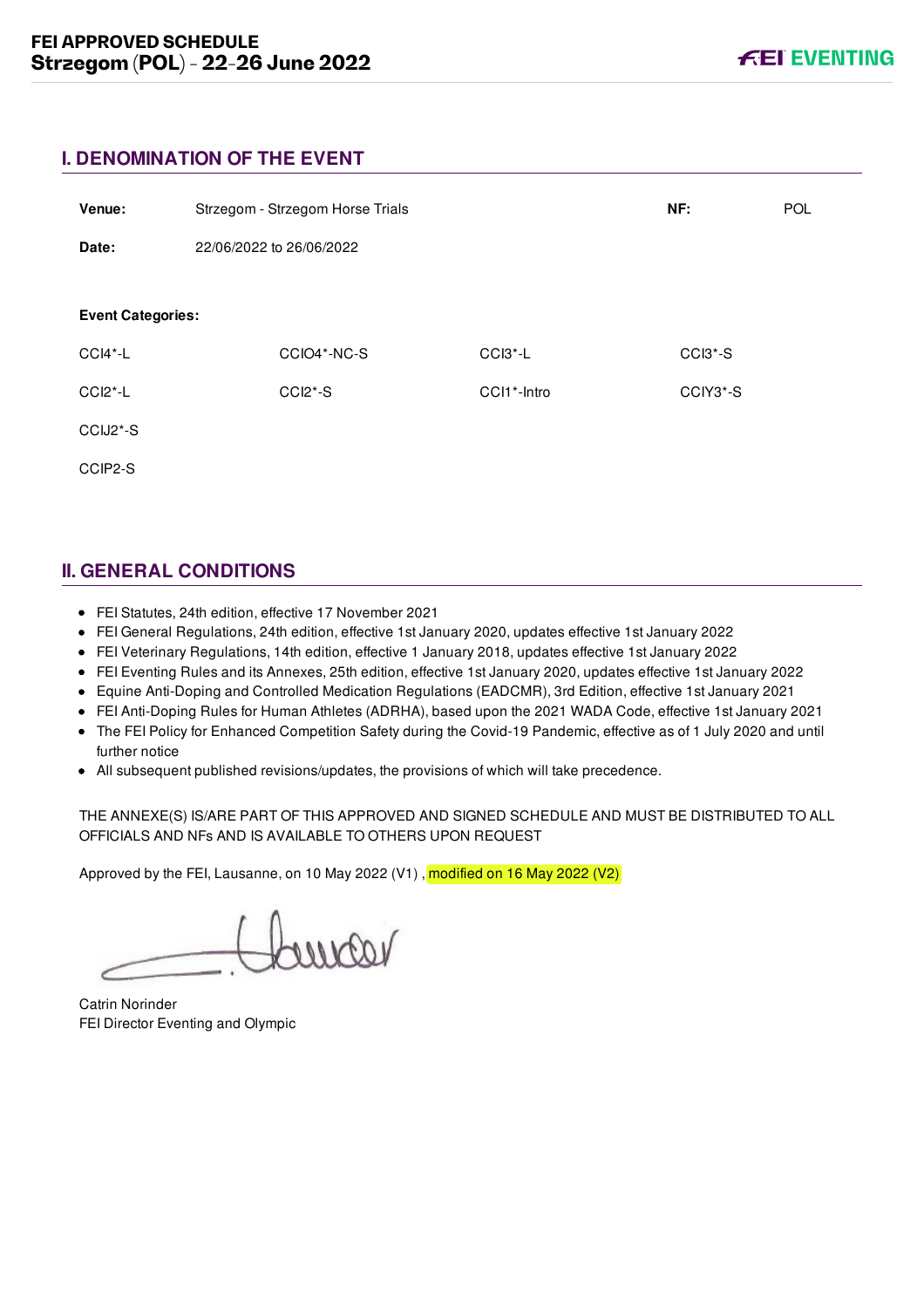### **I. DENOMINATION OF THE EVENT**

| Venue:                   |                          | Strzegom - Strzegom Horse Trials |             | NF:      | POL |
|--------------------------|--------------------------|----------------------------------|-------------|----------|-----|
| Date:                    | 22/06/2022 to 26/06/2022 |                                  |             |          |     |
| <b>Event Categories:</b> |                          |                                  |             |          |     |
| CCI4*-L                  |                          | CCIO4*-NC-S                      | CCI3*-L     | CCI3*-S  |     |
| $CCI2^* - L$             |                          | CCI2*-S                          | CCI1*-Intro | CCIY3*-S |     |
| CCIJ2*-S                 |                          |                                  |             |          |     |
| CCIP2-S                  |                          |                                  |             |          |     |

# **II. GENERAL CONDITIONS**

- FEI Statutes, 24th edition, effective 17 November 2021
- FEI General Regulations, 24th edition, effective 1st January 2020, updates effective 1st January 2022
- FEI Veterinary Regulations, 14th edition, effective 1 January 2018, updates effective 1st January 2022
- FEI Eventing Rules and its Annexes, 25th edition, effective 1st January 2020, updates effective 1st January 2022
- Equine Anti-Doping and Controlled Medication Regulations (EADCMR), 3rd Edition, effective 1st January 2021
- FEI Anti-Doping Rules for Human Athletes (ADRHA), based upon the 2021 WADA Code, effective 1st January 2021
- The FEI Policy for Enhanced Competition Safety during the Covid-19 Pandemic, effective as of 1 July 2020 and until further notice
- All subsequent published revisions/updates, the provisions of which will take precedence.

THE ANNEXE(S) IS/ARE PART OF THIS APPROVED AND SIGNED SCHEDULE AND MUST BE DISTRIBUTED TO ALL OFFICIALS AND NFs AND IS AVAILABLE TO OTHERS UPON REQUEST

Approved by the FEI, Lausanne, on 10 May 2022 (V1), modified on 16 May 2022 (V2)

Catrin Norinder FEI Director Eventing and Olympic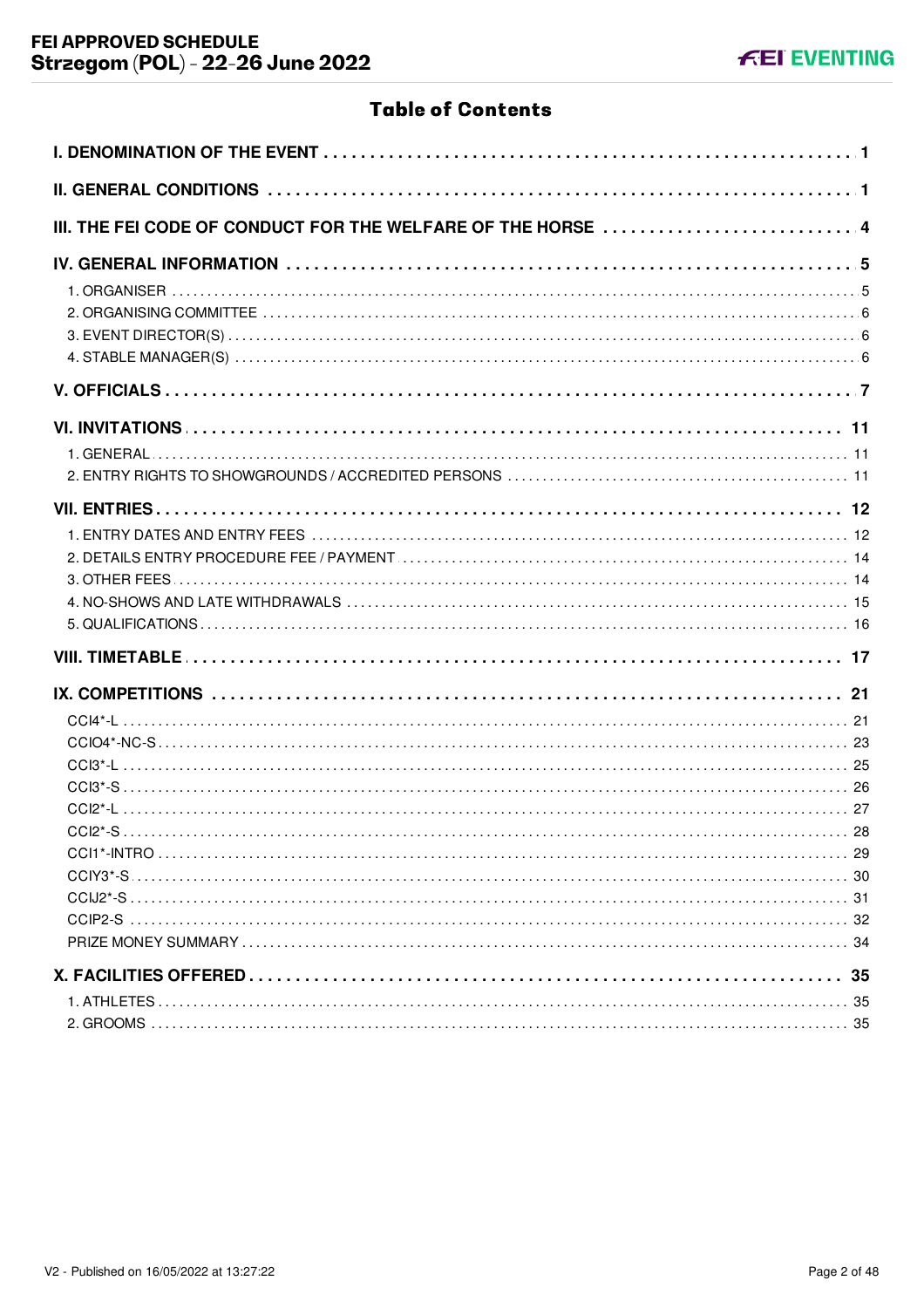# **Table of Contents**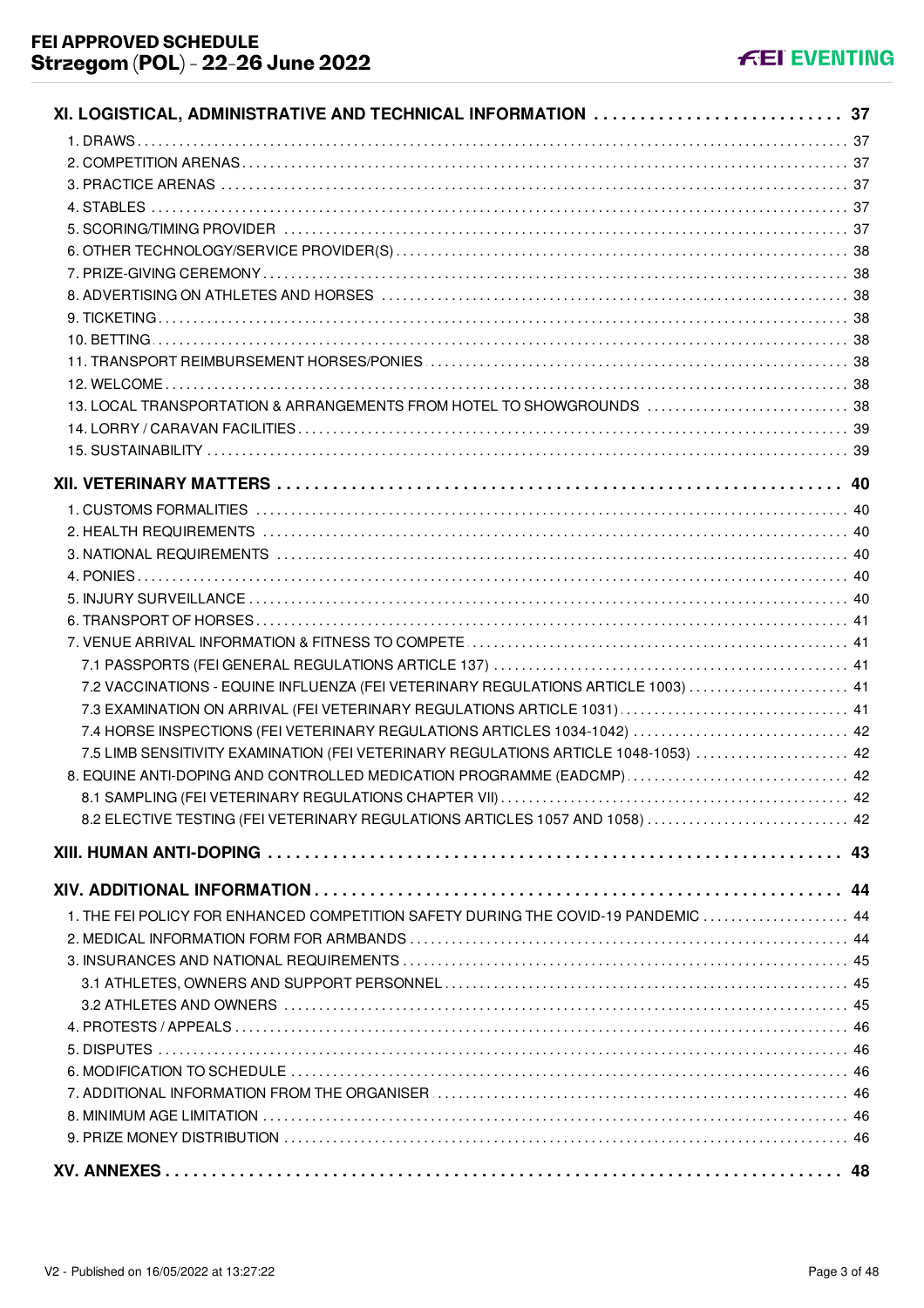| XI. LOGISTICAL, ADMINISTRATIVE AND TECHNICAL INFORMATION 37                         |    |
|-------------------------------------------------------------------------------------|----|
|                                                                                     |    |
|                                                                                     |    |
|                                                                                     |    |
|                                                                                     |    |
|                                                                                     |    |
|                                                                                     |    |
|                                                                                     |    |
|                                                                                     |    |
|                                                                                     |    |
|                                                                                     |    |
|                                                                                     |    |
|                                                                                     |    |
| 13. LOCAL TRANSPORTATION & ARRANGEMENTS FROM HOTEL TO SHOWGROUNDS  38               |    |
|                                                                                     |    |
|                                                                                     |    |
|                                                                                     |    |
|                                                                                     |    |
|                                                                                     |    |
|                                                                                     |    |
|                                                                                     |    |
|                                                                                     |    |
|                                                                                     |    |
|                                                                                     |    |
|                                                                                     |    |
| 7.2 VACCINATIONS - EQUINE INFLUENZA (FEI VETERINARY REGULATIONS ARTICLE 1003)  41   |    |
| 7.3 EXAMINATION ON ARRIVAL (FEI VETERINARY REGULATIONS ARTICLE 1031)  41            |    |
| 7.4 HORSE INSPECTIONS (FEI VETERINARY REGULATIONS ARTICLES 1034-1042)  42           |    |
| 7.5 LIMB SENSITIVITY EXAMINATION (FEI VETERINARY REGULATIONS ARTICLE 1048-1053)  42 |    |
| 8. EQUINE ANTI-DOPING AND CONTROLLED MEDICATION PROGRAMME (EADCMP)  42              |    |
|                                                                                     |    |
| 8.2 ELECTIVE TESTING (FEI VETERINARY REGULATIONS ARTICLES 1057 AND 1058)  42        |    |
|                                                                                     |    |
|                                                                                     |    |
|                                                                                     |    |
| 1. THE FEI POLICY FOR ENHANCED COMPETITION SAFETY DURING THE COVID-19 PANDEMIC  44  |    |
|                                                                                     |    |
|                                                                                     |    |
|                                                                                     |    |
|                                                                                     |    |
|                                                                                     |    |
|                                                                                     |    |
|                                                                                     |    |
|                                                                                     |    |
|                                                                                     |    |
|                                                                                     |    |
|                                                                                     | 48 |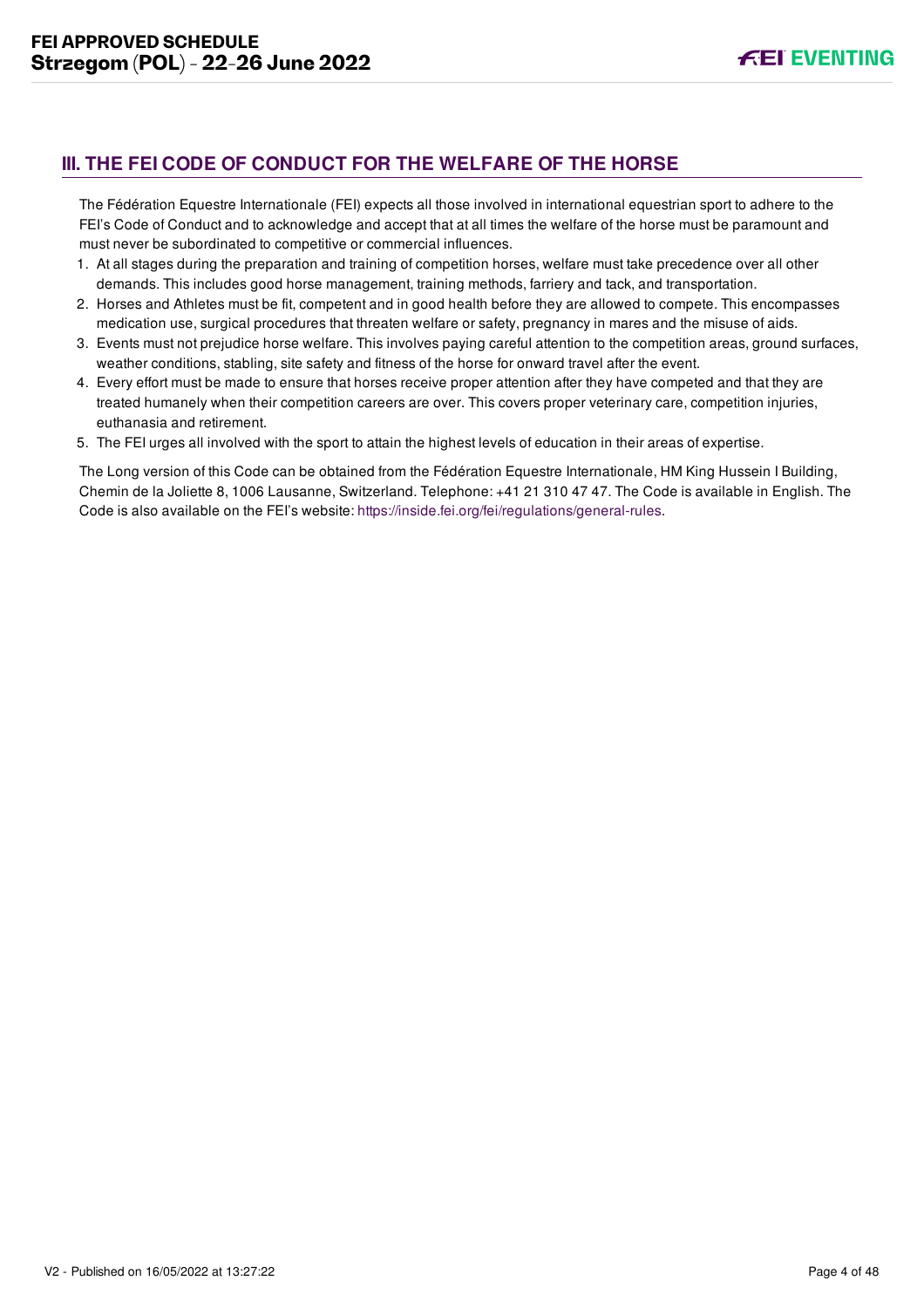# <span id="page-4-0"></span>**III. THE FEI CODE OF CONDUCT FOR THE WELFARE OF THE HORSE**

The Fédération Equestre Internationale (FEI) expects all those involved in international equestrian sport to adhere to the FEI's Code of Conduct and to acknowledge and accept that at all times the welfare of the horse must be paramount and must never be subordinated to competitive or commercial influences.

- 1. At all stages during the preparation and training of competition horses, welfare must take precedence over all other demands. This includes good horse management, training methods, farriery and tack, and transportation.
- 2. Horses and Athletes must be fit, competent and in good health before they are allowed to compete. This encompasses medication use, surgical procedures that threaten welfare or safety, pregnancy in mares and the misuse of aids.
- 3. Events must not prejudice horse welfare. This involves paying careful attention to the competition areas, ground surfaces, weather conditions, stabling, site safety and fitness of the horse for onward travel after the event.
- 4. Every effort must be made to ensure that horses receive proper attention after they have competed and that they are treated humanely when their competition careers are over. This covers proper veterinary care, competition injuries, euthanasia and retirement.
- 5. The FEI urges all involved with the sport to attain the highest levels of education in their areas of expertise.

The Long version of this Code can be obtained from the Fédération Equestre Internationale, HM King Hussein I Building, Chemin de la Joliette 8, 1006 Lausanne, Switzerland. Telephone: +41 21 310 47 47. The Code is available in English. The Code is also available on the FEI's website:<https://inside.fei.org/fei/regulations/general-rules>.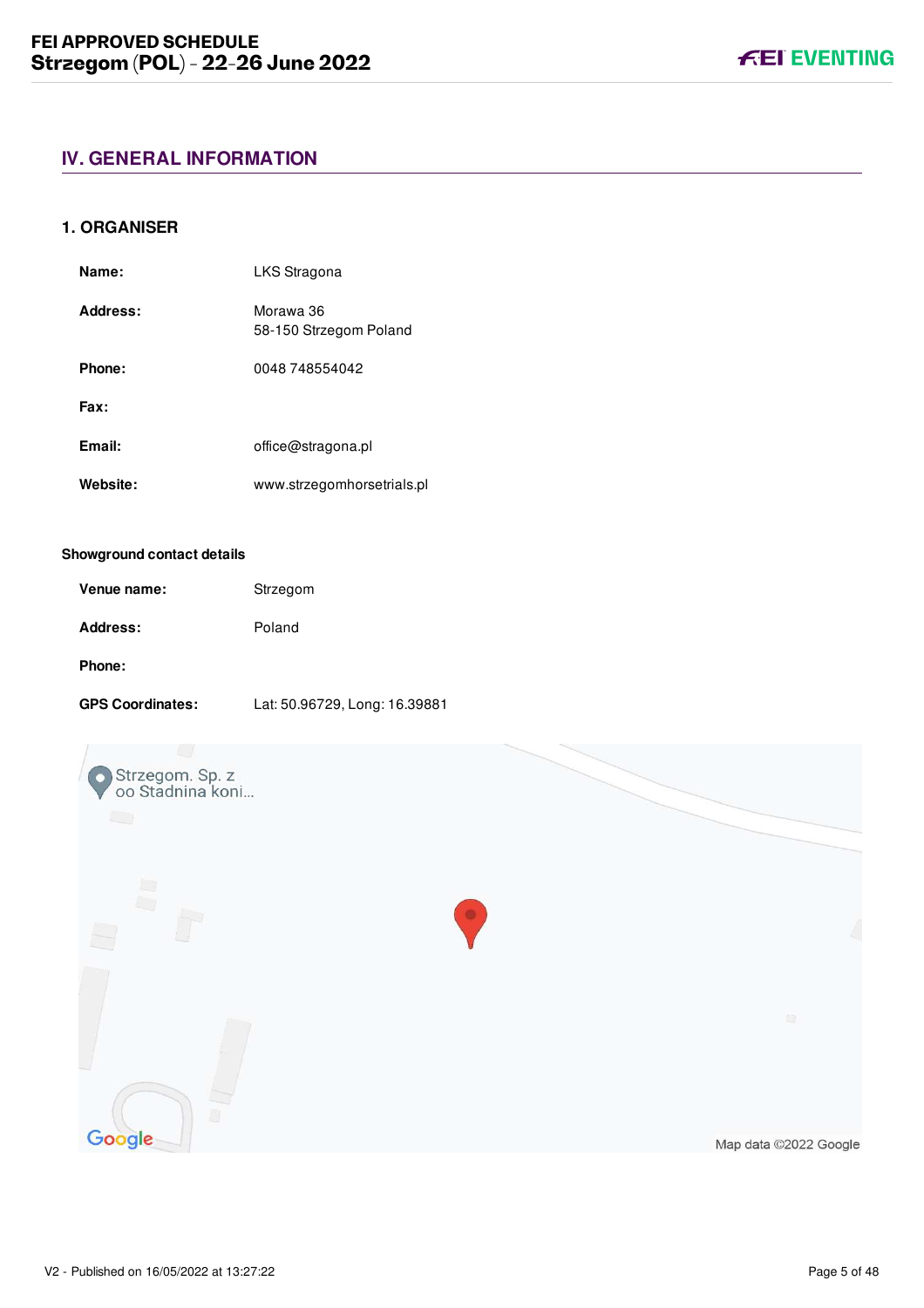# <span id="page-5-0"></span>**IV. GENERAL INFORMATION**

#### <span id="page-5-1"></span>**1. ORGANISER**

| Name:    | LKS Stragona                        |
|----------|-------------------------------------|
| Address: | Morawa 36<br>58-150 Strzegom Poland |
| Phone:   | 0048 748554042                      |
| Fax:     |                                     |
| Email:   | office@stragona.pl                  |
| Website: | www.strzegomhorsetrials.pl          |

#### **Showground contact details**

| Venue name: | Strzegom |
|-------------|----------|
| Address:    | Poland   |
| Phone:      |          |

#### **GPS Coordinates:** Lat: 50.96729, Long: 16.39881

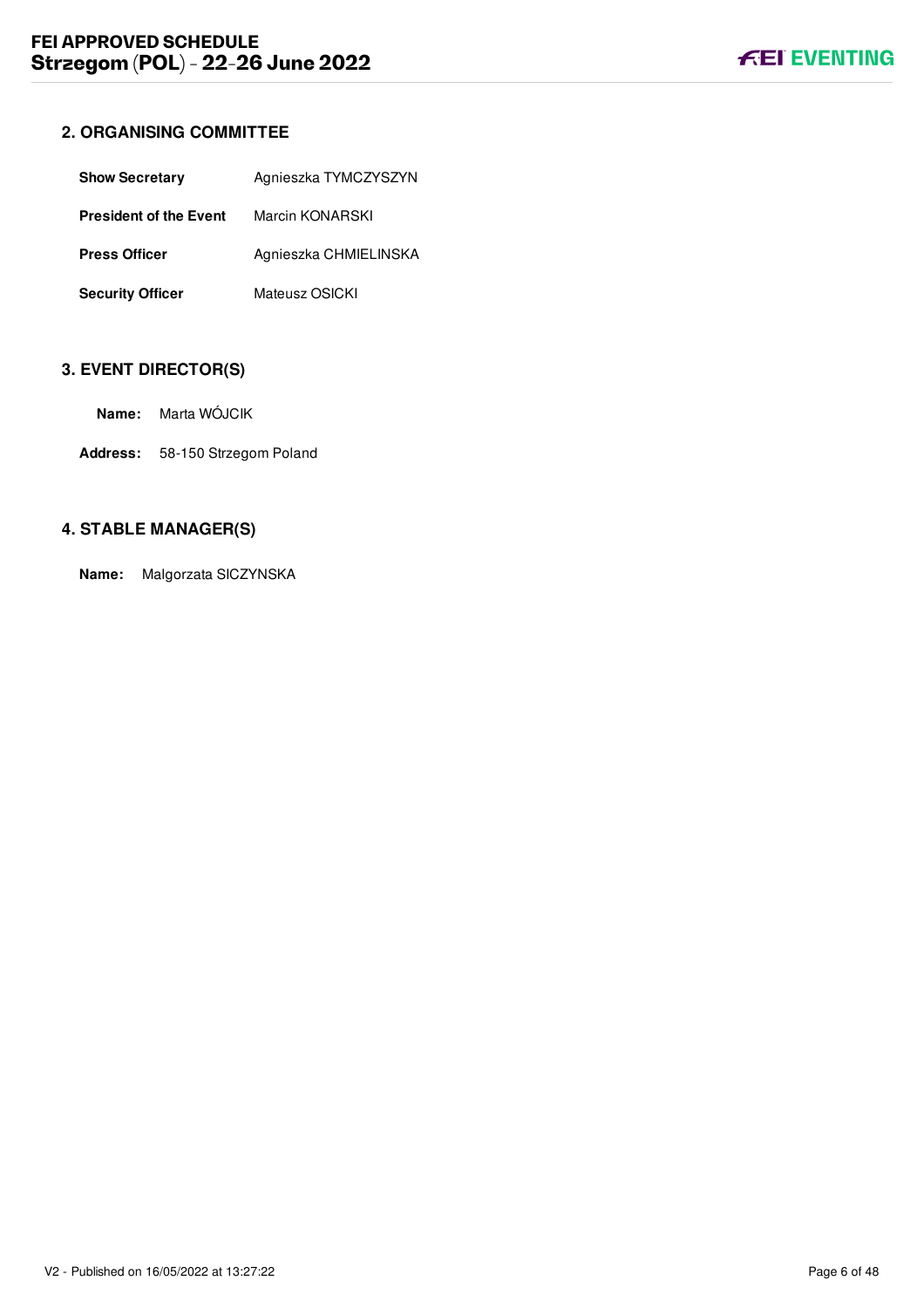# <span id="page-6-0"></span>**2. ORGANISING COMMITTEE**

| <b>Show Secretary</b>         | Agnieszka TYMCZYSZYN  |
|-------------------------------|-----------------------|
| <b>President of the Event</b> | Marcin KONARSKI       |
| <b>Press Officer</b>          | Agnieszka CHMIELINSKA |
| <b>Security Officer</b>       | Mateusz OSICKI        |

# <span id="page-6-1"></span>**3. EVENT DIRECTOR(S)**

- **Name:** Marta WÓJCIK
- **Address:** 58-150 Strzegom Poland

# <span id="page-6-2"></span>**4. STABLE MANAGER(S)**

**Name:** Malgorzata SICZYNSKA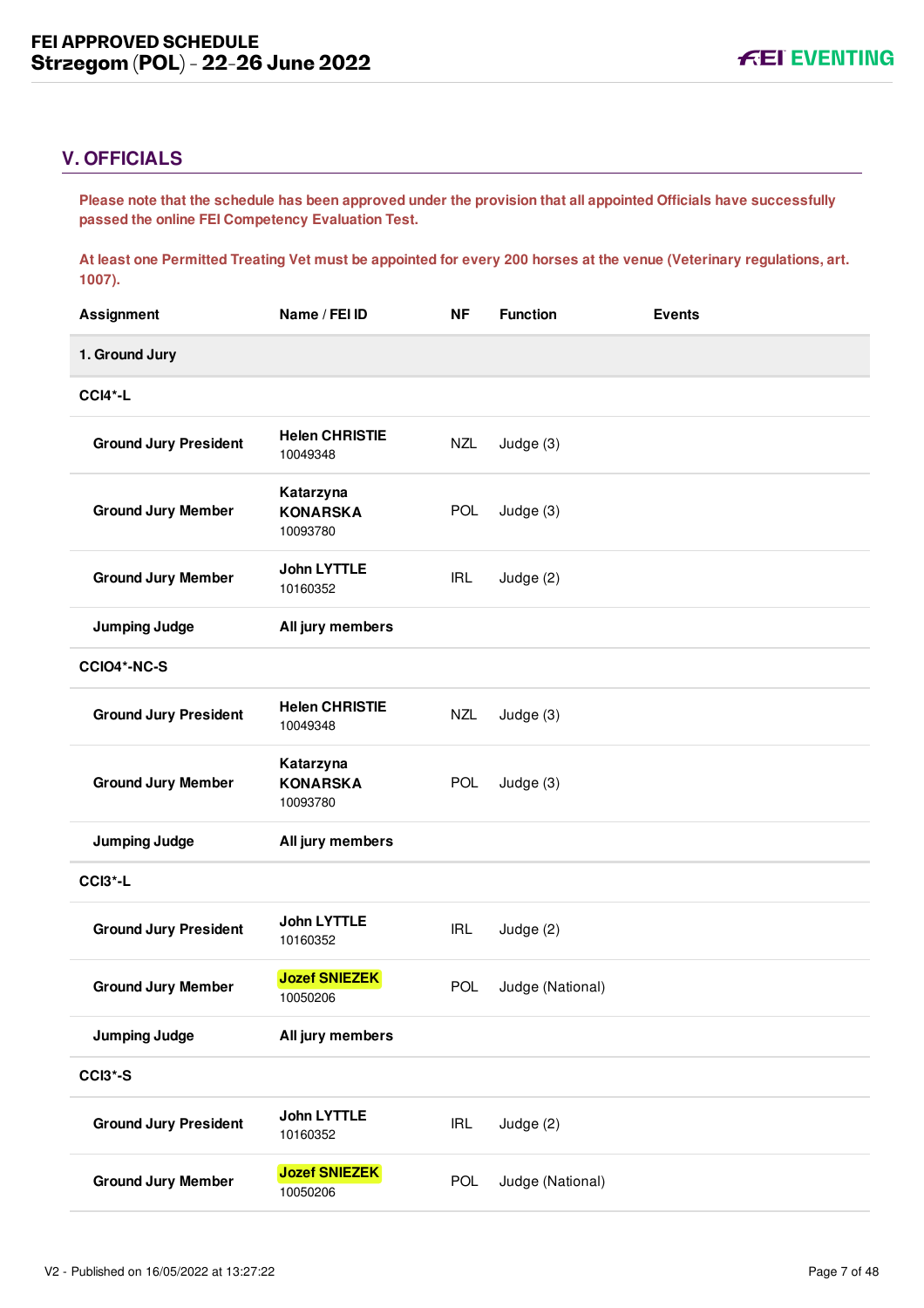# <span id="page-7-0"></span>**V. OFFICIALS**

**Please note that the schedule has been approved under the provision that all appointed Officials have successfully passed the online FEI Competency Evaluation Test.** 

**At least one Permitted Treating Vet must be appointed for every 200 horses at the venue (Veterinary regulations, art. 1007).**

| <b>Assignment</b>            | Name / FEI ID                            | <b>NF</b>  | <b>Function</b>  | <b>Events</b> |
|------------------------------|------------------------------------------|------------|------------------|---------------|
| 1. Ground Jury               |                                          |            |                  |               |
| CCI4*-L                      |                                          |            |                  |               |
| <b>Ground Jury President</b> | <b>Helen CHRISTIE</b><br>10049348        | <b>NZL</b> | Judge (3)        |               |
| <b>Ground Jury Member</b>    | Katarzyna<br><b>KONARSKA</b><br>10093780 | POL        | Judge (3)        |               |
| <b>Ground Jury Member</b>    | <b>John LYTTLE</b><br>10160352           | <b>IRL</b> | Judge (2)        |               |
| <b>Jumping Judge</b>         | All jury members                         |            |                  |               |
| CCIO4*-NC-S                  |                                          |            |                  |               |
| <b>Ground Jury President</b> | <b>Helen CHRISTIE</b><br>10049348        | <b>NZL</b> | Judge $(3)$      |               |
| <b>Ground Jury Member</b>    | Katarzyna<br><b>KONARSKA</b><br>10093780 | <b>POL</b> | Judge (3)        |               |
| <b>Jumping Judge</b>         | All jury members                         |            |                  |               |
| CCI3*-L                      |                                          |            |                  |               |
| <b>Ground Jury President</b> | <b>John LYTTLE</b><br>10160352           | <b>IRL</b> | Judge (2)        |               |
| <b>Ground Jury Member</b>    | <b>Jozef SNIEZEK</b><br>10050206         | <b>POL</b> | Judge (National) |               |
| <b>Jumping Judge</b>         | All jury members                         |            |                  |               |
| CCI3*-S                      |                                          |            |                  |               |
| <b>Ground Jury President</b> | <b>John LYTTLE</b><br>10160352           | <b>IRL</b> | Judge (2)        |               |
| <b>Ground Jury Member</b>    | <b>Jozef SNIEZEK</b><br>10050206         | <b>POL</b> | Judge (National) |               |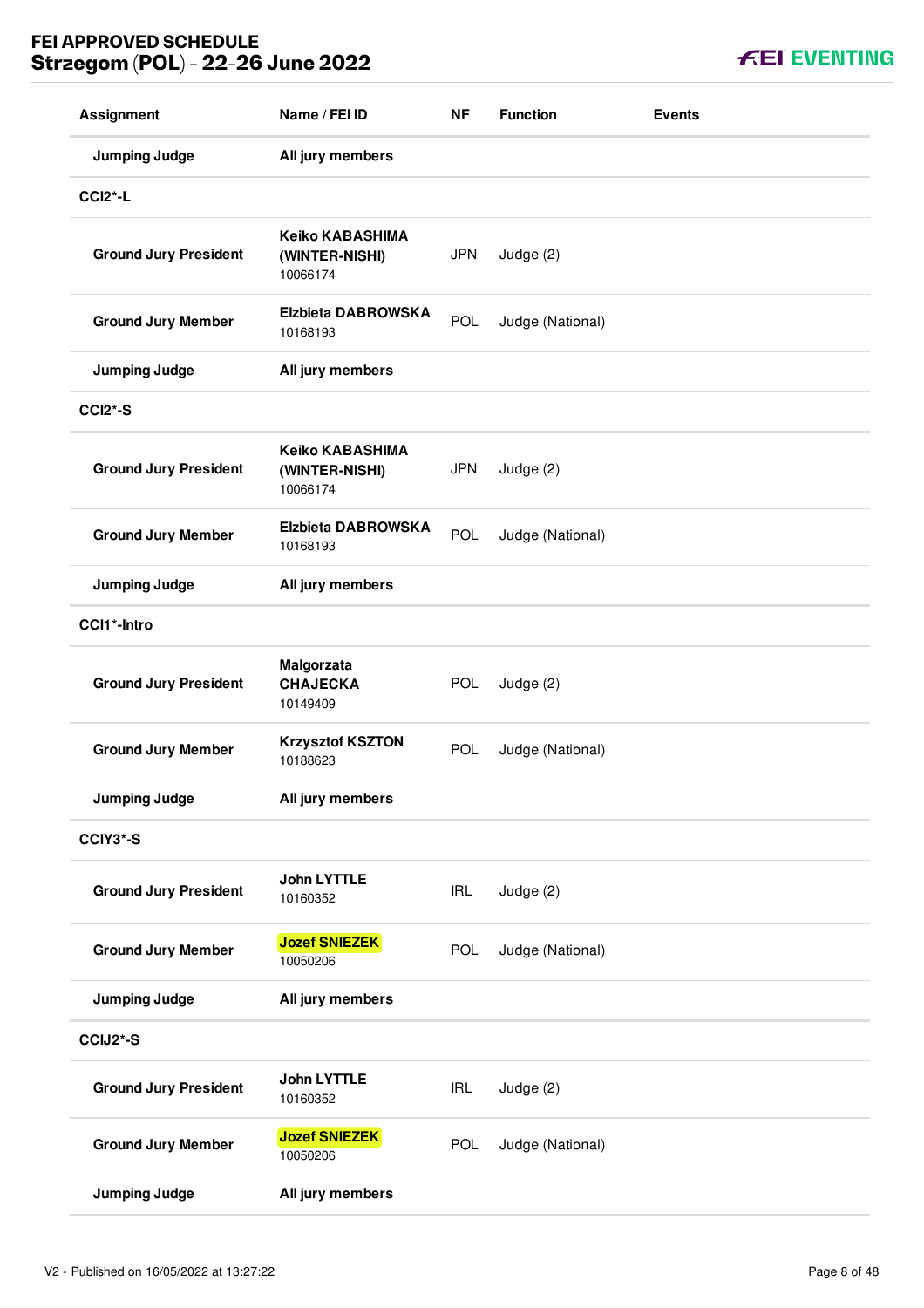| <b>FEI EVENTING</b> |  |  |  |
|---------------------|--|--|--|
|                     |  |  |  |

| <b>Assignment</b>            | Name / FEI ID                                        | <b>NF</b>  | <b>Function</b>  | <b>Events</b> |
|------------------------------|------------------------------------------------------|------------|------------------|---------------|
| <b>Jumping Judge</b>         | All jury members                                     |            |                  |               |
| <b>CCI2*-L</b>               |                                                      |            |                  |               |
| <b>Ground Jury President</b> | <b>Keiko KABASHIMA</b><br>(WINTER-NISHI)<br>10066174 | <b>JPN</b> | Judge (2)        |               |
| <b>Ground Jury Member</b>    | <b>Elzbieta DABROWSKA</b><br>10168193                | POL        | Judge (National) |               |
| <b>Jumping Judge</b>         | All jury members                                     |            |                  |               |
| <b>CCI2*-S</b>               |                                                      |            |                  |               |
| <b>Ground Jury President</b> | <b>Keiko KABASHIMA</b><br>(WINTER-NISHI)<br>10066174 | <b>JPN</b> | Judge (2)        |               |
| <b>Ground Jury Member</b>    | <b>Elzbieta DABROWSKA</b><br>10168193                | POL        | Judge (National) |               |
| <b>Jumping Judge</b>         | All jury members                                     |            |                  |               |
| CCI1*-Intro                  |                                                      |            |                  |               |
| <b>Ground Jury President</b> | Malgorzata<br><b>CHAJECKA</b><br>10149409            | <b>POL</b> | Judge (2)        |               |
| <b>Ground Jury Member</b>    | <b>Krzysztof KSZTON</b><br>10188623                  | POL        | Judge (National) |               |
| <b>Jumping Judge</b>         | All jury members                                     |            |                  |               |
| CCIY3*-S                     |                                                      |            |                  |               |
| <b>Ground Jury President</b> | <b>John LYTTLE</b><br>10160352                       | <b>IRL</b> | Judge (2)        |               |
| <b>Ground Jury Member</b>    | <b>Jozef SNIEZEK</b><br>10050206                     | POL        | Judge (National) |               |
| <b>Jumping Judge</b>         | All jury members                                     |            |                  |               |
| CCIJ2*-S                     |                                                      |            |                  |               |
| <b>Ground Jury President</b> | <b>John LYTTLE</b><br>10160352                       | <b>IRL</b> | Judge (2)        |               |
| <b>Ground Jury Member</b>    | <b>Jozef SNIEZEK</b><br>10050206                     | <b>POL</b> | Judge (National) |               |
| <b>Jumping Judge</b>         | All jury members                                     |            |                  |               |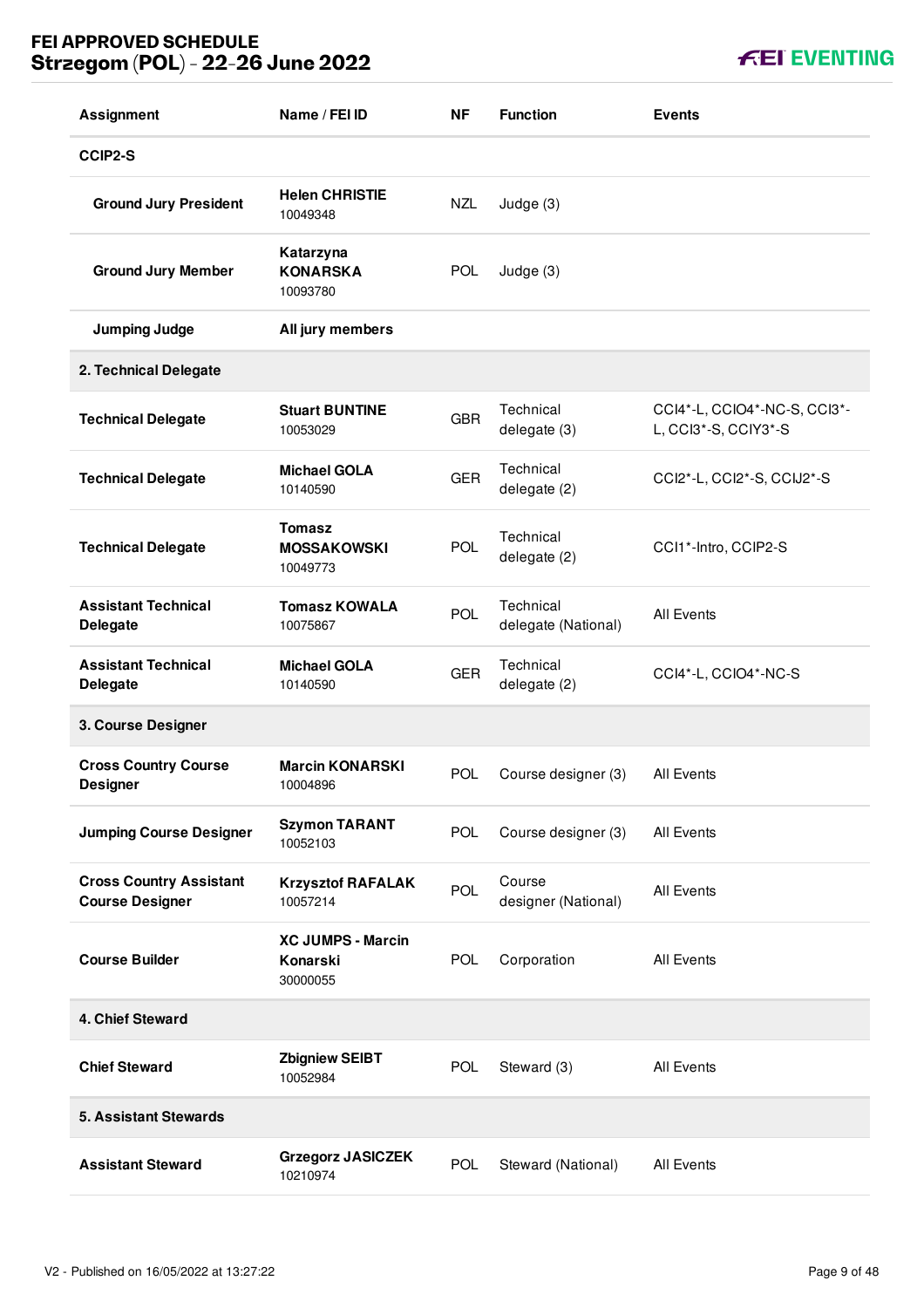| <b>Assignment</b>                                        | Name / FEI ID                                    | <b>NF</b>  | <b>Function</b>                  | <b>Events</b>                                        |
|----------------------------------------------------------|--------------------------------------------------|------------|----------------------------------|------------------------------------------------------|
| CCIP2-S                                                  |                                                  |            |                                  |                                                      |
| <b>Ground Jury President</b>                             | <b>Helen CHRISTIE</b><br>10049348                | <b>NZL</b> | Judge (3)                        |                                                      |
| <b>Ground Jury Member</b>                                | Katarzyna<br><b>KONARSKA</b><br>10093780         | <b>POL</b> | Judge (3)                        |                                                      |
| <b>Jumping Judge</b>                                     | All jury members                                 |            |                                  |                                                      |
| 2. Technical Delegate                                    |                                                  |            |                                  |                                                      |
| <b>Technical Delegate</b>                                | <b>Stuart BUNTINE</b><br>10053029                | <b>GBR</b> | Technical<br>delegate (3)        | CCI4*-L, CCIO4*-NC-S, CCI3*-<br>L, CCl3*-S, CClY3*-S |
| <b>Technical Delegate</b>                                | <b>Michael GOLA</b><br>10140590                  | <b>GER</b> | Technical<br>delegate (2)        | CCI2*-L, CCI2*-S, CCIJ2*-S                           |
| <b>Technical Delegate</b>                                | <b>Tomasz</b><br><b>MOSSAKOWSKI</b><br>10049773  | <b>POL</b> | Technical<br>delegate (2)        | CCI1*-Intro, CCIP2-S                                 |
| <b>Assistant Technical</b><br><b>Delegate</b>            | <b>Tomasz KOWALA</b><br>10075867                 | POL        | Technical<br>delegate (National) | <b>All Events</b>                                    |
| <b>Assistant Technical</b><br><b>Delegate</b>            | <b>Michael GOLA</b><br>10140590                  | <b>GER</b> | Technical<br>delegate (2)        | CCI4*-L, CCIO4*-NC-S                                 |
| 3. Course Designer                                       |                                                  |            |                                  |                                                      |
| <b>Cross Country Course</b><br><b>Designer</b>           | <b>Marcin KONARSKI</b><br>10004896               | POL        | Course designer (3)              | <b>All Events</b>                                    |
| <b>Jumping Course Designer</b>                           | <b>Szymon TARANT</b><br>10052103                 | <b>POL</b> | Course designer (3)              | All Events                                           |
| <b>Cross Country Assistant</b><br><b>Course Designer</b> | <b>Krzysztof RAFALAK</b><br>10057214             | POL        | Course<br>designer (National)    | <b>All Events</b>                                    |
| <b>Course Builder</b>                                    | <b>XC JUMPS - Marcin</b><br>Konarski<br>30000055 | POL        | Corporation                      | <b>All Events</b>                                    |
| 4. Chief Steward                                         |                                                  |            |                                  |                                                      |
| <b>Chief Steward</b>                                     | <b>Zbigniew SEIBT</b><br>10052984                | <b>POL</b> | Steward (3)                      | <b>All Events</b>                                    |
| <b>5. Assistant Stewards</b>                             |                                                  |            |                                  |                                                      |
| <b>Assistant Steward</b>                                 | <b>Grzegorz JASICZEK</b><br>10210974             | <b>POL</b> | Steward (National)               | <b>All Events</b>                                    |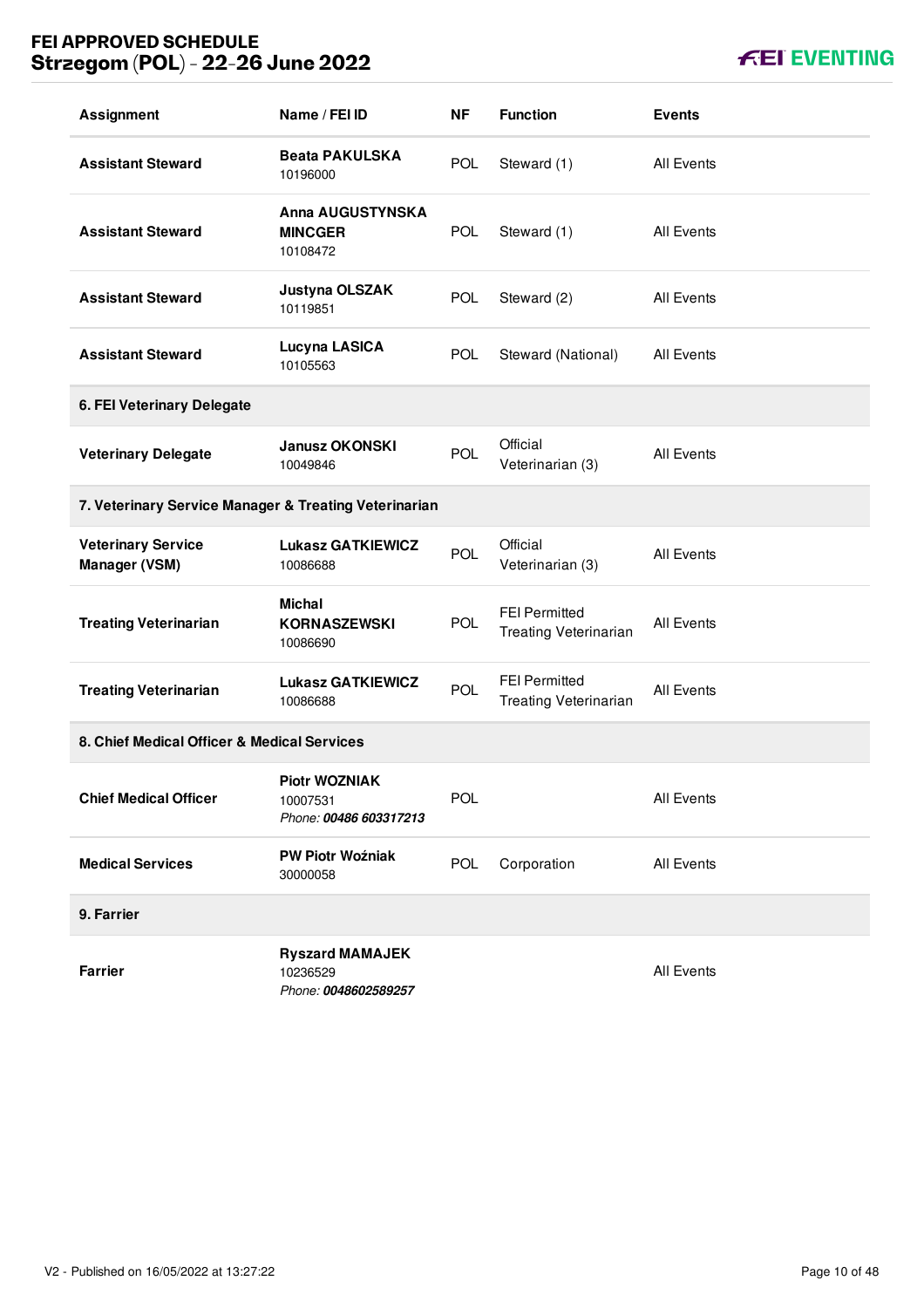**KEI EVENTING** 

| <b>Assignment</b>                                     | Name / FEI ID                                              | <b>NF</b>  | <b>Function</b>                                      | <b>Events</b>     |  |  |
|-------------------------------------------------------|------------------------------------------------------------|------------|------------------------------------------------------|-------------------|--|--|
| <b>Assistant Steward</b>                              | <b>Beata PAKULSKA</b><br>10196000                          | <b>POL</b> | Steward (1)                                          | All Events        |  |  |
| <b>Assistant Steward</b>                              | <b>Anna AUGUSTYNSKA</b><br><b>MINCGER</b><br>10108472      | <b>POL</b> | Steward (1)                                          | <b>All Events</b> |  |  |
| <b>Assistant Steward</b>                              | Justyna OLSZAK<br>10119851                                 | <b>POL</b> | Steward (2)                                          | All Events        |  |  |
| <b>Assistant Steward</b>                              | Lucyna LASICA<br>10105563                                  | <b>POL</b> | Steward (National)                                   | All Events        |  |  |
| 6. FEI Veterinary Delegate                            |                                                            |            |                                                      |                   |  |  |
| <b>Veterinary Delegate</b>                            | <b>Janusz OKONSKI</b><br>10049846                          | <b>POL</b> | Official<br>Veterinarian (3)                         | All Events        |  |  |
| 7. Veterinary Service Manager & Treating Veterinarian |                                                            |            |                                                      |                   |  |  |
| <b>Veterinary Service</b><br>Manager (VSM)            | <b>Lukasz GATKIEWICZ</b><br>10086688                       | POL        | Official<br>Veterinarian (3)                         | All Events        |  |  |
| <b>Treating Veterinarian</b>                          | <b>Michal</b><br><b>KORNASZEWSKI</b><br>10086690           | <b>POL</b> | <b>FEI Permitted</b><br><b>Treating Veterinarian</b> | All Events        |  |  |
| <b>Treating Veterinarian</b>                          | <b>Lukasz GATKIEWICZ</b><br>10086688                       | POL        | <b>FEI Permitted</b><br><b>Treating Veterinarian</b> | <b>All Events</b> |  |  |
| 8. Chief Medical Officer & Medical Services           |                                                            |            |                                                      |                   |  |  |
| <b>Chief Medical Officer</b>                          | <b>Piotr WOZNIAK</b><br>10007531<br>Phone: 00486 603317213 | POL        |                                                      | <b>All Events</b> |  |  |
| <b>Medical Services</b>                               | <b>PW Piotr Woźniak</b><br>30000058                        | <b>POL</b> | Corporation                                          | All Events        |  |  |
| 9. Farrier                                            |                                                            |            |                                                      |                   |  |  |
| <b>Farrier</b>                                        | <b>Ryszard MAMAJEK</b><br>10236529<br>Phone: 0048602589257 |            |                                                      | All Events        |  |  |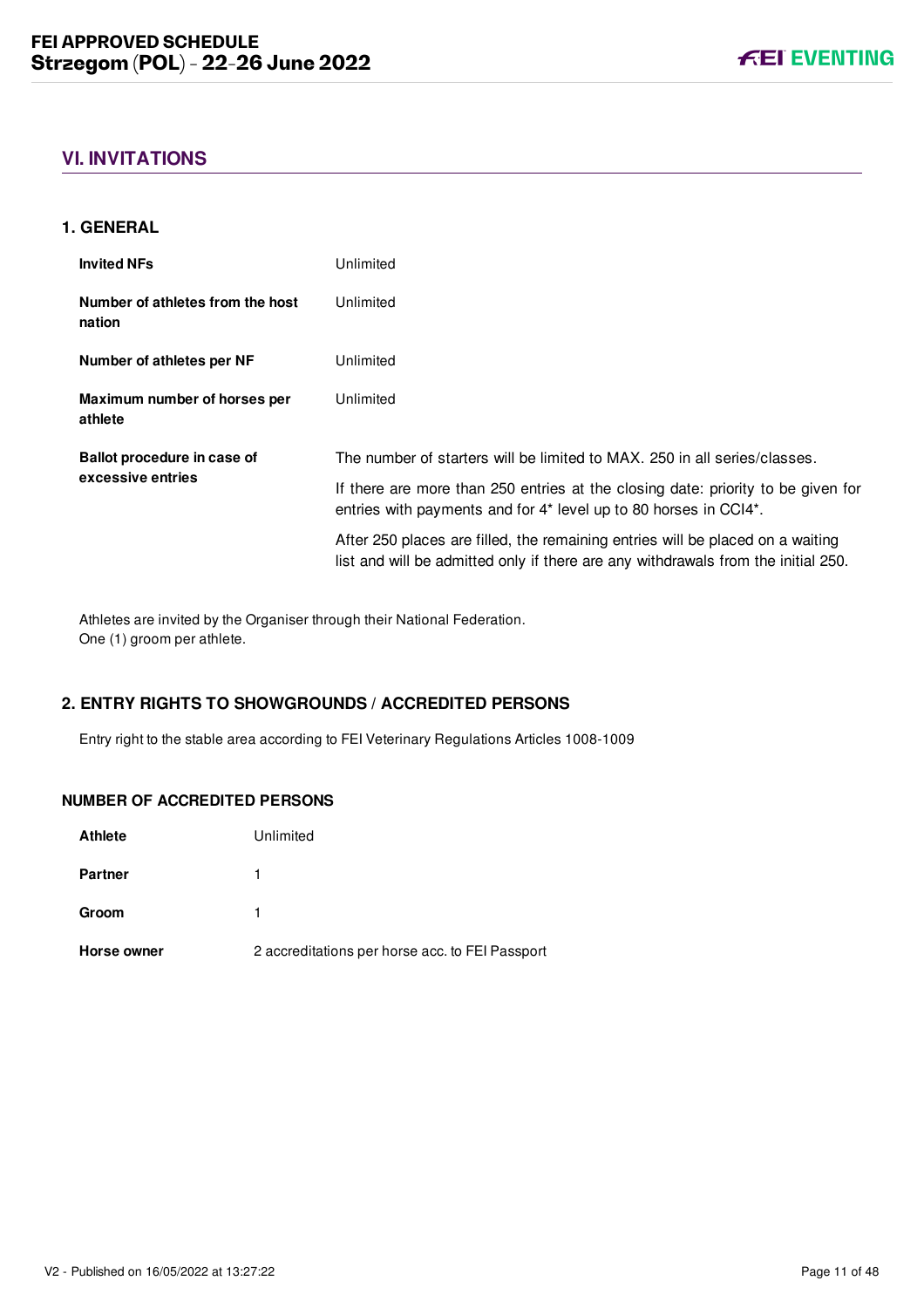# <span id="page-11-0"></span>**VI. INVITATIONS**

#### <span id="page-11-1"></span>**1. GENERAL**

| <b>Invited NFs</b>                         | Unlimited                                                                                                                                                           |
|--------------------------------------------|---------------------------------------------------------------------------------------------------------------------------------------------------------------------|
| Number of athletes from the host<br>nation | Unlimited                                                                                                                                                           |
| Number of athletes per NF                  | Unlimited                                                                                                                                                           |
| Maximum number of horses per<br>athlete    | Unlimited                                                                                                                                                           |
| Ballot procedure in case of                | The number of starters will be limited to MAX, 250 in all series/classes.                                                                                           |
| excessive entries                          | If there are more than 250 entries at the closing date: priority to be given for<br>entries with payments and for 4* level up to 80 horses in CCI4*.                |
|                                            | After 250 places are filled, the remaining entries will be placed on a waiting<br>list and will be admitted only if there are any withdrawals from the initial 250. |

Athletes are invited by the Organiser through their National Federation. One (1) groom per athlete.

### <span id="page-11-2"></span>**2. ENTRY RIGHTS TO SHOWGROUNDS / ACCREDITED PERSONS**

Entry right to the stable area according to FEI Veterinary Regulations Articles 1008-1009

#### **NUMBER OF ACCREDITED PERSONS**

| <b>Athlete</b> | Unlimited                                       |
|----------------|-------------------------------------------------|
| <b>Partner</b> |                                                 |
| Groom          |                                                 |
| Horse owner    | 2 accreditations per horse acc. to FEI Passport |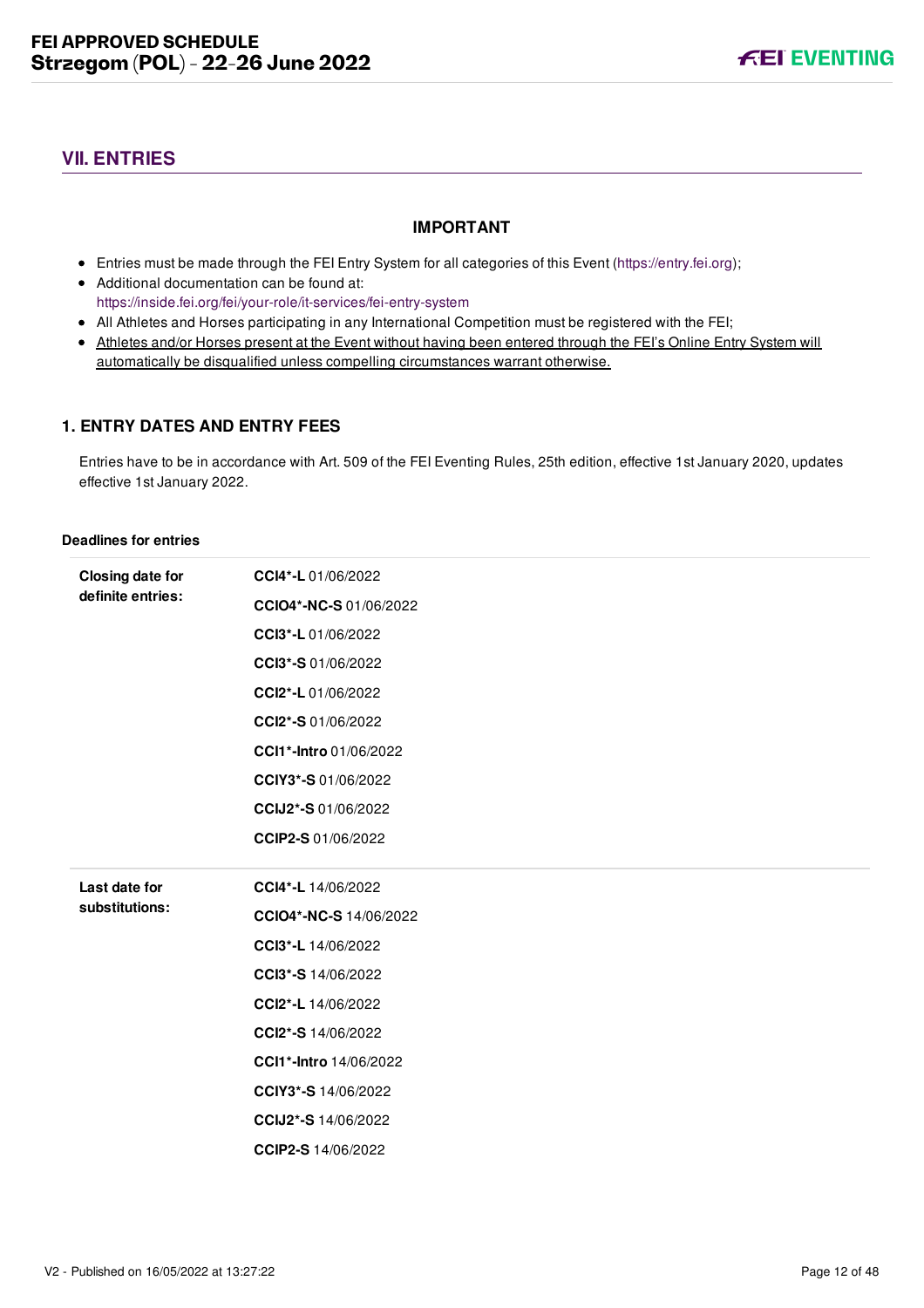# <span id="page-12-0"></span>**VII. ENTRIES**

#### **IMPORTANT**

- Entries must be made through the FEI Entry System for all categories of this Event ([https://entry.fei.org\)](https://entry.fei.org);
- Additional documentation can be found at: <https://inside.fei.org/fei/your-role/it-services/fei-entry-system>
- All Athletes and Horses participating in any International Competition must be registered with the FEI;
- Athletes and/or Horses present at the Event without having been entered through the FEI's Online Entry System will automatically be disqualified unless compelling circumstances warrant otherwise.

#### <span id="page-12-1"></span>**1. ENTRY DATES AND ENTRY FEES**

Entries have to be in accordance with Art. 509 of the FEI Eventing Rules, 25th edition, effective 1st January 2020, updates effective 1st January 2022.

#### **Deadlines for entries**

| <b>Closing date for</b><br>definite entries: | CCI4*-L 01/06/2022     |
|----------------------------------------------|------------------------|
|                                              | CCIO4*-NC-S 01/06/2022 |
|                                              | CCI3*-L 01/06/2022     |
|                                              | CCI3*-S 01/06/2022     |
|                                              | CCI2*-L 01/06/2022     |
|                                              | CCI2*-S 01/06/2022     |
|                                              | CCI1*-Intro 01/06/2022 |
|                                              | CCIY3*-S 01/06/2022    |
|                                              | CCIJ2*-S 01/06/2022    |
|                                              | CCIP2-S 01/06/2022     |
|                                              |                        |
|                                              |                        |
| Last date for                                | CCI4*-L 14/06/2022     |
| substitutions:                               | CCIO4*-NC-S 14/06/2022 |
|                                              | CCI3*-L 14/06/2022     |
|                                              | CCI3*-S 14/06/2022     |
|                                              | CCI2*-L 14/06/2022     |
|                                              | CCI2*-S 14/06/2022     |
|                                              | CCI1*-Intro 14/06/2022 |
|                                              | CCIY3*-S 14/06/2022    |
|                                              | CCIJ2*-S 14/06/2022    |
|                                              | CCIP2-S 14/06/2022     |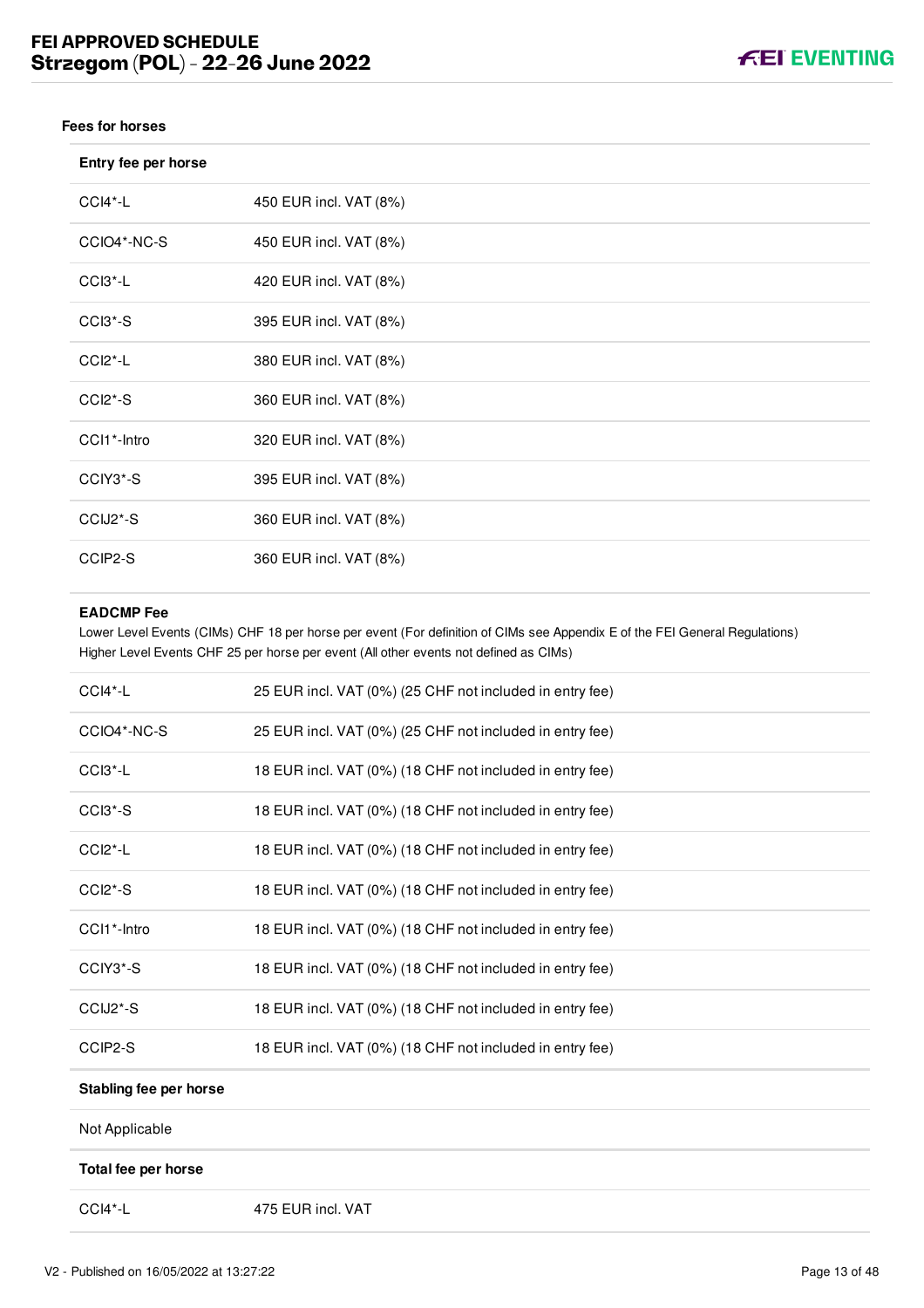#### **Fees for horses**

| Entry fee per horse              |                        |
|----------------------------------|------------------------|
| CCI4*-L                          | 450 EUR incl. VAT (8%) |
| CCIO4*-NC-S                      | 450 EUR incl. VAT (8%) |
| CCI3*-L                          | 420 EUR incl. VAT (8%) |
| $CCI3*-S$                        | 395 EUR incl. VAT (8%) |
| CCI <sub>2</sub> <sup>*</sup> -L | 380 EUR incl. VAT (8%) |
| $CCI2*-S$                        | 360 EUR incl. VAT (8%) |
| CCI1*-Intro                      | 320 EUR incl. VAT (8%) |
| CCIY3*-S                         | 395 EUR incl. VAT (8%) |
| CCIJ2*-S                         | 360 EUR incl. VAT (8%) |
| CCIP2-S                          | 360 EUR incl. VAT (8%) |

#### **EADCMP Fee**

Lower Level Events (CIMs) CHF 18 per horse per event (For definition of CIMs see Appendix E of the FEI General Regulations) Higher Level Events CHF 25 per horse per event (All other events not defined as CIMs)

| CCI4*-L                          | 25 EUR incl. VAT (0%) (25 CHF not included in entry fee) |
|----------------------------------|----------------------------------------------------------|
| CCIO4*-NC-S                      | 25 EUR incl. VAT (0%) (25 CHF not included in entry fee) |
| CCI <sub>3</sub> <sup>*</sup> -L | 18 EUR incl. VAT (0%) (18 CHF not included in entry fee) |
| $CCI3*-S$                        | 18 EUR incl. VAT (0%) (18 CHF not included in entry fee) |
| CCI <sub>2</sub> <sup>*</sup> -L | 18 EUR incl. VAT (0%) (18 CHF not included in entry fee) |
| CCI <sub>2</sub> *-S             | 18 EUR incl. VAT (0%) (18 CHF not included in entry fee) |
| CCI1*-Intro                      | 18 EUR incl. VAT (0%) (18 CHF not included in entry fee) |
| CCIY3*-S                         | 18 EUR incl. VAT (0%) (18 CHF not included in entry fee) |
| CCIJ2*-S                         | 18 EUR incl. VAT (0%) (18 CHF not included in entry fee) |
| CCIP2-S                          | 18 EUR incl. VAT (0%) (18 CHF not included in entry fee) |
| Stabling fee per horse           |                                                          |
| Not Applicable                   |                                                          |
| Total fee per horse              |                                                          |
|                                  |                                                          |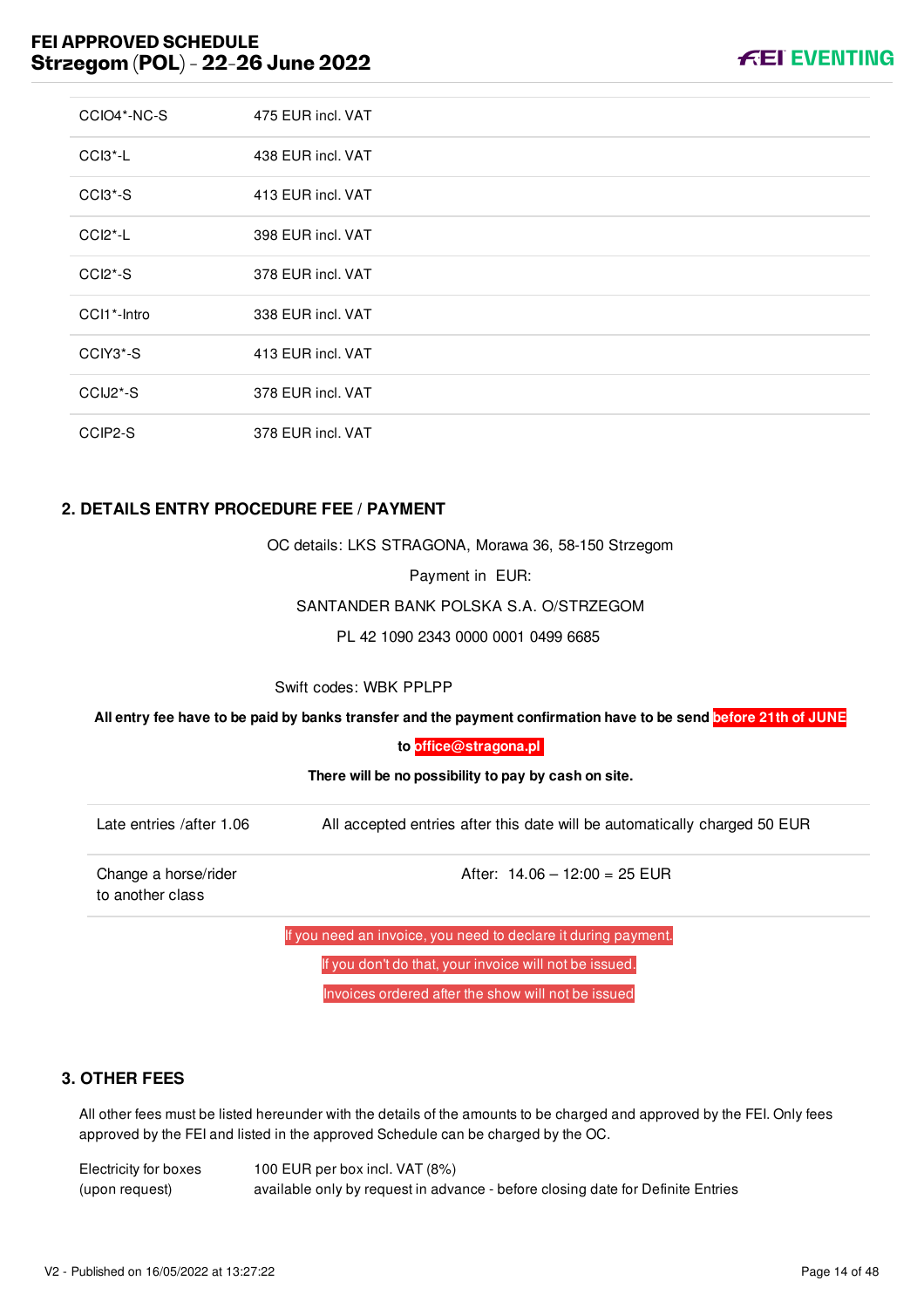| CCIO4*-NC-S                       | 475 EUR incl. VAT |
|-----------------------------------|-------------------|
| $CCI3 - L$                        | 438 EUR incl. VAT |
| CCI3 <sup>*</sup> -S              | 413 EUR incl. VAT |
| CCI <sub>2</sub> <sup>*</sup> -L  | 398 EUR incl. VAT |
| $CCI2*-S$                         | 378 EUR incl. VAT |
| CCI1*-Intro                       | 338 EUR incl. VAT |
| CCIY3*-S                          | 413 EUR incl. VAT |
| CCIJ <sub>2</sub> <sup>*</sup> -S | 378 EUR incl. VAT |
| CCIP2-S                           | 378 EUR incl. VAT |

#### <span id="page-14-0"></span>**2. DETAILS ENTRY PROCEDURE FEE / PAYMENT**

OC details: LKS STRAGONA, Morawa 36, 58-150 Strzegom

Payment in EUR:

SANTANDER BANK POLSKA S.A. O/STRZEGOM

PL 42 1090 2343 0000 0001 0499 6685

Swift codes: WBK PPLPP

**All entry fee have to be paid by banks transfer and the payment confirmation have to be send before 21th of JUNE**

**to [office@stragona.pl](mailto:office@stragona.pl)**

**There will be no possibility to pay by cash on site.**

| Late entries /after 1.06 | All accepted entries after this date will be automatically charged 50 EUR |
|--------------------------|---------------------------------------------------------------------------|
|--------------------------|---------------------------------------------------------------------------|

Change a horse/rider to another class

After:  $14.06 - 12:00 = 25$  EUR

If you need an invoice, you need to declare it during payment.

If you don't do that, your invoice will not be issued.

Invoices ordered after the show will not be issued

#### <span id="page-14-1"></span>**3. OTHER FEES**

All other fees must be listed hereunder with the details of the amounts to be charged and approved by the FEI. Only fees approved by the FEI and listed in the approved Schedule can be charged by the OC.

Electricity for boxes (upon request) 100 EUR per box incl. VAT (8%) available only by request in advance - before closing date for Definite Entries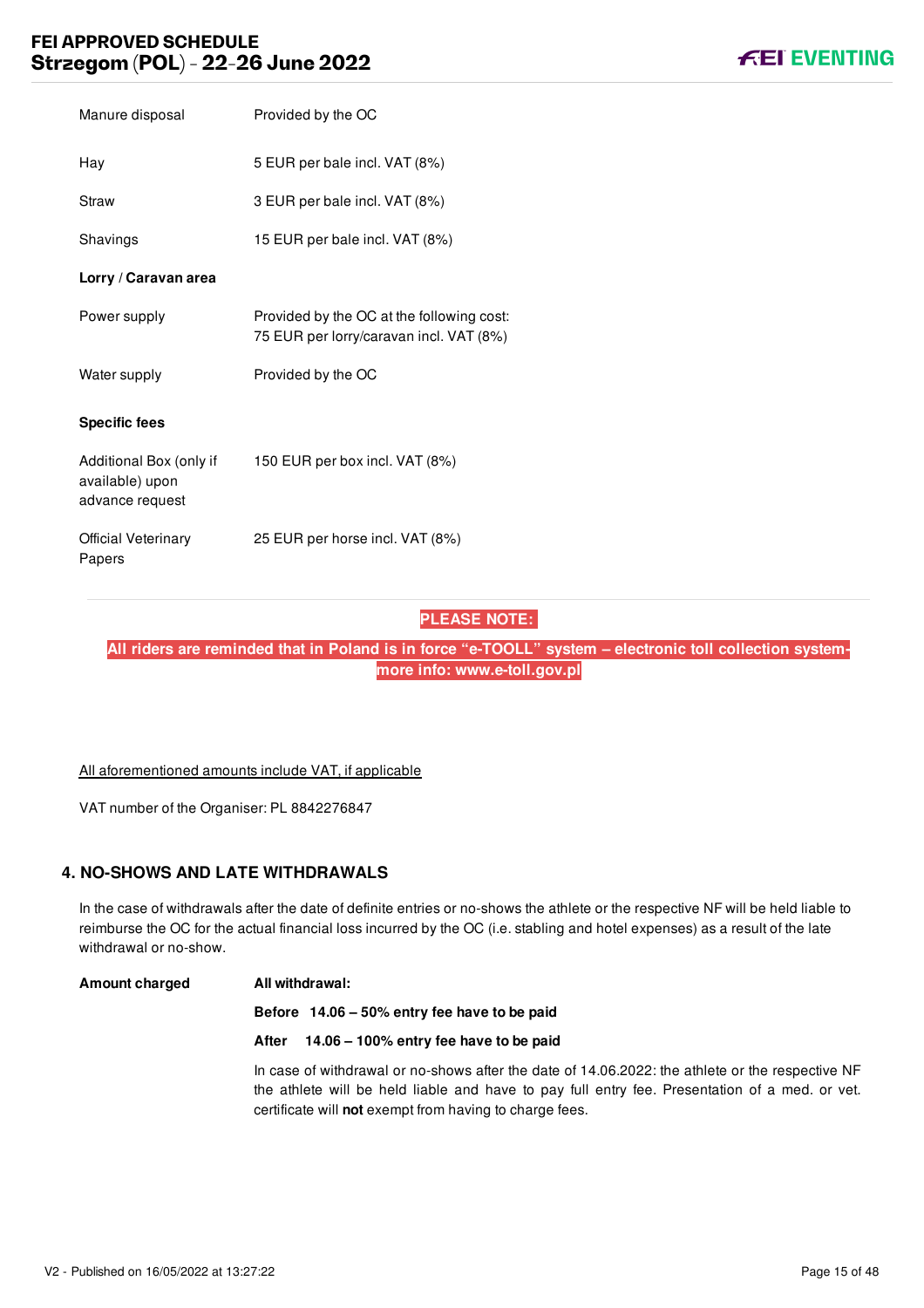| Manure disposal                                               | Provided by the OC                                                                   |
|---------------------------------------------------------------|--------------------------------------------------------------------------------------|
| Hay                                                           | 5 EUR per bale incl. VAT (8%)                                                        |
| Straw                                                         | 3 EUR per bale incl. VAT (8%)                                                        |
| Shavings                                                      | 15 EUR per bale incl. VAT (8%)                                                       |
| Lorry / Caravan area                                          |                                                                                      |
| Power supply                                                  | Provided by the OC at the following cost:<br>75 EUR per lorry/caravan incl. VAT (8%) |
| Water supply                                                  | Provided by the OC                                                                   |
| <b>Specific fees</b>                                          |                                                                                      |
| Additional Box (only if<br>available) upon<br>advance request | 150 EUR per box incl. VAT (8%)                                                       |
| Official Veterinary<br>Papers                                 | 25 EUR per horse incl. VAT (8%)                                                      |

### **PLEASE NOTE:**

**All riders are reminded that in Poland is in force "e-TOOLL" system – electronic toll collection systemmore info: www.e-toll.gov.pl**

All aforementioned amounts include VAT, if applicable

VAT number of the Organiser: PL 8842276847

### <span id="page-15-0"></span>**4. NO-SHOWS AND LATE WITHDRAWALS**

In the case of withdrawals after the date of definite entries or no-shows the athlete or the respective NF will be held liable to reimburse the OC for the actual financial loss incurred by the OC (i.e. stabling and hotel expenses) as a result of the late withdrawal or no-show.

#### **Amount charged All withdrawal:**

**Before 14.06 – 50% entry fee have to be paid**

**After 14.06 – 100% entry fee have to be paid**

In case of withdrawal or no-shows after the date of 14.06.2022: the athlete or the respective NF the athlete will be held liable and have to pay full entry fee. Presentation of a med. or vet. certificate will **not** exempt from having to charge fees.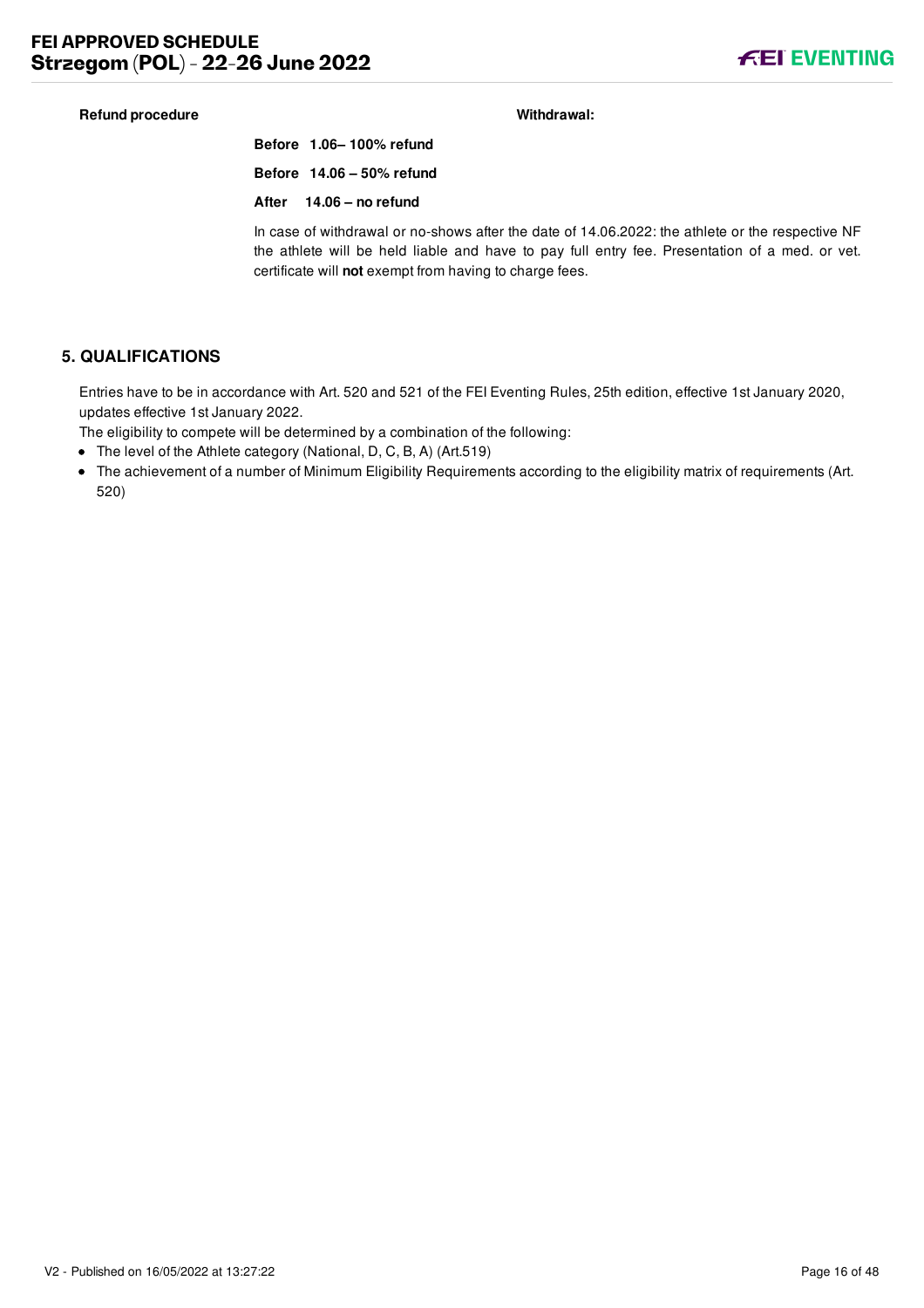#### **Refund procedure Withdrawal:**

**Before 1.06– 100% refund Before 14.06 – 50% refund After 14.06 – no refund**

In case of withdrawal or no-shows after the date of 14.06.2022: the athlete or the respective NF the athlete will be held liable and have to pay full entry fee. Presentation of a med. or vet. certificate will **not** exempt from having to charge fees.

### <span id="page-16-0"></span>**5. QUALIFICATIONS**

Entries have to be in accordance with Art. 520 and 521 of the FEI Eventing Rules, 25th edition, effective 1st January 2020, updates effective 1st January 2022.

The eligibility to compete will be determined by a combination of the following:

- The level of the Athlete category (National, D, C, B, A) (Art.519)
- The achievement of a number of Minimum Eligibility Requirements according to the eligibility matrix of requirements (Art. 520)

**FEI EVENTING**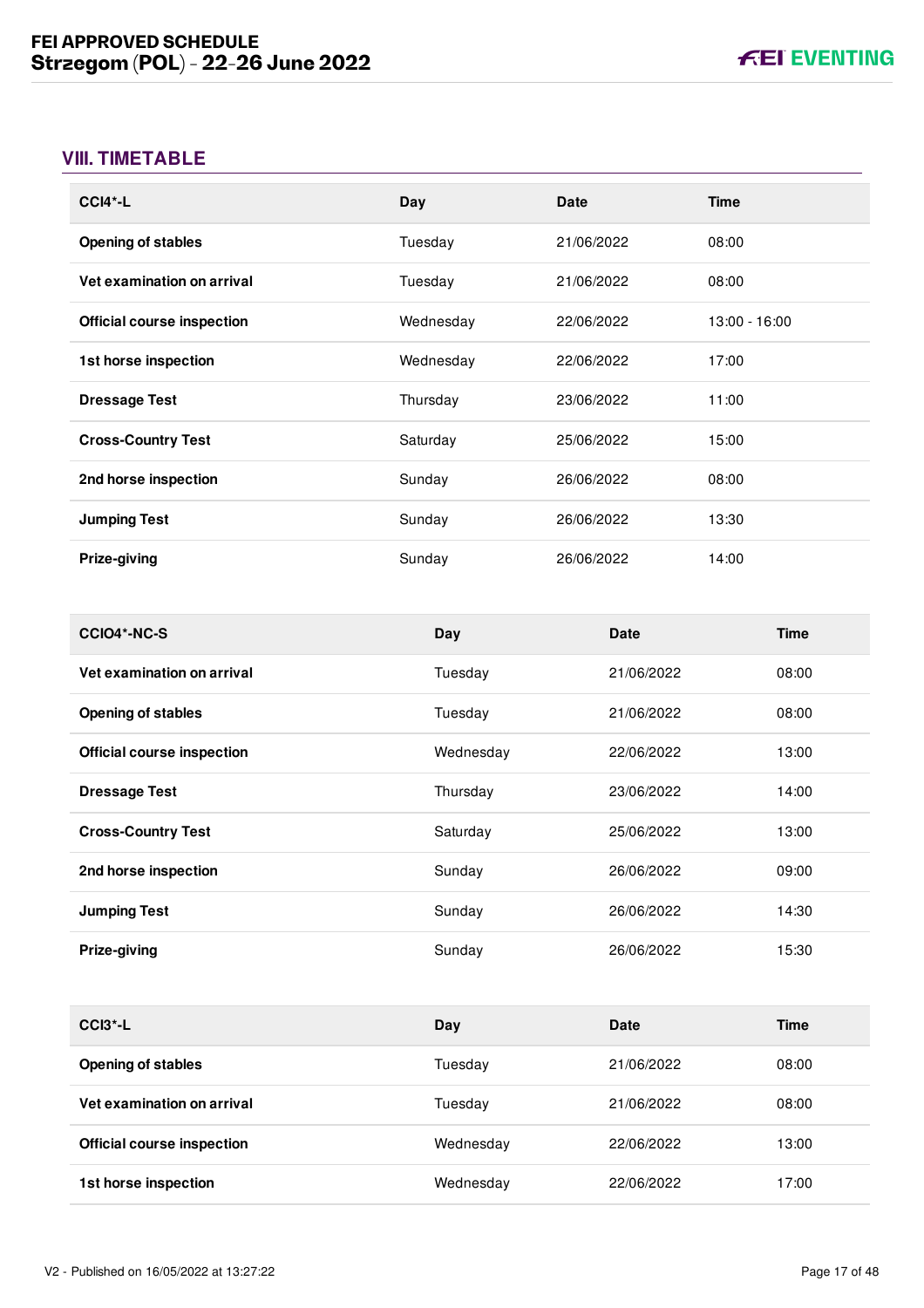# <span id="page-17-0"></span>**VIII. TIMETABLE**

| $CCI4*-L$                  | Day       | Date       | <b>Time</b>     |
|----------------------------|-----------|------------|-----------------|
| <b>Opening of stables</b>  | Tuesday   | 21/06/2022 | 08:00           |
| Vet examination on arrival | Tuesday   | 21/06/2022 | 08:00           |
| Official course inspection | Wednesday | 22/06/2022 | $13:00 - 16:00$ |
| 1st horse inspection       | Wednesday | 22/06/2022 | 17:00           |
| <b>Dressage Test</b>       | Thursday  | 23/06/2022 | 11:00           |
| <b>Cross-Country Test</b>  | Saturday  | 25/06/2022 | 15:00           |
| 2nd horse inspection       | Sunday    | 26/06/2022 | 08:00           |
| <b>Jumping Test</b>        | Sunday    | 26/06/2022 | 13:30           |
| Prize-giving               | Sunday    | 26/06/2022 | 14:00           |

| CCIO4*-NC-S                       | Day       | <b>Date</b> | Time  |
|-----------------------------------|-----------|-------------|-------|
| Vet examination on arrival        | Tuesday   | 21/06/2022  | 08:00 |
| <b>Opening of stables</b>         | Tuesday   | 21/06/2022  | 08:00 |
| <b>Official course inspection</b> | Wednesday | 22/06/2022  | 13:00 |
| <b>Dressage Test</b>              | Thursday  | 23/06/2022  | 14:00 |
| <b>Cross-Country Test</b>         | Saturday  | 25/06/2022  | 13:00 |
| 2nd horse inspection              | Sunday    | 26/06/2022  | 09:00 |
| <b>Jumping Test</b>               | Sunday    | 26/06/2022  | 14:30 |
| Prize-giving                      | Sunday    | 26/06/2022  | 15:30 |

| $CCI3$ <sup>*</sup> -L            | Day       | Date       | Time  |
|-----------------------------------|-----------|------------|-------|
| <b>Opening of stables</b>         | Tuesday   | 21/06/2022 | 08:00 |
| Vet examination on arrival        | Tuesdav   | 21/06/2022 | 08:00 |
| <b>Official course inspection</b> | Wednesday | 22/06/2022 | 13:00 |
| 1st horse inspection              | Wednesday | 22/06/2022 | 17:00 |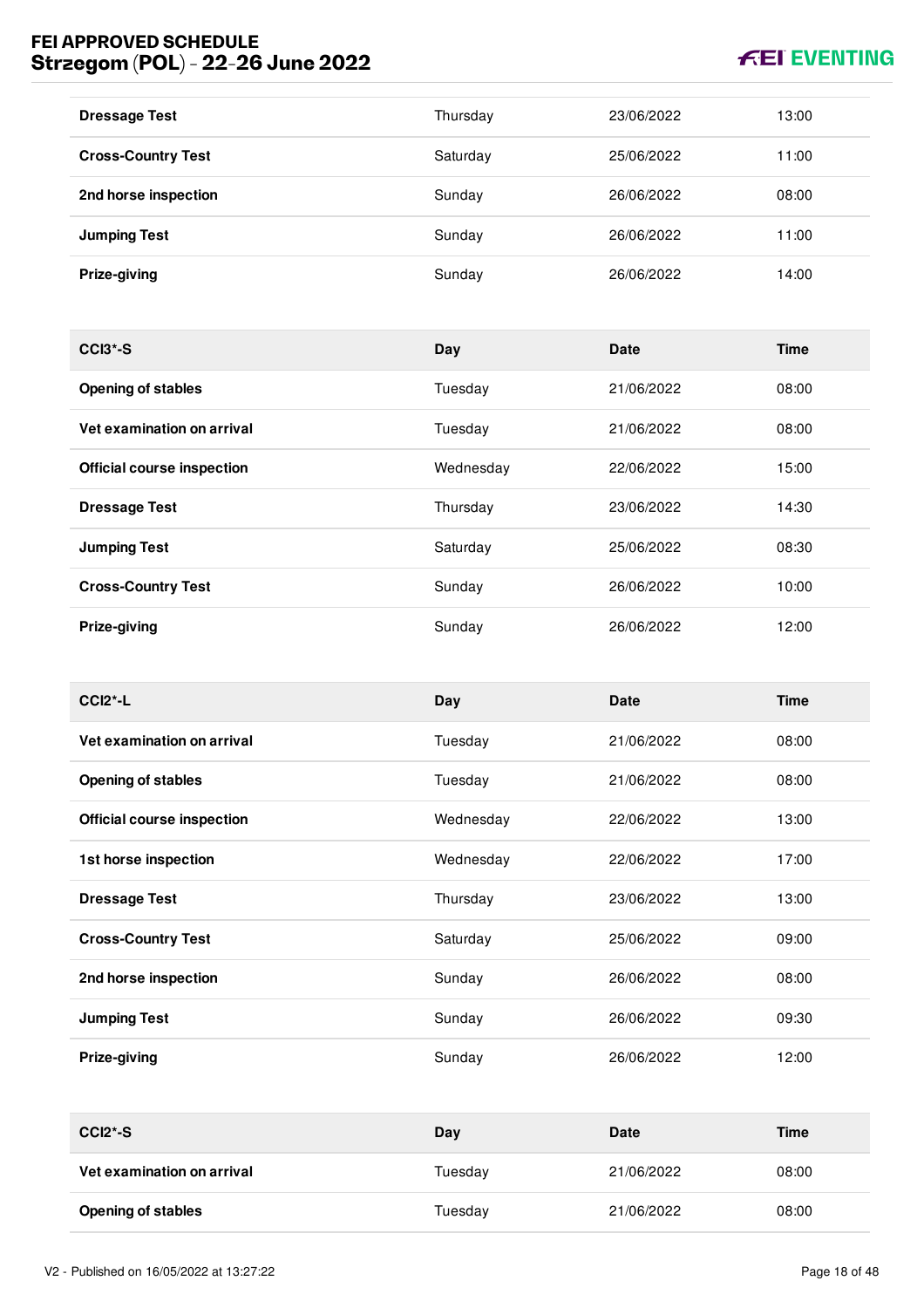# **FEI EVENTING**

| <b>Dressage Test</b>      | Thursday | 23/06/2022 | 13:00 |
|---------------------------|----------|------------|-------|
| <b>Cross-Country Test</b> | Saturday | 25/06/2022 | 11:00 |
| 2nd horse inspection      | Sunday   | 26/06/2022 | 08:00 |
| <b>Jumping Test</b>       | Sunday   | 26/06/2022 | 11:00 |
| Prize-giving              | Sunday   | 26/06/2022 | 14:00 |

| $CCI3*-S$                         | Day       | <b>Date</b> | <b>Time</b> |
|-----------------------------------|-----------|-------------|-------------|
| <b>Opening of stables</b>         | Tuesday   | 21/06/2022  | 08:00       |
| Vet examination on arrival        | Tuesday   | 21/06/2022  | 08:00       |
| <b>Official course inspection</b> | Wednesday | 22/06/2022  | 15:00       |
| <b>Dressage Test</b>              | Thursday  | 23/06/2022  | 14:30       |
| <b>Jumping Test</b>               | Saturday  | 25/06/2022  | 08:30       |
| <b>Cross-Country Test</b>         | Sunday    | 26/06/2022  | 10:00       |
| Prize-giving                      | Sunday    | 26/06/2022  | 12:00       |

| $CCI2*-L$                  | Day       | <b>Date</b> | <b>Time</b> |
|----------------------------|-----------|-------------|-------------|
| Vet examination on arrival | Tuesday   | 21/06/2022  | 08:00       |
| <b>Opening of stables</b>  | Tuesday   | 21/06/2022  | 08:00       |
| Official course inspection | Wednesday | 22/06/2022  | 13:00       |
| 1st horse inspection       | Wednesday | 22/06/2022  | 17:00       |
| <b>Dressage Test</b>       | Thursday  | 23/06/2022  | 13:00       |
| <b>Cross-Country Test</b>  | Saturday  | 25/06/2022  | 09:00       |
| 2nd horse inspection       | Sunday    | 26/06/2022  | 08:00       |
| <b>Jumping Test</b>        | Sunday    | 26/06/2022  | 09:30       |
| Prize-giving               | Sunday    | 26/06/2022  | 12:00       |

| $CCI2*-S$                  | Day     | <b>Date</b> | Time  |
|----------------------------|---------|-------------|-------|
| Vet examination on arrival | Tuesdav | 21/06/2022  | 08:00 |
| <b>Opening of stables</b>  | Tuesdav | 21/06/2022  | 08:00 |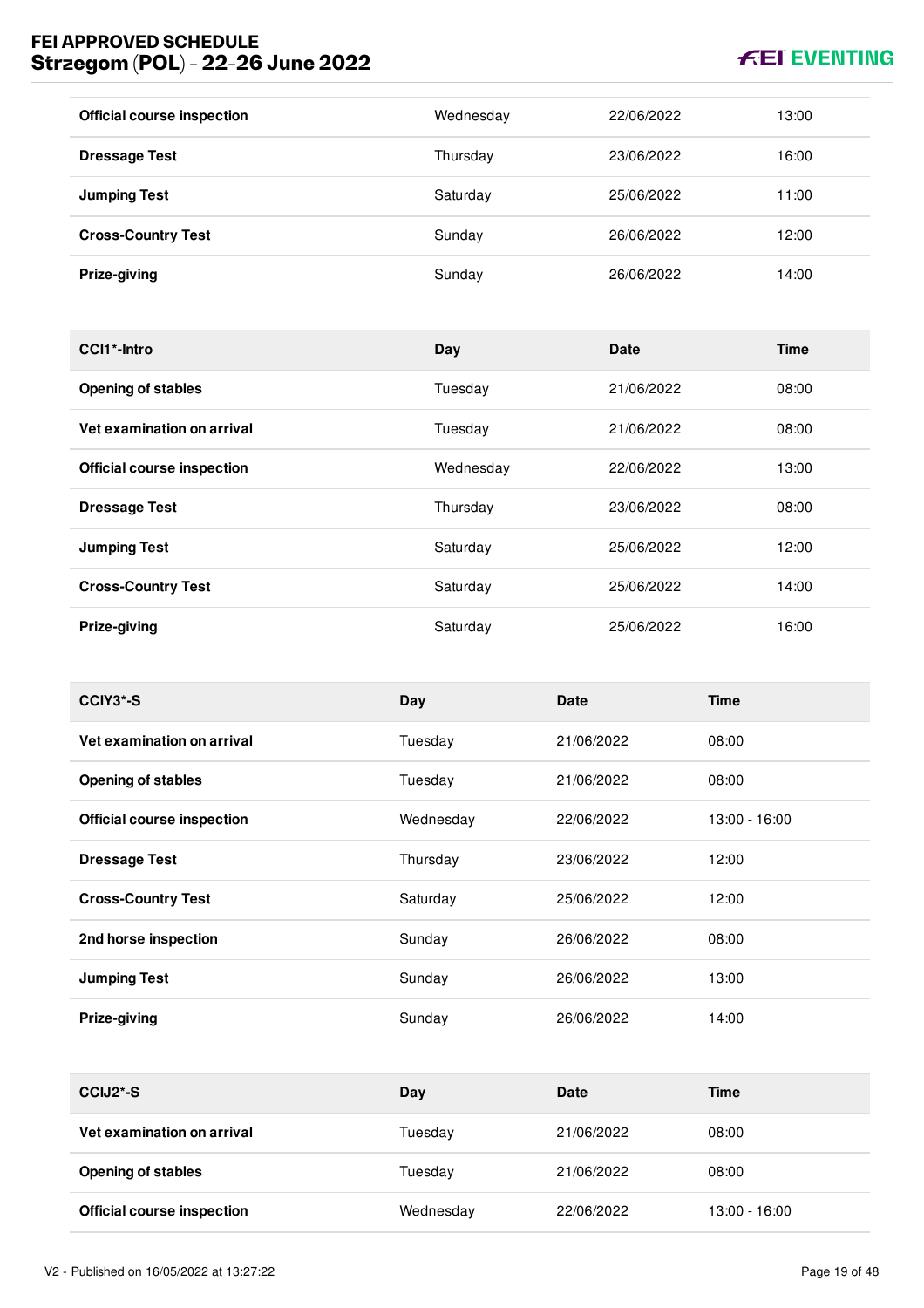# **FEI EVENTING**

| <b>Official course inspection</b> | Wednesday | 22/06/2022 | 13:00 |
|-----------------------------------|-----------|------------|-------|
| <b>Dressage Test</b>              | Thursday  | 23/06/2022 | 16:00 |
| <b>Jumping Test</b>               | Saturday  | 25/06/2022 | 11:00 |
| <b>Cross-Country Test</b>         | Sunday    | 26/06/2022 | 12:00 |
| Prize-giving                      | Sunday    | 26/06/2022 | 14:00 |

| CCI1*-Intro                       | Day       | <b>Date</b> | <b>Time</b> |
|-----------------------------------|-----------|-------------|-------------|
| <b>Opening of stables</b>         | Tuesday   | 21/06/2022  | 08:00       |
| Vet examination on arrival        | Tuesday   | 21/06/2022  | 08:00       |
| <b>Official course inspection</b> | Wednesday | 22/06/2022  | 13:00       |
| <b>Dressage Test</b>              | Thursday  | 23/06/2022  | 08:00       |
| <b>Jumping Test</b>               | Saturday  | 25/06/2022  | 12:00       |
| <b>Cross-Country Test</b>         | Saturday  | 25/06/2022  | 14:00       |
| Prize-giving                      | Saturday  | 25/06/2022  | 16:00       |

| CCIY3*-S                          | Day       | <b>Date</b> | <b>Time</b>     |
|-----------------------------------|-----------|-------------|-----------------|
| Vet examination on arrival        | Tuesday   | 21/06/2022  | 08:00           |
| <b>Opening of stables</b>         | Tuesday   | 21/06/2022  | 08:00           |
| <b>Official course inspection</b> | Wednesday | 22/06/2022  | $13:00 - 16:00$ |
| <b>Dressage Test</b>              | Thursday  | 23/06/2022  | 12:00           |
| <b>Cross-Country Test</b>         | Saturday  | 25/06/2022  | 12:00           |
| 2nd horse inspection              | Sunday    | 26/06/2022  | 08:00           |
| <b>Jumping Test</b>               | Sunday    | 26/06/2022  | 13:00           |
| Prize-giving                      | Sunday    | 26/06/2022  | 14:00           |

| CCIJ <sub>2</sub> <sup>*</sup> -S | Day       | <b>Date</b> | Time            |
|-----------------------------------|-----------|-------------|-----------------|
| Vet examination on arrival        | Tuesday   | 21/06/2022  | 08:00           |
| <b>Opening of stables</b>         | Tuesdav   | 21/06/2022  | 08:00           |
| <b>Official course inspection</b> | Wednesday | 22/06/2022  | $13:00 - 16:00$ |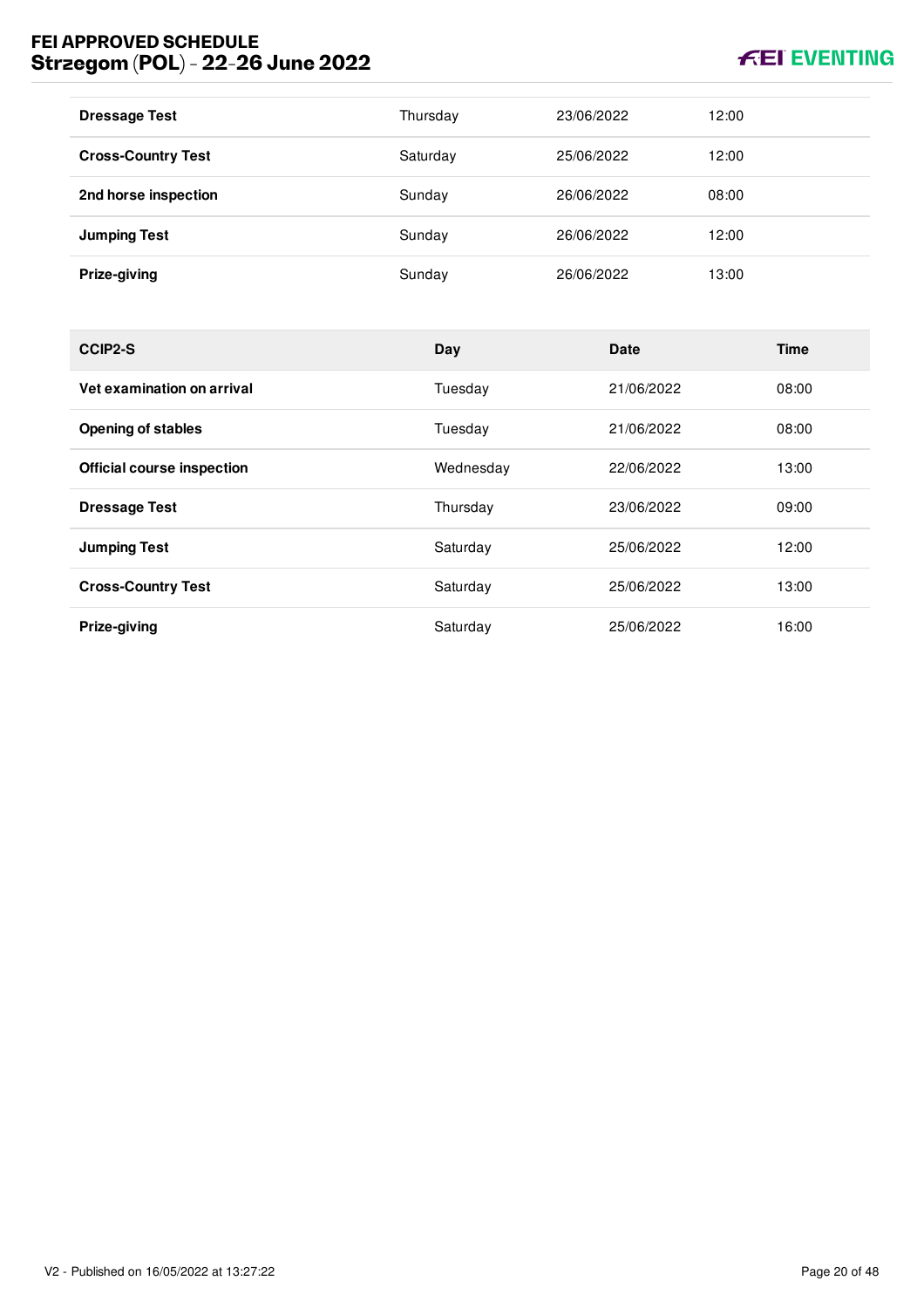# **KEI EVENTING**

| <b>Dressage Test</b>      | Thursday | 23/06/2022 | 12:00 |
|---------------------------|----------|------------|-------|
| <b>Cross-Country Test</b> | Saturday | 25/06/2022 | 12:00 |
| 2nd horse inspection      | Sunday   | 26/06/2022 | 08:00 |
| <b>Jumping Test</b>       | Sunday   | 26/06/2022 | 12:00 |
| Prize-giving              | Sunday   | 26/06/2022 | 13:00 |

| CCIP2-S                           | Day       | <b>Date</b> | <b>Time</b> |
|-----------------------------------|-----------|-------------|-------------|
| Vet examination on arrival        | Tuesday   | 21/06/2022  | 08:00       |
| <b>Opening of stables</b>         | Tuesday   | 21/06/2022  | 08:00       |
| <b>Official course inspection</b> | Wednesday | 22/06/2022  | 13:00       |
| <b>Dressage Test</b>              | Thursday  | 23/06/2022  | 09:00       |
| <b>Jumping Test</b>               | Saturday  | 25/06/2022  | 12:00       |
| <b>Cross-Country Test</b>         | Saturday  | 25/06/2022  | 13:00       |
| Prize-giving                      | Saturday  | 25/06/2022  | 16:00       |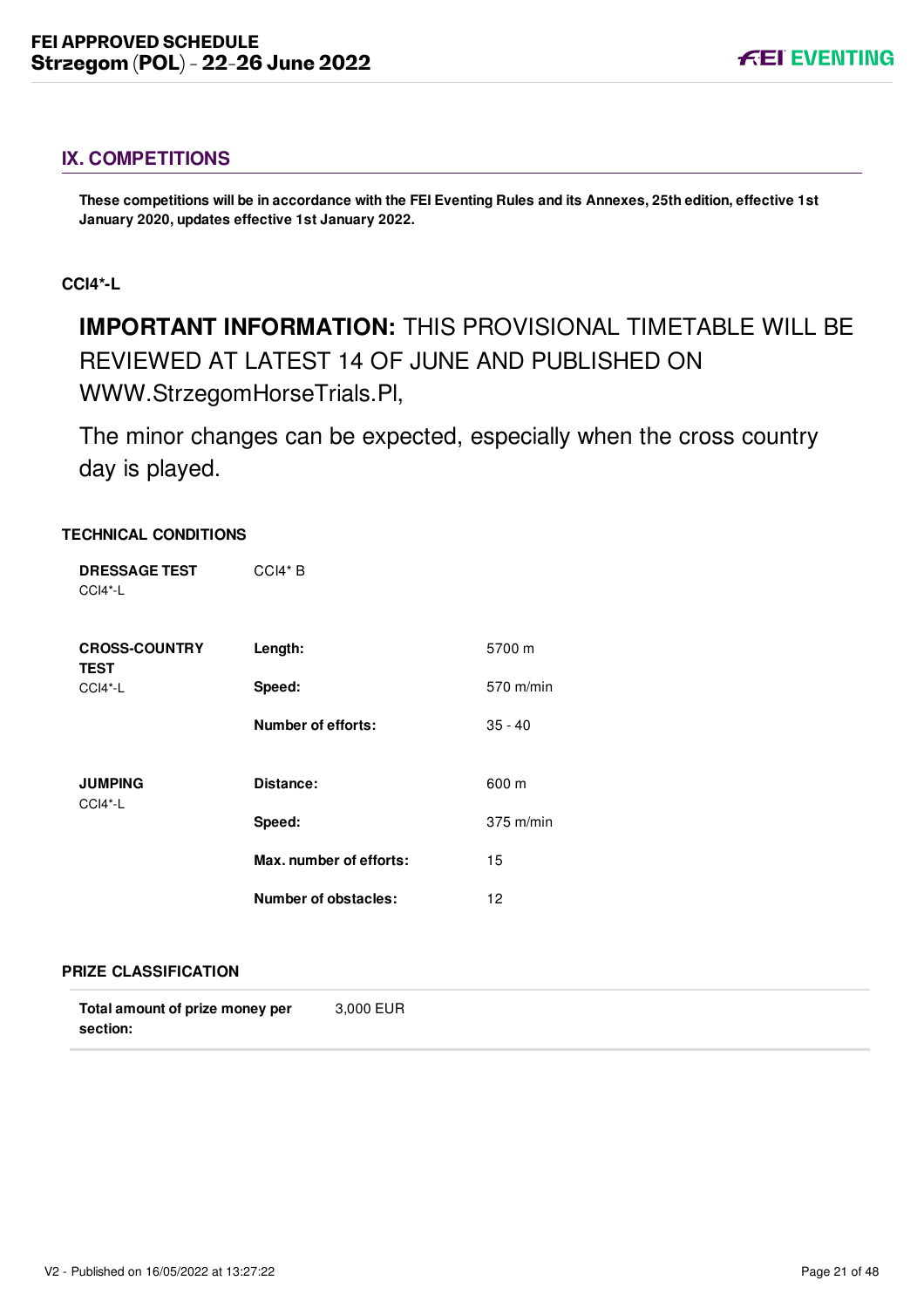# <span id="page-21-0"></span>**IX. COMPETITIONS**

**These competitions will be in accordance with the FEI Eventing Rules and its Annexes, 25th edition, effective 1st January 2020, updates effective 1st January 2022.**

#### <span id="page-21-1"></span>**CCI4\*-L**

# **IMPORTANT INFORMATION:** THIS PROVISIONAL TIMETABLE WILL BE REVIEWED AT LATEST 14 OF JUNE AND PUBLISHED ON WWW.StrzegomHorseTrials.Pl,

The minor changes can be expected, especially when the cross country day is played.

#### **TECHNICAL CONDITIONS**

| <b>DRESSAGE TEST</b><br>$CCI4*-L$   | $CCH* B$                |             |
|-------------------------------------|-------------------------|-------------|
| <b>CROSS-COUNTRY</b><br><b>TEST</b> | Length:                 | 5700 m      |
| $CCI4*-L$                           | Speed:                  | 570 m/min   |
|                                     | Number of efforts:      | $35 - 40$   |
| <b>JUMPING</b><br>CCI4*-L           | Distance:               | 600 m       |
|                                     | Speed:                  | $375$ m/min |
|                                     | Max. number of efforts: | 15          |
|                                     | Number of obstacles:    | 12          |

#### **PRIZE CLASSIFICATION**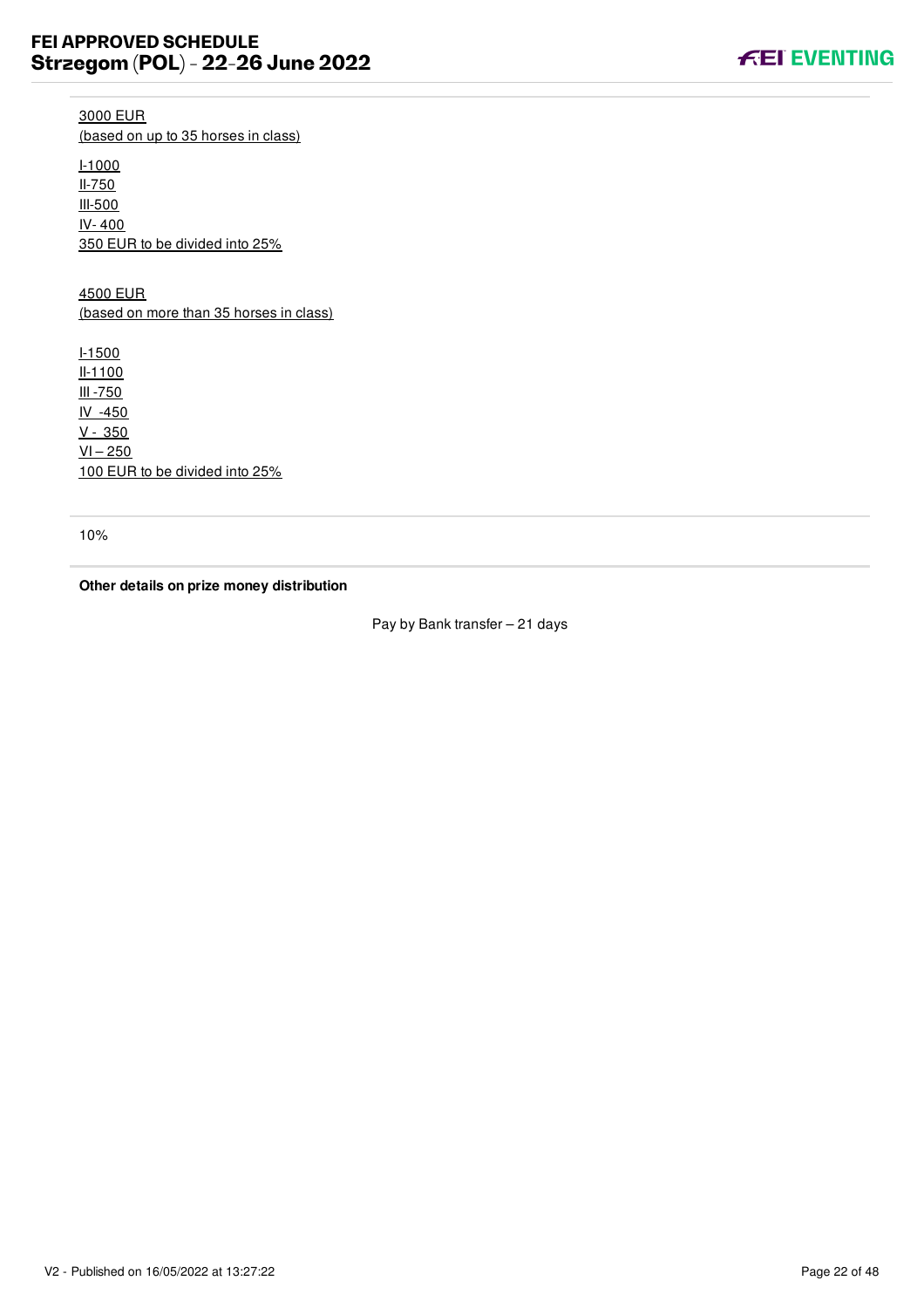**FEI EVENTING** 

3000 EUR (based on up to 35 horses in class)

I-1000 II-750 III-500 IV- 400 350 EUR to be divided into 25%

4500 EUR (based on more than 35 horses in class)

I-1500 II-1100 III -750 IV -450 V - 350  $VI - 250$ 100 EUR to be divided into 25%

10%

**Other details on prize money distribution**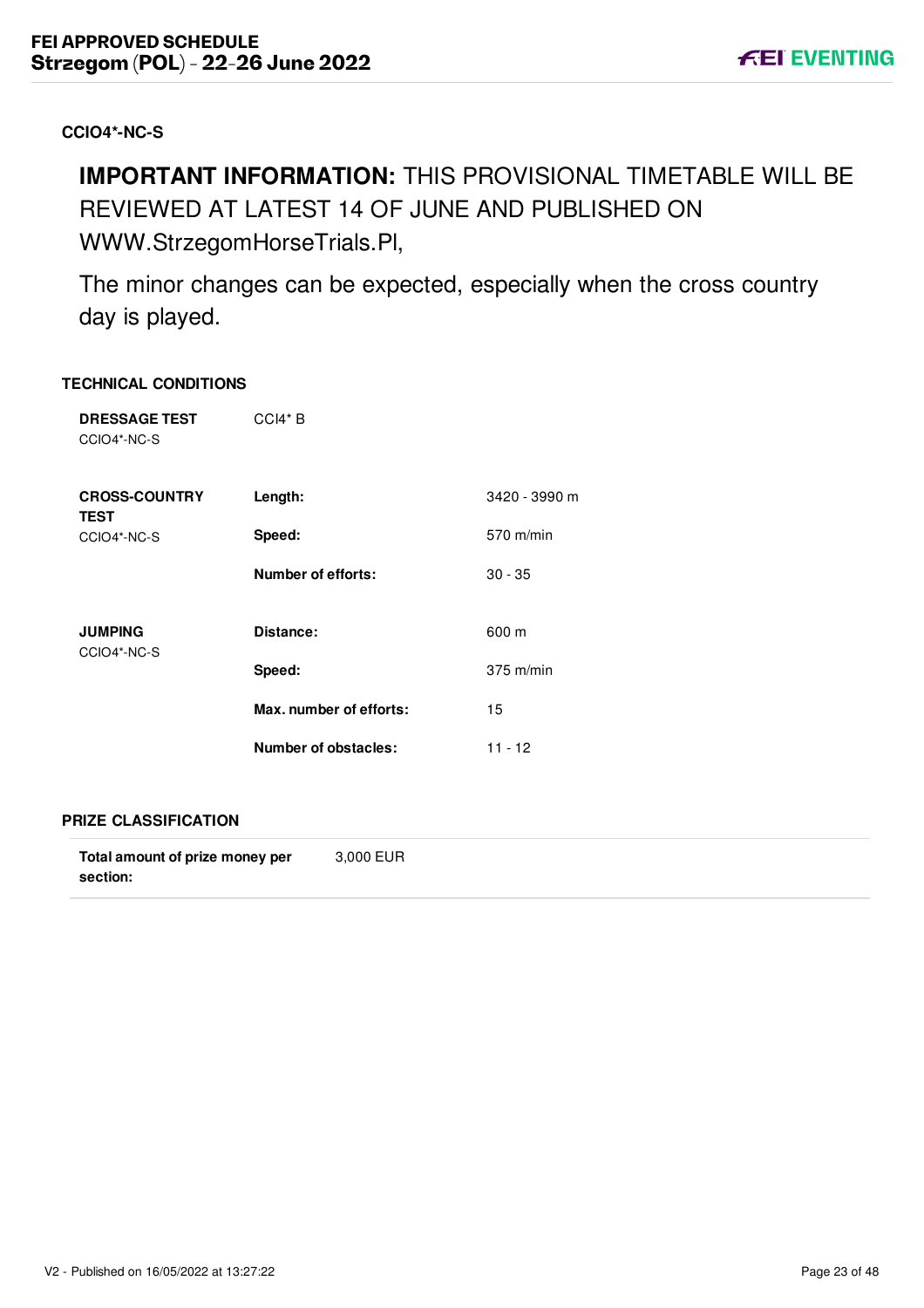# <span id="page-23-0"></span>**CCIO4\*-NC-S**

# **IMPORTANT INFORMATION:** THIS PROVISIONAL TIMETABLE WILL BE REVIEWED AT LATEST 14 OF JUNE AND PUBLISHED ON WWW.StrzegomHorseTrials.Pl,

The minor changes can be expected, especially when the cross country day is played.

#### **TECHNICAL CONDITIONS**

| <b>DRESSAGE TEST</b><br>CCIO4*-NC-S | $CCH* B$                |               |
|-------------------------------------|-------------------------|---------------|
| <b>CROSS-COUNTRY</b><br><b>TEST</b> | Length:                 | 3420 - 3990 m |
| CCIO4*-NC-S                         | Speed:                  | 570 m/min     |
|                                     | Number of efforts:      | $30 - 35$     |
| <b>JUMPING</b><br>CCIO4*-NC-S       | Distance:               | 600 m         |
|                                     | Speed:                  | $375$ m/min   |
|                                     | Max. number of efforts: | 15            |
|                                     | Number of obstacles:    | 11 - 12       |

#### **PRIZE CLASSIFICATION**

| Total amount of prize money per | 3,000 EUR |  |
|---------------------------------|-----------|--|
| section:                        |           |  |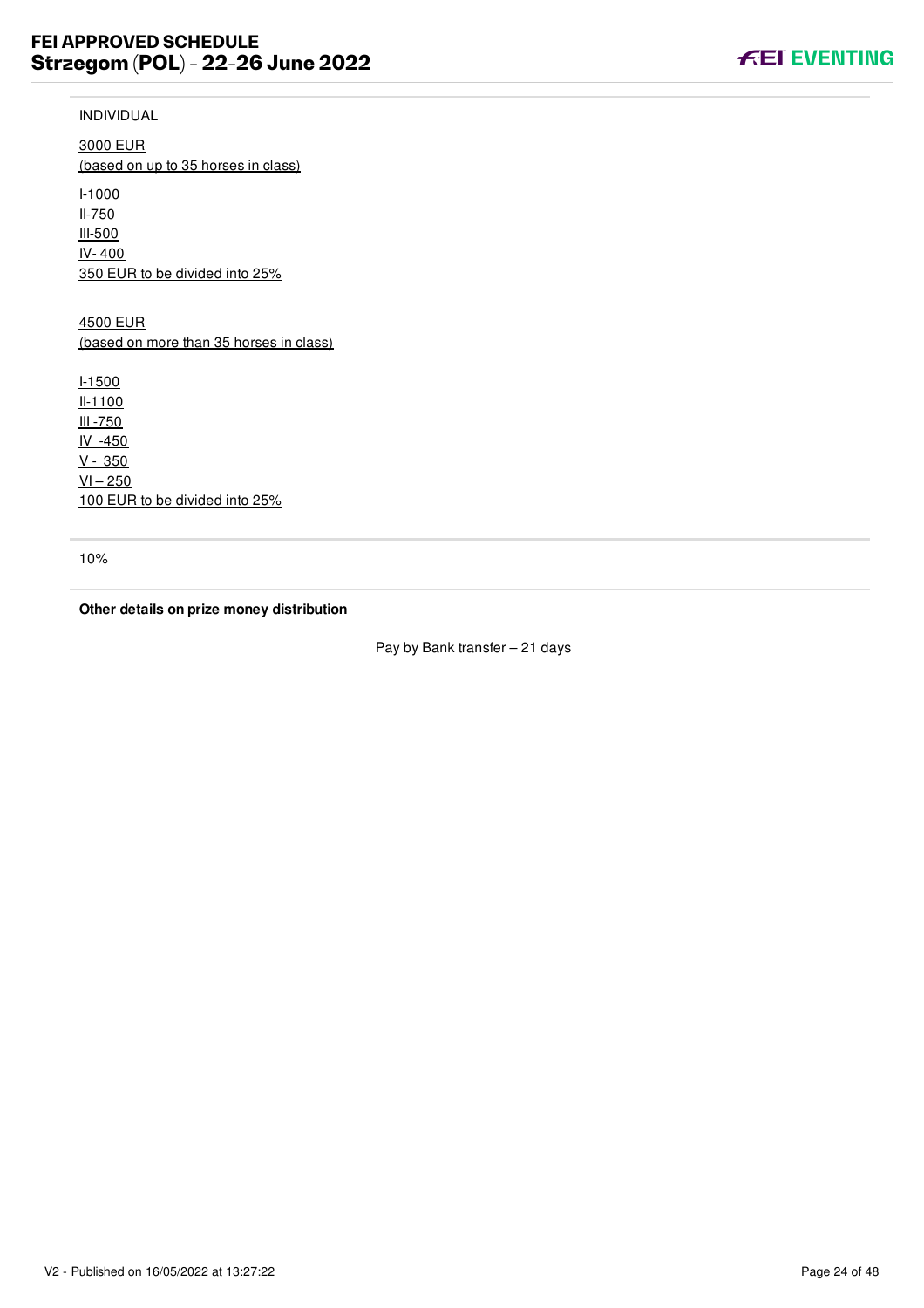

3000 EUR (based on up to 35 horses in class)

I-1000 II-750 III-500 IV- 400 350 EUR to be divided into 25%

4500 EUR (based on more than 35 horses in class)

I-1500 II-1100 III -750 IV -450  $V - 350$  $VI - 250$ 100 EUR to be divided into 25%

10%

**Other details on prize money distribution**

Pay by Bank transfer – 21 days

**FEI EVENTING**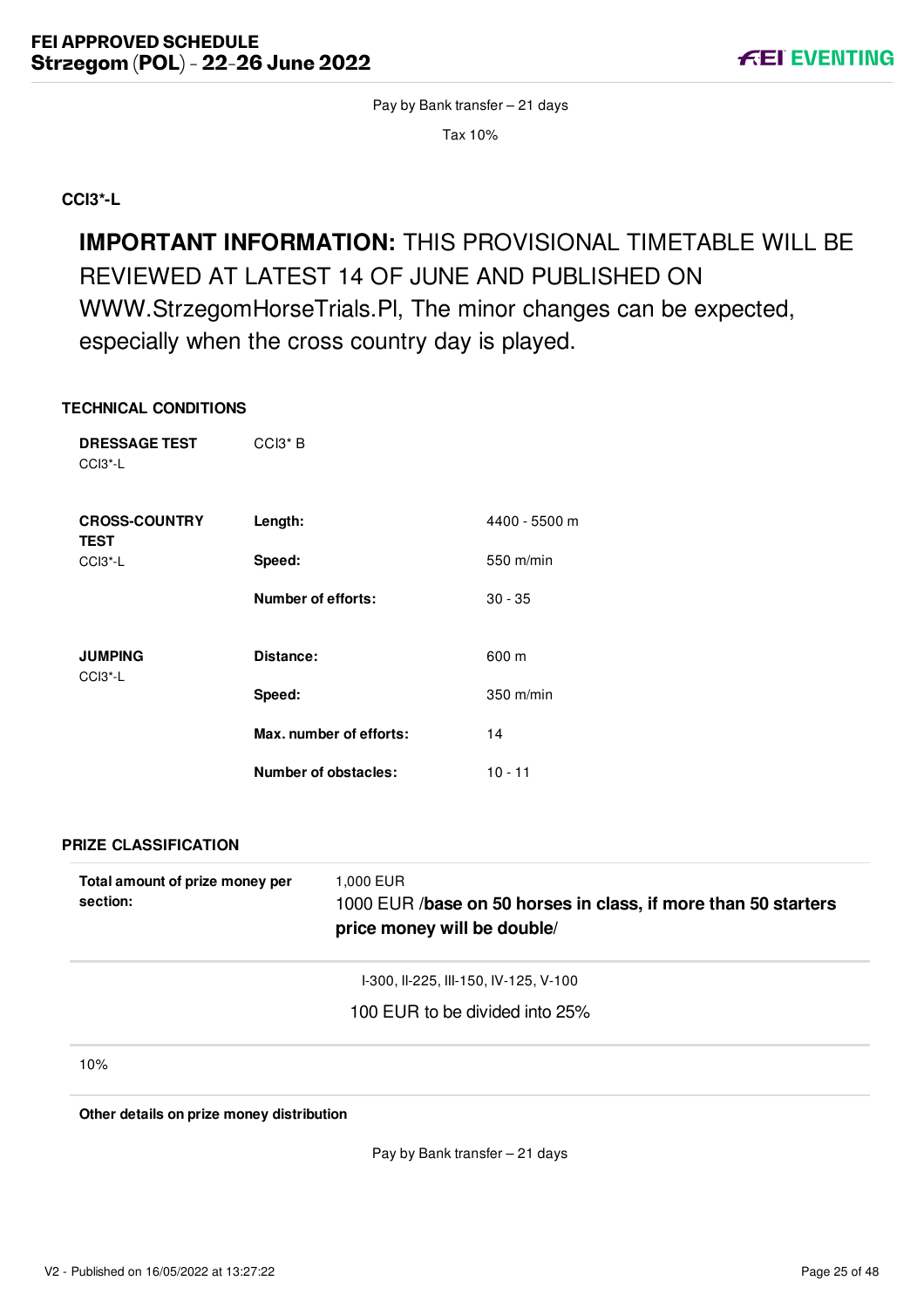Pay by Bank transfer – 21 days

Tax 10%

<span id="page-25-0"></span>**CCI3\*-L**

**IMPORTANT INFORMATION:** THIS PROVISIONAL TIMETABLE WILL BE REVIEWED AT LATEST 14 OF JUNE AND PUBLISHED ON WWW.StrzegomHorseTrials.Pl, The minor changes can be expected, especially when the cross country day is played.

#### **TECHNICAL CONDITIONS**

| <b>DRESSAGE TEST</b><br>CCI3*-L     | CCI3 <sup>*</sup> B         |               |
|-------------------------------------|-----------------------------|---------------|
| <b>CROSS-COUNTRY</b><br><b>TEST</b> | Length:                     | 4400 - 5500 m |
| CCI3*-L                             | Speed:                      | 550 m/min     |
|                                     | <b>Number of efforts:</b>   | $30 - 35$     |
| <b>JUMPING</b><br>CCI3*-L           | Distance:                   | 600 m         |
|                                     | Speed:                      | 350 m/min     |
|                                     | Max. number of efforts:     | 14            |
|                                     | <b>Number of obstacles:</b> | $10 - 11$     |
| <b>PRIZE CLASSIFICATION</b>         |                             |               |

| Total amount of prize money per<br>section: | 1,000 EUR<br>1000 EUR /base on 50 horses in class, if more than 50 starters<br>price money will be double/ |  |
|---------------------------------------------|------------------------------------------------------------------------------------------------------------|--|
|                                             | I-300, II-225, III-150, IV-125, V-100                                                                      |  |
|                                             | 100 EUR to be divided into 25%                                                                             |  |
| 10%                                         |                                                                                                            |  |

**Other details on prize money distribution**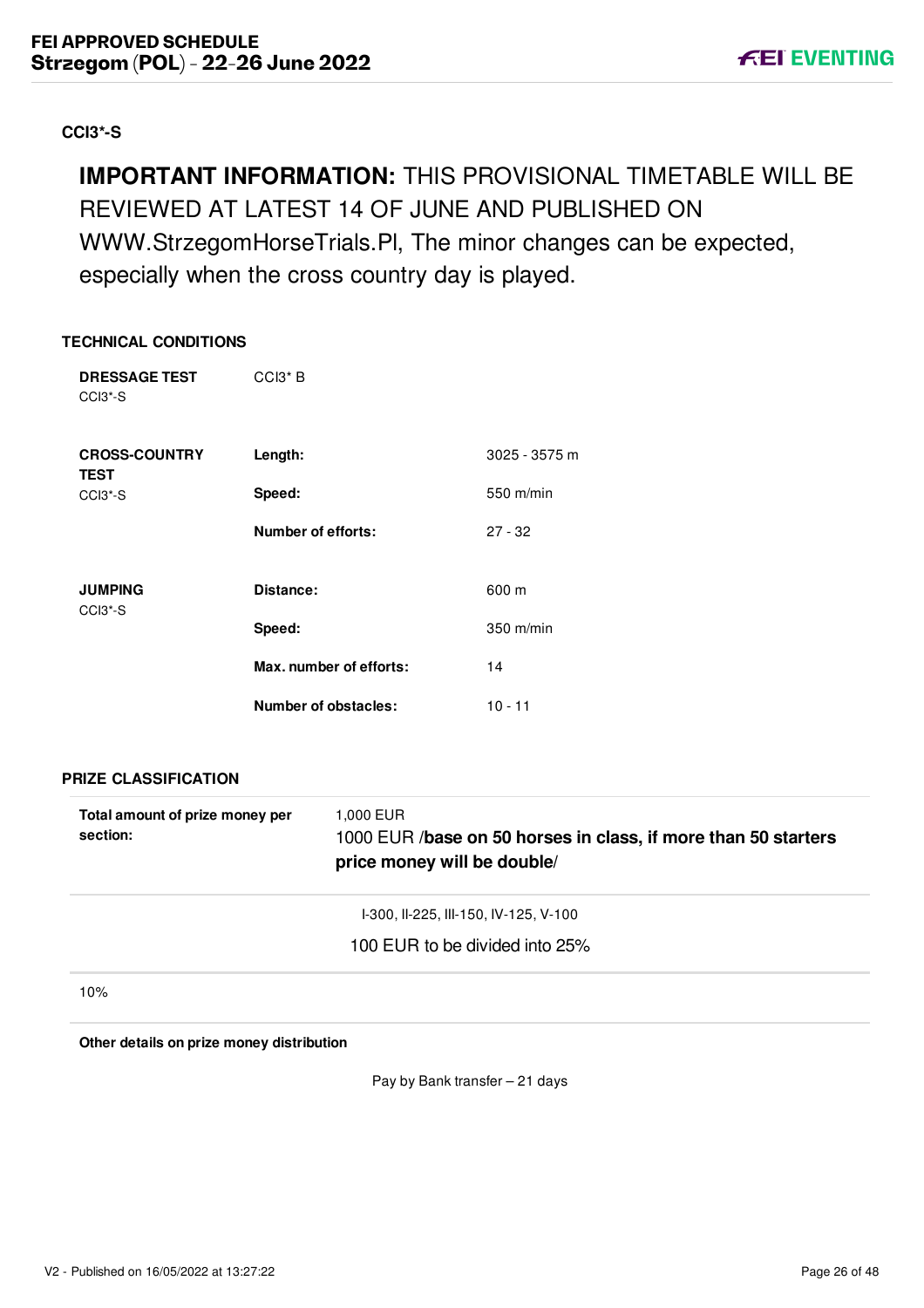# <span id="page-26-0"></span>**CCI3\*-S**

# **IMPORTANT INFORMATION:** THIS PROVISIONAL TIMETABLE WILL BE REVIEWED AT LATEST 14 OF JUNE AND PUBLISHED ON WWW.StrzegomHorseTrials.Pl, The minor changes can be expected, especially when the cross country day is played.

#### **TECHNICAL CONDITIONS**

| <b>DRESSAGE TEST</b><br>CCI <sub>3</sub> <sup>*</sup> -S | CCI <sub>3</sub> * B    |               |
|----------------------------------------------------------|-------------------------|---------------|
| <b>CROSS-COUNTRY</b><br><b>TEST</b>                      | Length:                 | 3025 - 3575 m |
| CCI <sub>3</sub> <sup>*</sup> -S                         | Speed:                  | 550 m/min     |
|                                                          | Number of efforts:      | $27 - 32$     |
| <b>JUMPING</b><br>CCI <sub>3</sub> <sup>*</sup> -S       | Distance:               | 600 m         |
|                                                          | Speed:                  | $350$ m/min   |
|                                                          | Max. number of efforts: | 14            |
|                                                          | Number of obstacles:    | $10 - 11$     |

**PRIZE CLASSIFICATION**

| Total amount of prize money per<br>section: | 1,000 EUR<br>1000 EUR /base on 50 horses in class, if more than 50 starters<br>price money will be double/ |
|---------------------------------------------|------------------------------------------------------------------------------------------------------------|
|                                             | I-300, II-225, III-150, IV-125, V-100                                                                      |
|                                             | 100 EUR to be divided into 25%                                                                             |
| 10%                                         |                                                                                                            |

**Other details on prize money distribution**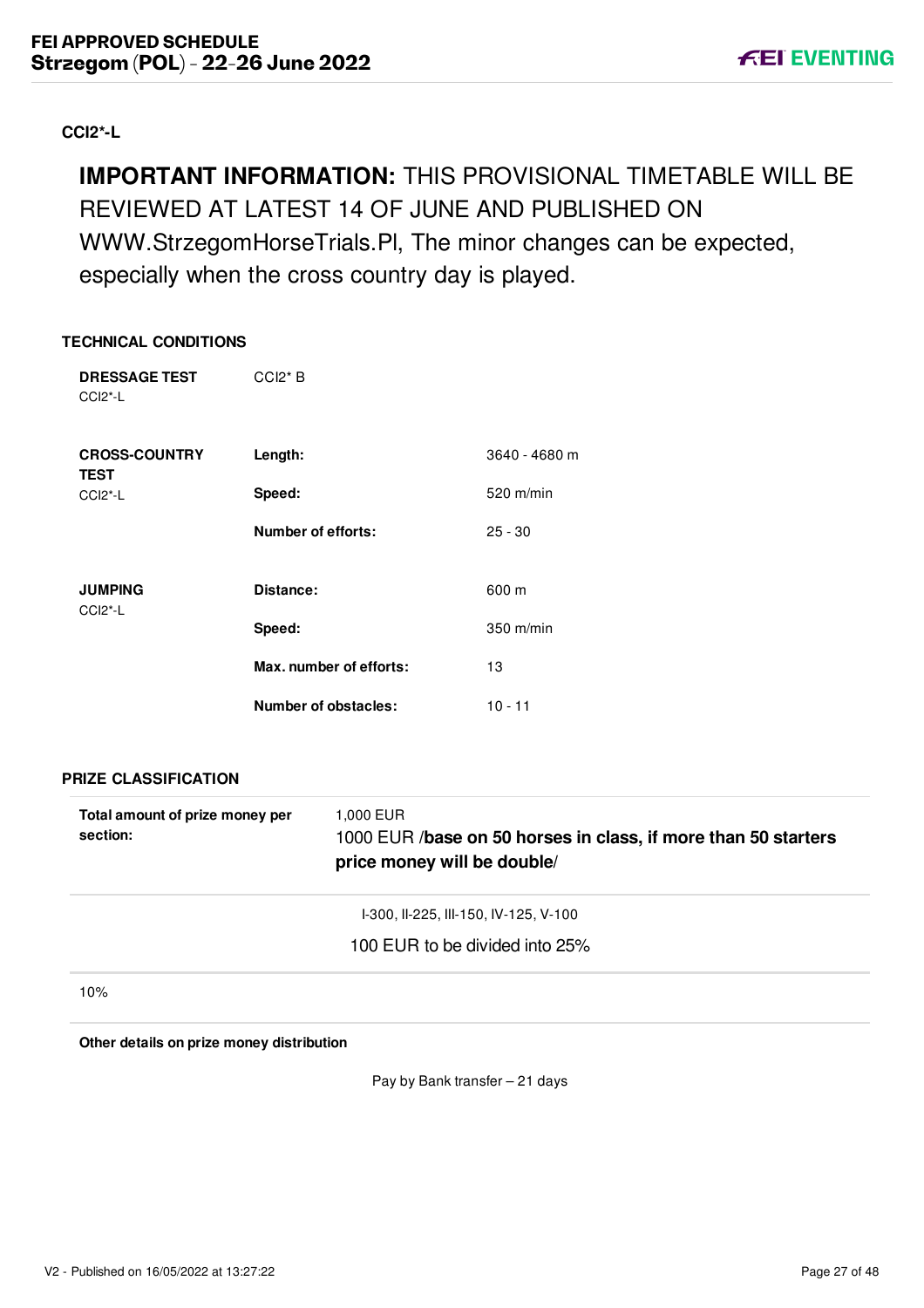# <span id="page-27-0"></span>**CCI2\*-L**

# **IMPORTANT INFORMATION:** THIS PROVISIONAL TIMETABLE WILL BE REVIEWED AT LATEST 14 OF JUNE AND PUBLISHED ON WWW.StrzegomHorseTrials.Pl, The minor changes can be expected, especially when the cross country day is played.

### **TECHNICAL CONDITIONS**

| <b>DRESSAGE TEST</b><br>$CCI2^* - L$               | $CCl2*B$                |               |
|----------------------------------------------------|-------------------------|---------------|
| <b>CROSS-COUNTRY</b><br><b>TEST</b>                | Length:                 | 3640 - 4680 m |
| CCI <sub>2</sub> <sup>*</sup> -L                   | Speed:                  | $520$ m/min   |
|                                                    | Number of efforts:      | $25 - 30$     |
| <b>JUMPING</b><br>CCI <sub>2</sub> <sup>*</sup> -L | Distance:               | 600 m         |
|                                                    | Speed:                  | $350$ m/min   |
|                                                    | Max. number of efforts: | 13            |
|                                                    | Number of obstacles:    | $10 - 11$     |

**PRIZE CLASSIFICATION**

| Total amount of prize money per<br>section: | 1,000 EUR<br>1000 EUR /base on 50 horses in class, if more than 50 starters<br>price money will be double/ |
|---------------------------------------------|------------------------------------------------------------------------------------------------------------|
|                                             | 1-300, II-225, III-150, IV-125, V-100                                                                      |
|                                             | 100 EUR to be divided into 25%                                                                             |
| 10%                                         |                                                                                                            |

**Other details on prize money distribution**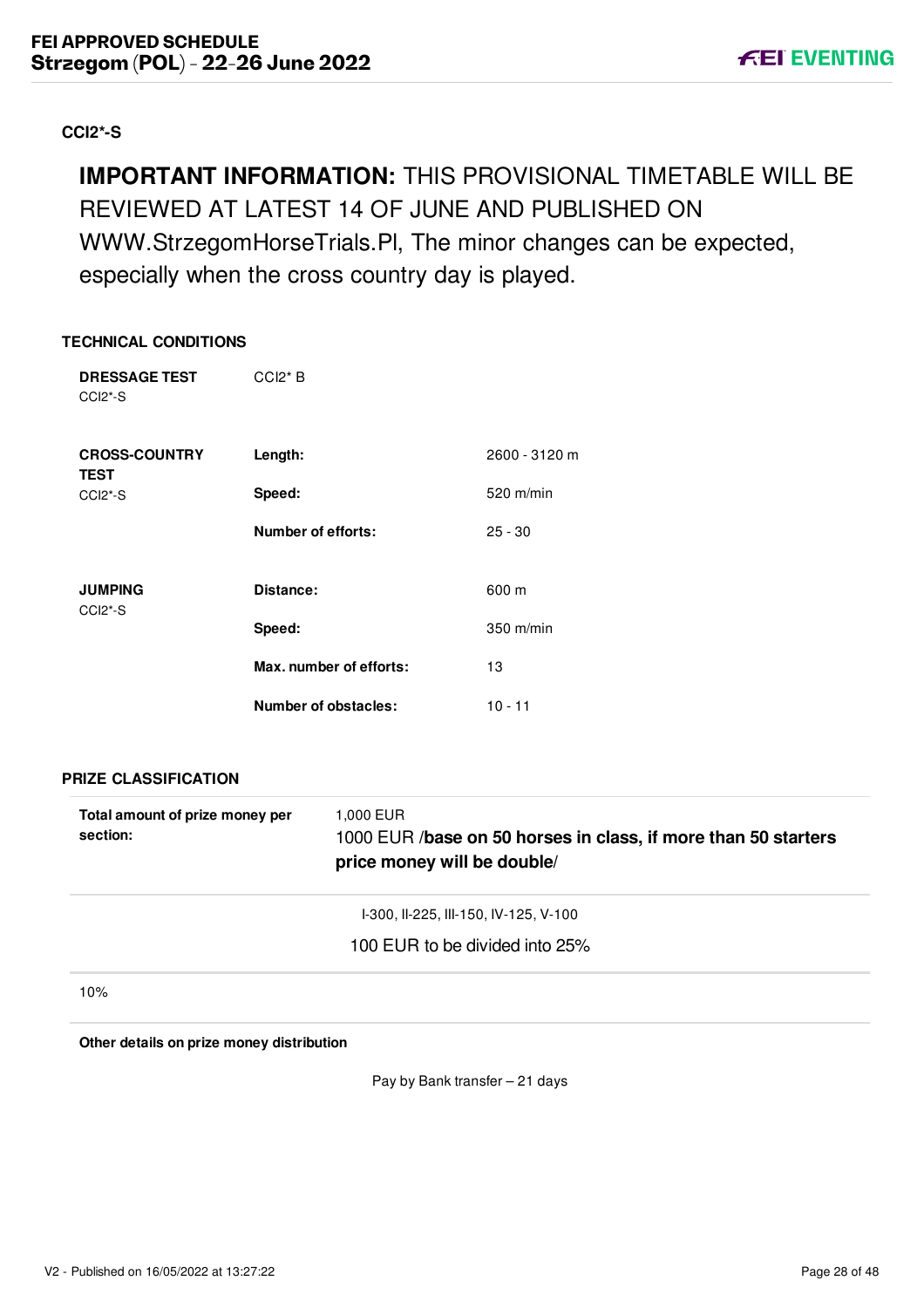# <span id="page-28-0"></span>**CCI2\*-S**

# **IMPORTANT INFORMATION:** THIS PROVISIONAL TIMETABLE WILL BE REVIEWED AT LATEST 14 OF JUNE AND PUBLISHED ON WWW.StrzegomHorseTrials.Pl, The minor changes can be expected, especially when the cross country day is played.

#### **TECHNICAL CONDITIONS**

| <b>DRESSAGE TEST</b><br>CCI <sub>2</sub> <sup>*</sup> -S | $CCl2*B$                |               |
|----------------------------------------------------------|-------------------------|---------------|
| <b>CROSS-COUNTRY</b><br><b>TEST</b>                      | Length:                 | 2600 - 3120 m |
| CCI <sub>2</sub> <sup>*</sup> -S                         | Speed:                  | 520 m/min     |
|                                                          | Number of efforts:      | $25 - 30$     |
| <b>JUMPING</b><br>CCI <sub>2</sub> <sup>*</sup> -S       | Distance:               | 600 m         |
|                                                          | Speed:                  | 350 m/min     |
|                                                          | Max. number of efforts: | 13            |
|                                                          | Number of obstacles:    | $10 - 11$     |

**PRIZE CLASSIFICATION**

| Total amount of prize money per<br>section: | 1,000 EUR<br>1000 EUR /base on 50 horses in class, if more than 50 starters<br>price money will be double/ |
|---------------------------------------------|------------------------------------------------------------------------------------------------------------|
|                                             | I-300, II-225, III-150, IV-125, V-100                                                                      |
|                                             | 100 EUR to be divided into 25%                                                                             |
| 10%                                         |                                                                                                            |

**Other details on prize money distribution**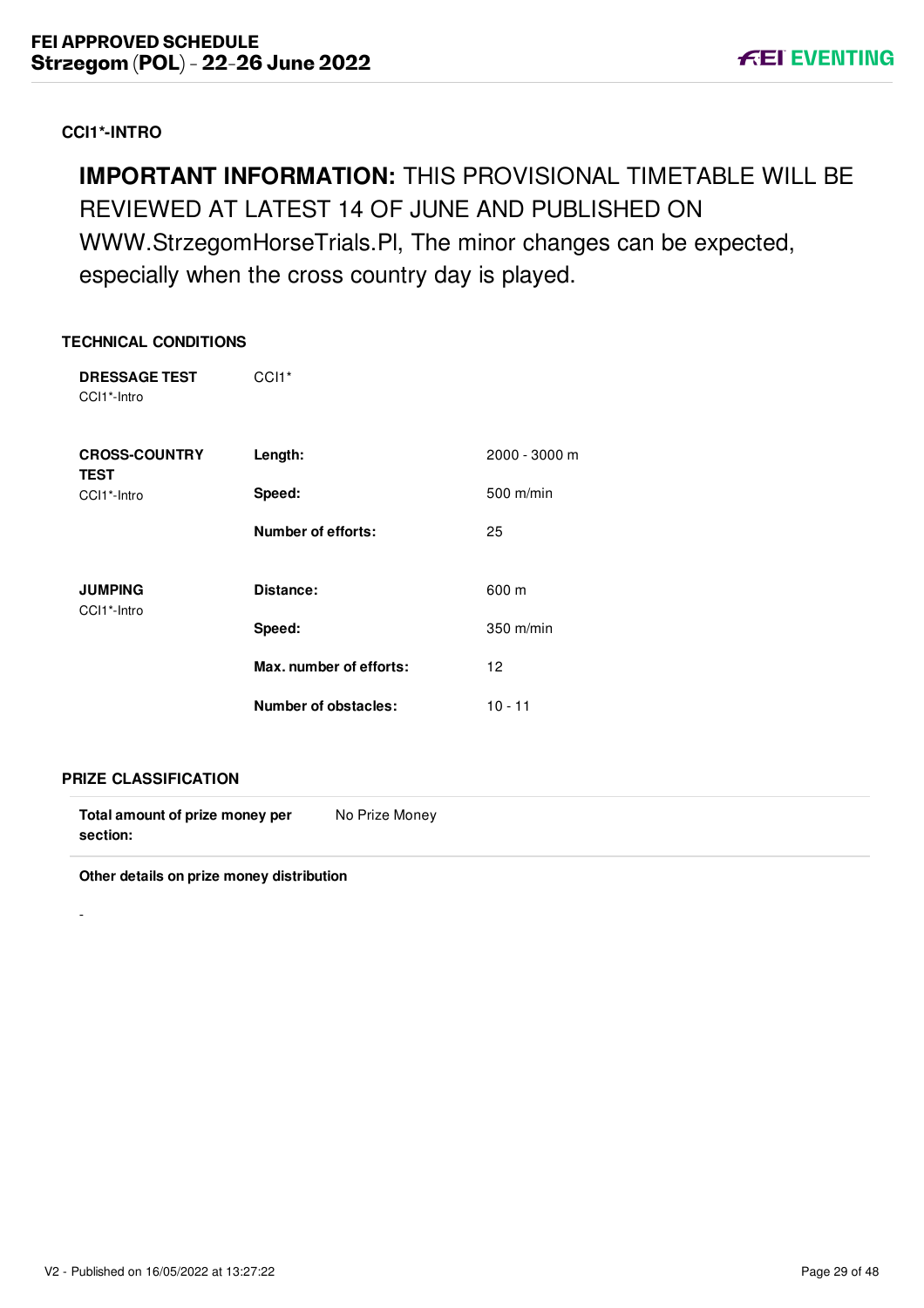# <span id="page-29-0"></span>**CCI1\*-INTRO**

# **IMPORTANT INFORMATION:** THIS PROVISIONAL TIMETABLE WILL BE REVIEWED AT LATEST 14 OF JUNE AND PUBLISHED ON WWW.StrzegomHorseTrials.Pl, The minor changes can be expected, especially when the cross country day is played.

#### **TECHNICAL CONDITIONS**

| <b>DRESSAGE TEST</b><br>CCI1*-Intro | CCI <sub>1</sub> *      |               |
|-------------------------------------|-------------------------|---------------|
| <b>CROSS-COUNTRY</b><br><b>TEST</b> | Length:                 | 2000 - 3000 m |
| CCI1*-Intro                         | Speed:                  | $500$ m/min   |
|                                     | Number of efforts:      | 25            |
| <b>JUMPING</b><br>CCI1*-Intro       | Distance:               | 600 m         |
|                                     | Speed:                  | 350 m/min     |
|                                     | Max. number of efforts: | 12            |
|                                     | Number of obstacles:    | $10 - 11$     |

#### **PRIZE CLASSIFICATION**

-

| Total amount of prize money per | No Prize Money |  |
|---------------------------------|----------------|--|
| section:                        |                |  |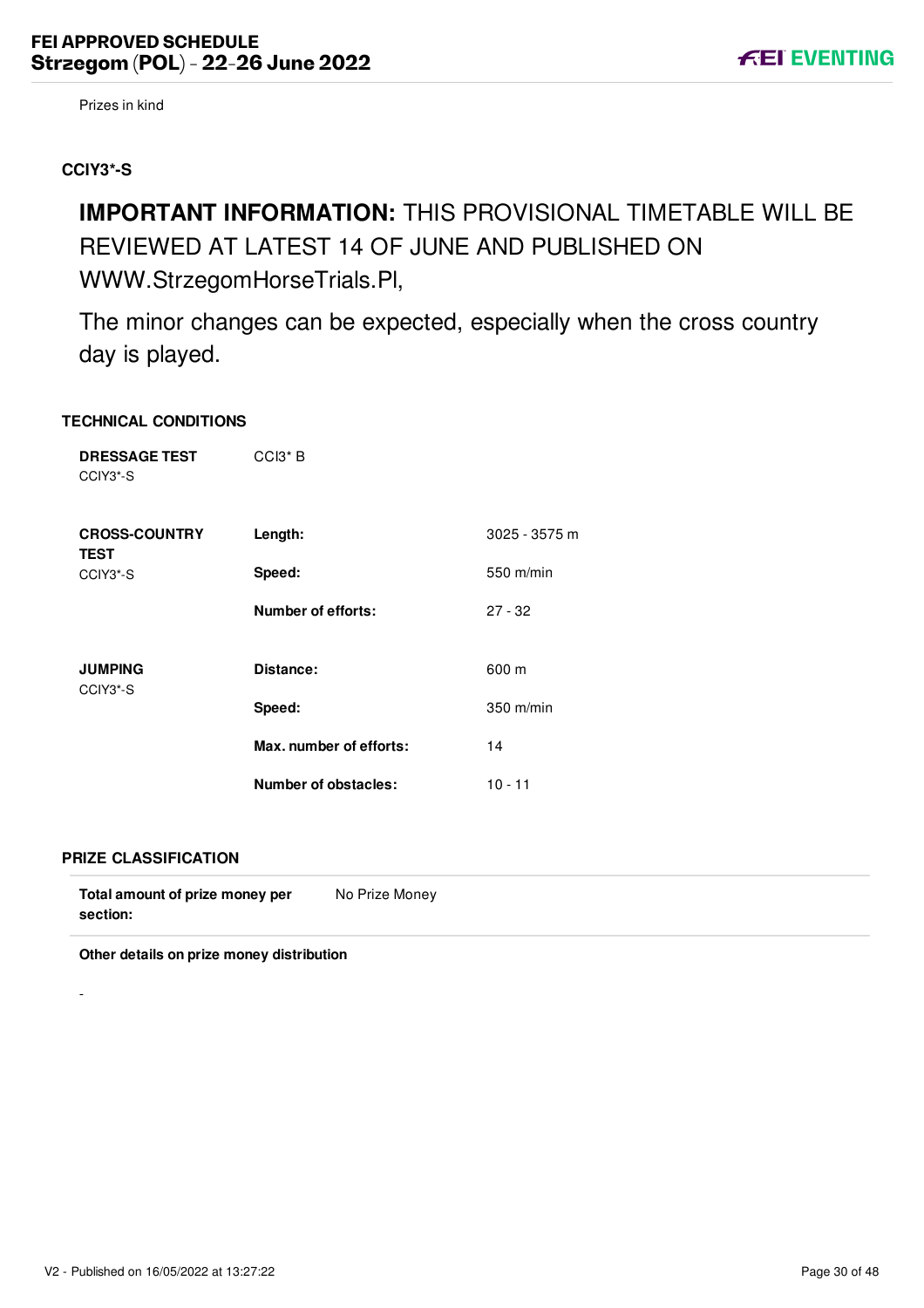# <span id="page-30-0"></span>**CCIY3\*-S**

# **IMPORTANT INFORMATION:** THIS PROVISIONAL TIMETABLE WILL BE REVIEWED AT LATEST 14 OF JUNE AND PUBLISHED ON WWW.StrzegomHorseTrials.Pl,

The minor changes can be expected, especially when the cross country day is played.

#### **TECHNICAL CONDITIONS**

| <b>DRESSAGE TEST</b><br>CCIY3*-S    | CCI <sub>3</sub> * B      |               |
|-------------------------------------|---------------------------|---------------|
| <b>CROSS-COUNTRY</b><br><b>TEST</b> | Length:                   | 3025 - 3575 m |
| CCIY3*-S                            | Speed:                    | 550 m/min     |
|                                     | <b>Number of efforts:</b> | $27 - 32$     |
| <b>JUMPING</b><br>CCIY3*-S          | Distance:                 | 600 m         |
|                                     | Speed:                    | $350$ m/min   |
|                                     | Max. number of efforts:   | 14            |
|                                     | Number of obstacles:      | $10 - 11$     |

#### **PRIZE CLASSIFICATION**

-

| Total amount of prize money per | No Prize Money |
|---------------------------------|----------------|
| section:                        |                |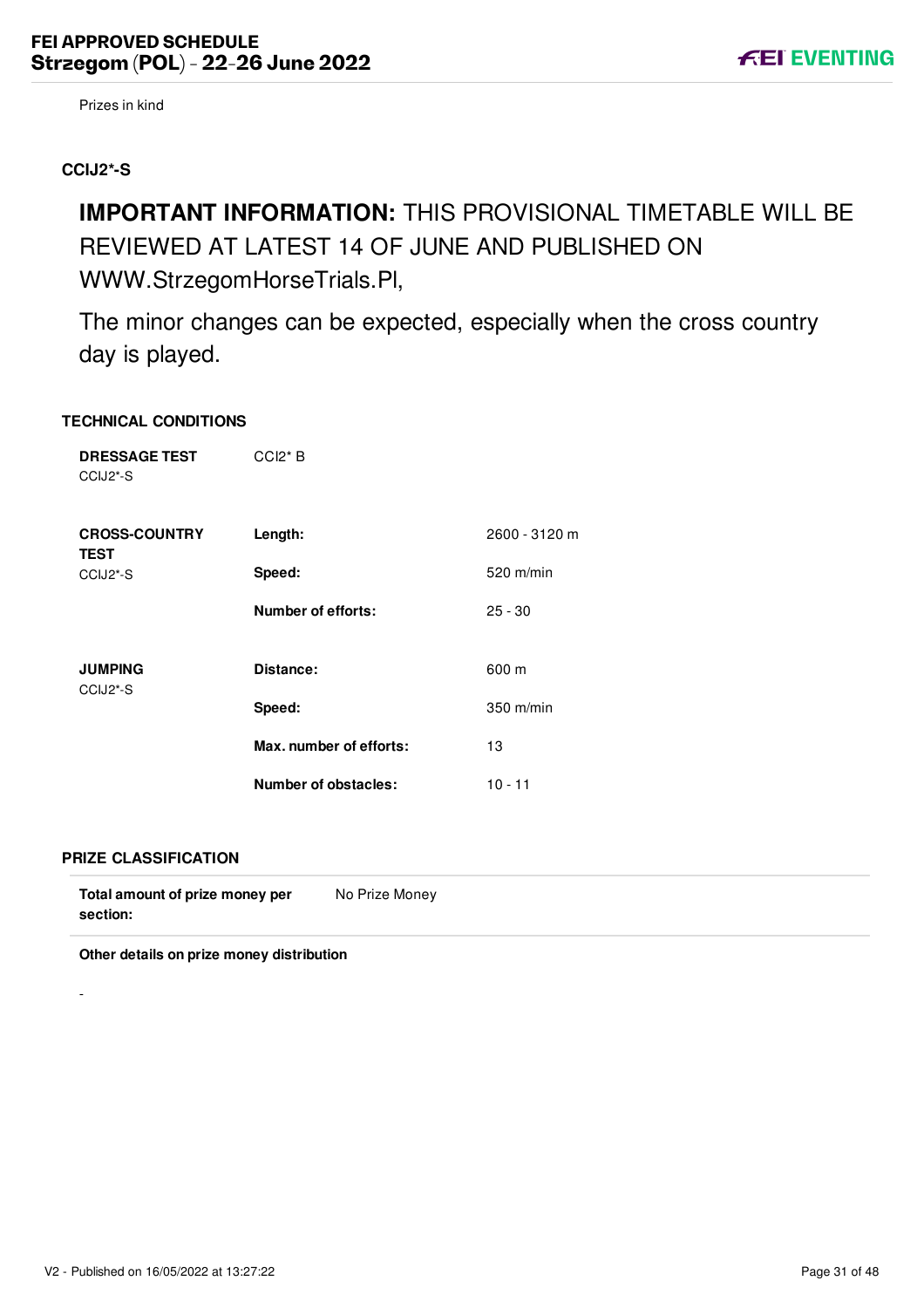### <span id="page-31-0"></span>**CCIJ2\*-S**

# **IMPORTANT INFORMATION:** THIS PROVISIONAL TIMETABLE WILL BE REVIEWED AT LATEST 14 OF JUNE AND PUBLISHED ON WWW.StrzegomHorseTrials.Pl,

The minor changes can be expected, especially when the cross country day is played.

### **TECHNICAL CONDITIONS**

| <b>DRESSAGE TEST</b><br>CCIJ2*-S | $CCI2*B$                    |               |
|----------------------------------|-----------------------------|---------------|
| <b>CROSS-COUNTRY</b>             | Length:                     | 2600 - 3120 m |
| <b>TEST</b><br>CCIJ2*-S          | Speed:                      | 520 m/min     |
|                                  | <b>Number of efforts:</b>   | $25 - 30$     |
| <b>JUMPING</b>                   | Distance:                   | 600 m         |
| CCIJ2*-S                         | Speed:                      | 350 m/min     |
|                                  | Max. number of efforts:     | 13            |
|                                  | <b>Number of obstacles:</b> | $10 - 11$     |

#### **PRIZE CLASSIFICATION**

-

| Total amount of prize money per | No Prize Money |
|---------------------------------|----------------|
| section:                        |                |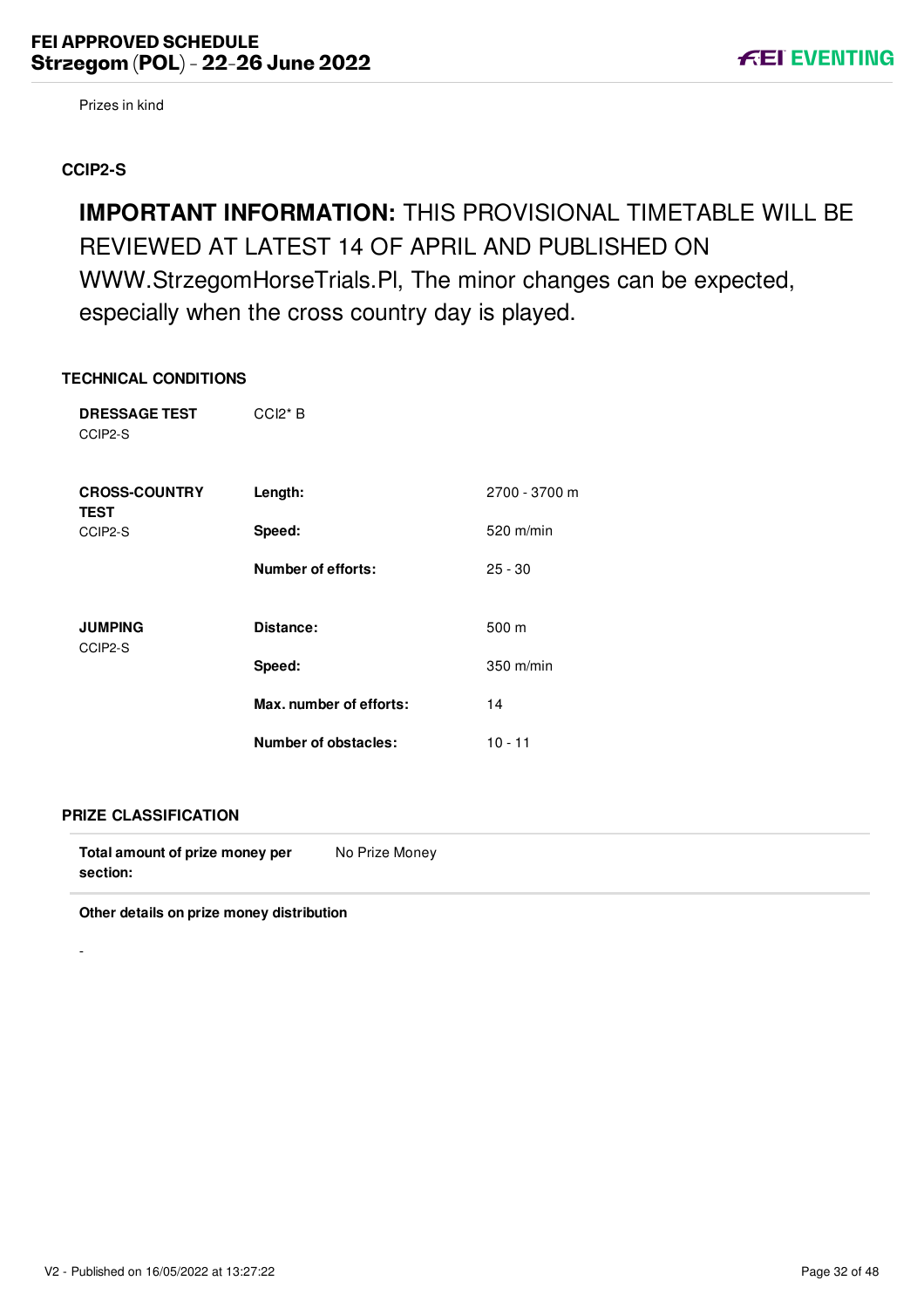#### <span id="page-32-0"></span>**CCIP2-S**

**IMPORTANT INFORMATION:** THIS PROVISIONAL TIMETABLE WILL BE REVIEWED AT LATEST 14 OF APRIL AND PUBLISHED ON WWW.StrzegomHorseTrials.Pl, The minor changes can be expected, especially when the cross country day is played.

#### **TECHNICAL CONDITIONS**

| <b>DRESSAGE TEST</b><br>CCIP2-S     | $CCl2*B$                    |               |
|-------------------------------------|-----------------------------|---------------|
| <b>CROSS-COUNTRY</b><br><b>TEST</b> | Length:                     | 2700 - 3700 m |
| CCIP2-S                             | Speed:                      | $520$ m/min   |
|                                     | <b>Number of efforts:</b>   | $25 - 30$     |
|                                     |                             |               |
| <b>JUMPING</b><br>CCIP2-S           | Distance:                   | 500 m         |
|                                     | Speed:                      | 350 m/min     |
|                                     | Max. number of efforts:     | 14            |
|                                     | <b>Number of obstacles:</b> | $10 - 11$     |

#### **PRIZE CLASSIFICATION**

-

**Total amount of prize money per section:** No Prize Money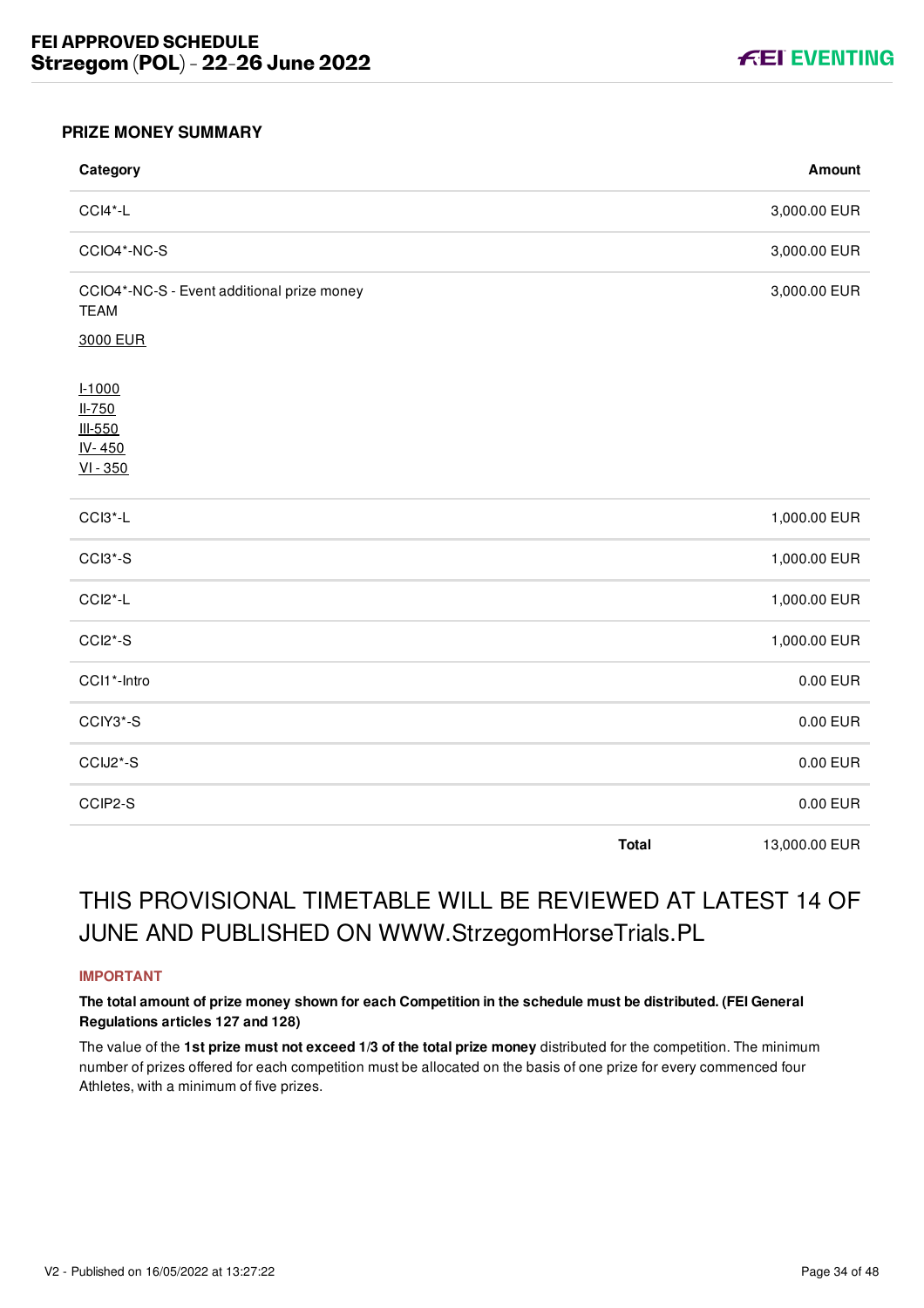

#### <span id="page-34-0"></span>**PRIZE MONEY SUMMARY**

| Category                                                  |              | Amount        |
|-----------------------------------------------------------|--------------|---------------|
| CCI4*-L                                                   |              | 3,000.00 EUR  |
| CCIO4*-NC-S                                               |              | 3,000.00 EUR  |
| CCIO4*-NC-S - Event additional prize money<br><b>TEAM</b> |              | 3,000.00 EUR  |
| 3000 EUR                                                  |              |               |
| $1 - 1000$<br>$II-750$<br>III-550<br>IV-450<br>$VI - 350$ |              |               |
| CCI3*-L                                                   |              | 1,000.00 EUR  |
| CCI3*-S                                                   |              | 1,000.00 EUR  |
| CCI2*-L                                                   |              | 1,000.00 EUR  |
| CCI2*-S                                                   |              | 1,000.00 EUR  |
| CCI1*-Intro                                               |              | 0.00 EUR      |
| CCIY3*-S                                                  |              | 0.00 EUR      |
| CCIJ2*-S                                                  |              | 0.00 EUR      |
| CCIP2-S                                                   |              | 0.00 EUR      |
|                                                           | <b>Total</b> | 13,000.00 EUR |

# THIS PROVISIONAL TIMETABLE WILL BE REVIEWED AT LATEST 14 OF JUNE AND PUBLISHED ON WWW.StrzegomHorseTrials.PL

#### **IMPORTANT**

#### **The total amount of prize money shown for each Competition in the schedule must be distributed. (FEI General Regulations articles 127 and 128)**

The value of the **1st prize must not exceed 1/3 of the total prize money** distributed for the competition. The minimum number of prizes offered for each competition must be allocated on the basis of one prize for every commenced four Athletes, with a minimum of five prizes.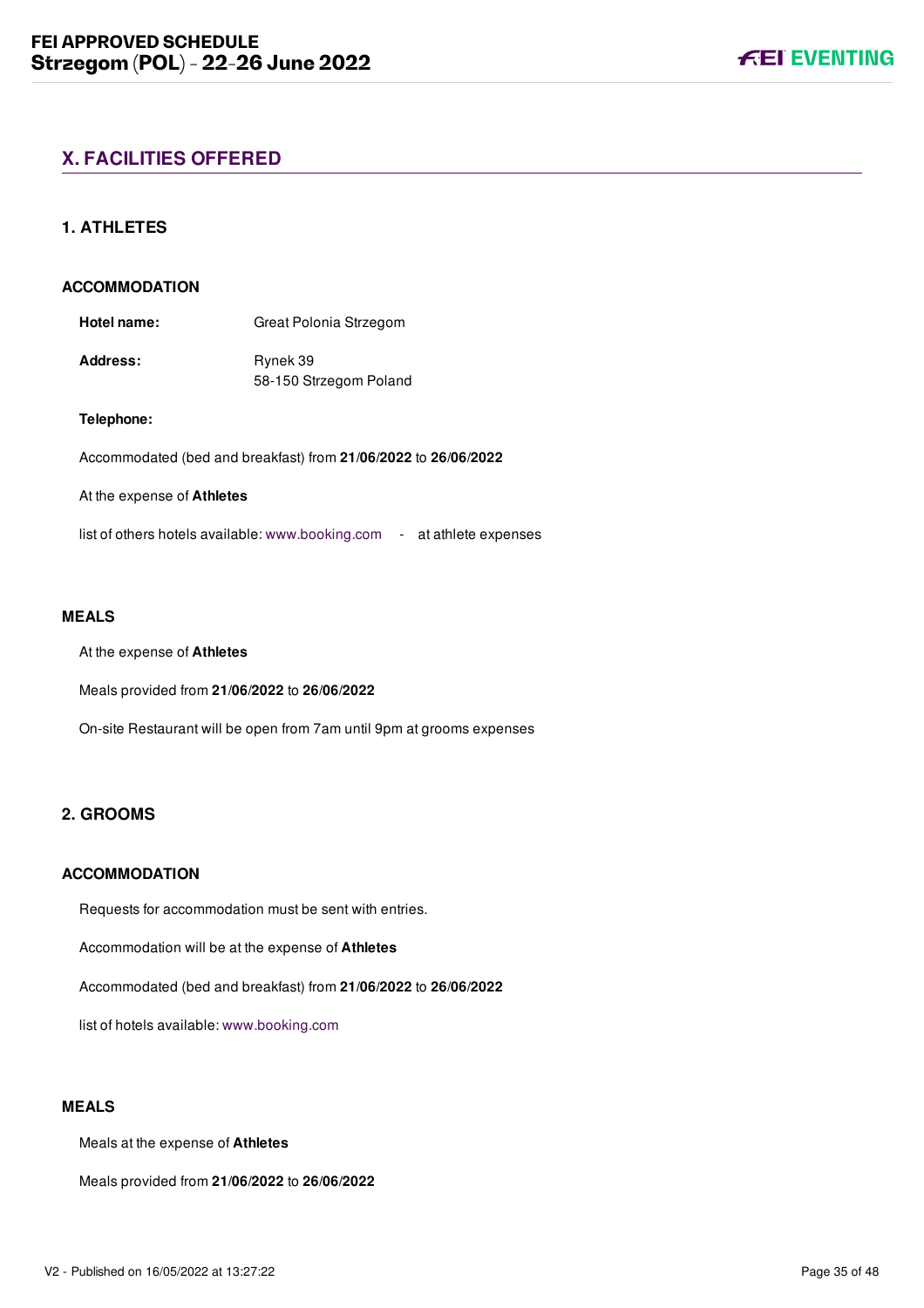# <span id="page-35-0"></span>**X. FACILITIES OFFERED**

#### <span id="page-35-1"></span>**1. ATHLETES**

#### **ACCOMMODATION**

**Hotel name:** Great Polonia Strzegom

Address: Rynek 39 58-150 Strzegom Poland

#### **Telephone:**

Accommodated (bed and breakfast) from **21/06/2022** to **26/06/2022**

#### At the expense of **Athletes**

list of others hotels available: [www.booking.com](file:///home/deployer/api-schedules/production/releases/46/symfony/public/www.booking.com) - at athlete expenses

#### **MEALS**

At the expense of **Athletes**

Meals provided from **21/06/2022** to **26/06/2022**

On-site Restaurant will be open from 7am until 9pm at grooms expenses

#### <span id="page-35-2"></span>**2. GROOMS**

#### **ACCOMMODATION**

Requests for accommodation must be sent with entries.

Accommodation will be at the expense of **Athletes**

Accommodated (bed and breakfast) from **21/06/2022** to **26/06/2022**

list of hotels available: [www.booking.com](file:///home/deployer/api-schedules/production/releases/46/symfony/public/www.booking.com)

#### **MEALS**

Meals at the expense of **Athletes**

Meals provided from **21/06/2022** to **26/06/2022**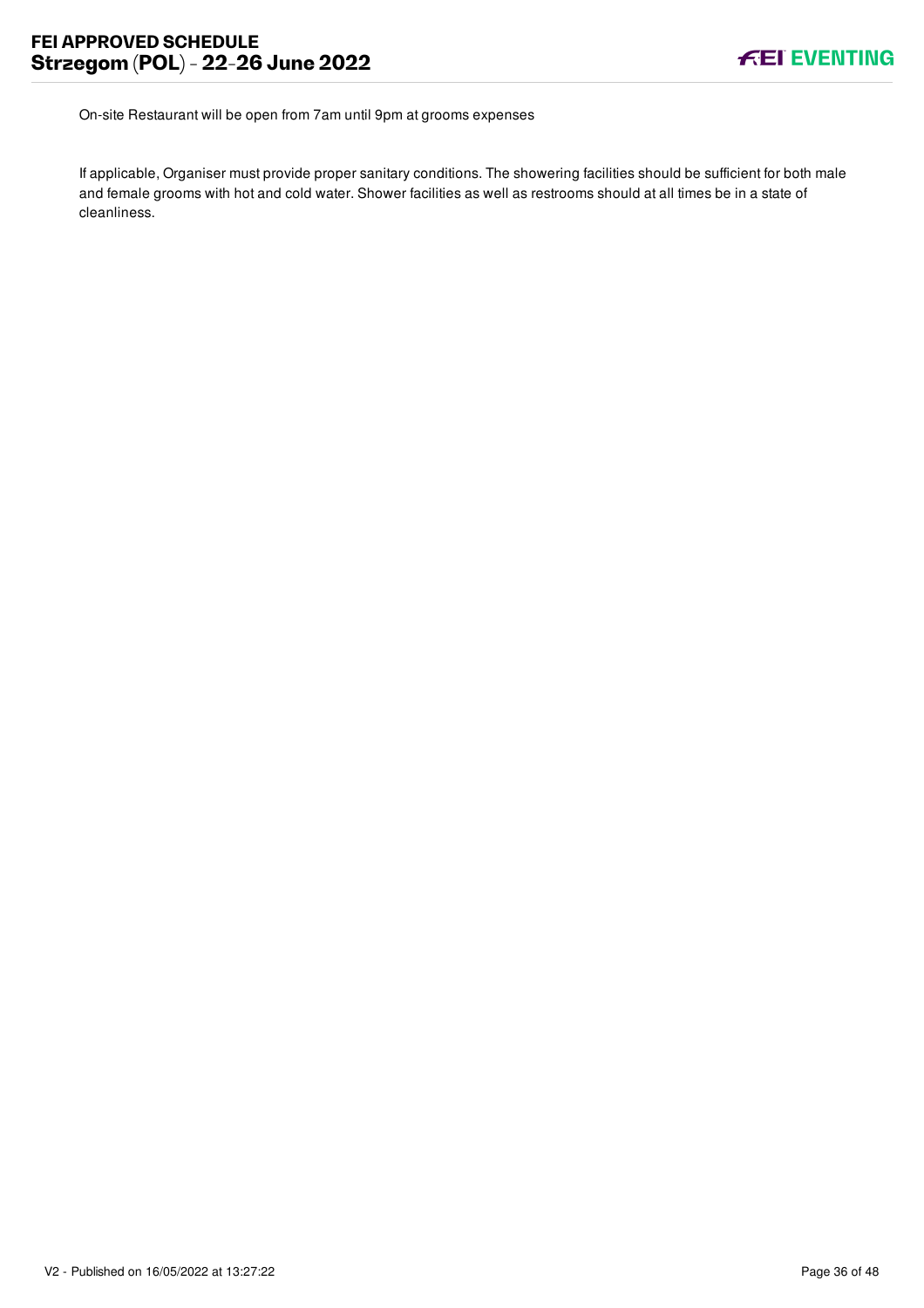On-site Restaurant will be open from 7am until 9pm at grooms expenses

If applicable, Organiser must provide proper sanitary conditions. The showering facilities should be sufficient for both male and female grooms with hot and cold water. Shower facilities as well as restrooms should at all times be in a state of cleanliness.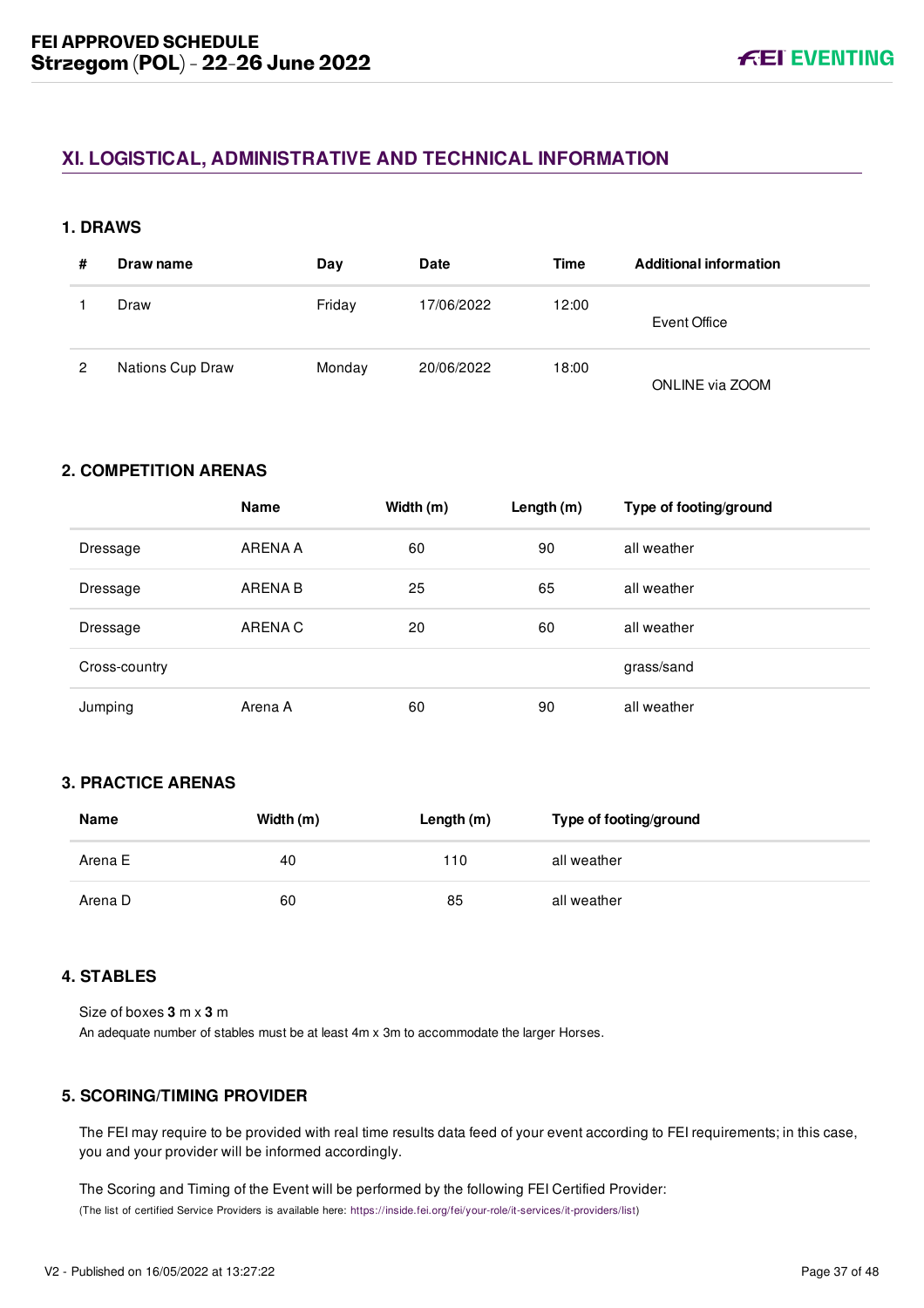# <span id="page-37-0"></span>**XI. LOGISTICAL, ADMINISTRATIVE AND TECHNICAL INFORMATION**

#### <span id="page-37-1"></span>**1. DRAWS**

| # | Draw name        | Day    | <b>Date</b> | Time  | <b>Additional information</b> |
|---|------------------|--------|-------------|-------|-------------------------------|
|   | Draw             | Friday | 17/06/2022  | 12:00 | Event Office                  |
| 2 | Nations Cup Draw | Monday | 20/06/2022  | 18:00 | ONLINE via ZOOM               |

#### <span id="page-37-2"></span>**2. COMPETITION ARENAS**

|               | <b>Name</b> | Width (m) | Length (m) | Type of footing/ground |
|---------------|-------------|-----------|------------|------------------------|
| Dressage      | ARENA A     | 60        | 90         | all weather            |
| Dressage      | ARENA B     | 25        | 65         | all weather            |
| Dressage      | ARENA C     | 20        | 60         | all weather            |
| Cross-country |             |           |            | grass/sand             |
| Jumping       | Arena A     | 60        | 90         | all weather            |

### <span id="page-37-3"></span>**3. PRACTICE ARENAS**

| Name    | Width (m) | Length (m) | Type of footing/ground |
|---------|-----------|------------|------------------------|
| Arena E | 40        | 110        | all weather            |
| Arena D | 60        | 85         | all weather            |

### <span id="page-37-4"></span>**4. STABLES**

Size of boxes **3** m x **3** m An adequate number of stables must be at least 4m x 3m to accommodate the larger Horses.

# <span id="page-37-5"></span>**5. SCORING/TIMING PROVIDER**

The FEI may require to be provided with real time results data feed of your event according to FEI requirements; in this case, you and your provider will be informed accordingly.

The Scoring and Timing of the Event will be performed by the following FEI Certified Provider: (The list of certified Service Providers is available here: [https://inside.fei.org/fei/your-role/it-services/it-providers/list\)](https://inside.fei.org/fei/your-role/it-services/it-providers/list)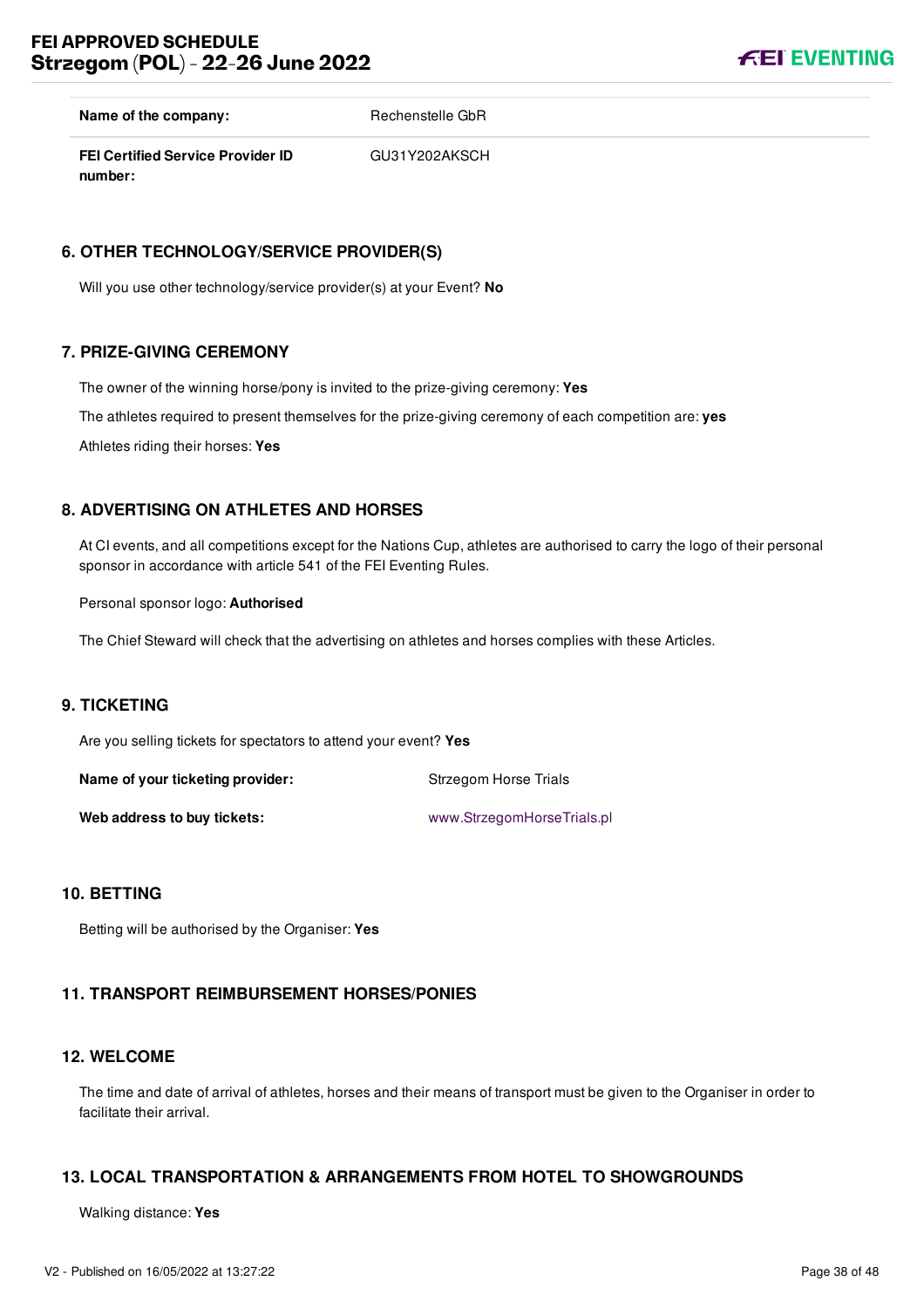**FEI EVENTING** 

**Name of the company:** Rechenstelle GbR

**FEI Certified Service Provider ID number:** GU31Y202AKSCH

#### <span id="page-38-0"></span>**6. OTHER TECHNOLOGY/SERVICE PROVIDER(S)**

Will you use other technology/service provider(s) at your Event? **No**

#### <span id="page-38-1"></span>**7. PRIZE-GIVING CEREMONY**

The owner of the winning horse/pony is invited to the prize-giving ceremony: **Yes** The athletes required to present themselves for the prize-giving ceremony of each competition are: **yes**

Athletes riding their horses: **Yes**

#### <span id="page-38-2"></span>**8. ADVERTISING ON ATHLETES AND HORSES**

At CI events, and all competitions except for the Nations Cup, athletes are authorised to carry the logo of their personal sponsor in accordance with article 541 of the FEI Eventing Rules.

Personal sponsor logo: **Authorised**

The Chief Steward will check that the advertising on athletes and horses complies with these Articles.

#### <span id="page-38-3"></span>**9. TICKETING**

Are you selling tickets for spectators to attend your event? **Yes**

**Name of your ticketing provider:** Strzegom Horse Trials Web address to buy tickets: [www.StrzegomHorseTrials.pl](file:///home/deployer/api-schedules/production/releases/46/symfony/public/www.StrzegomHorseTrials.pl)

#### <span id="page-38-4"></span>**10. BETTING**

Betting will be authorised by the Organiser: **Yes**

# <span id="page-38-5"></span>**11. TRANSPORT REIMBURSEMENT HORSES/PONIES**

### <span id="page-38-6"></span>**12. WELCOME**

The time and date of arrival of athletes, horses and their means of transport must be given to the Organiser in order to facilitate their arrival.

# <span id="page-38-7"></span>**13. LOCAL TRANSPORTATION & ARRANGEMENTS FROM HOTEL TO SHOWGROUNDS**

Walking distance: **Yes**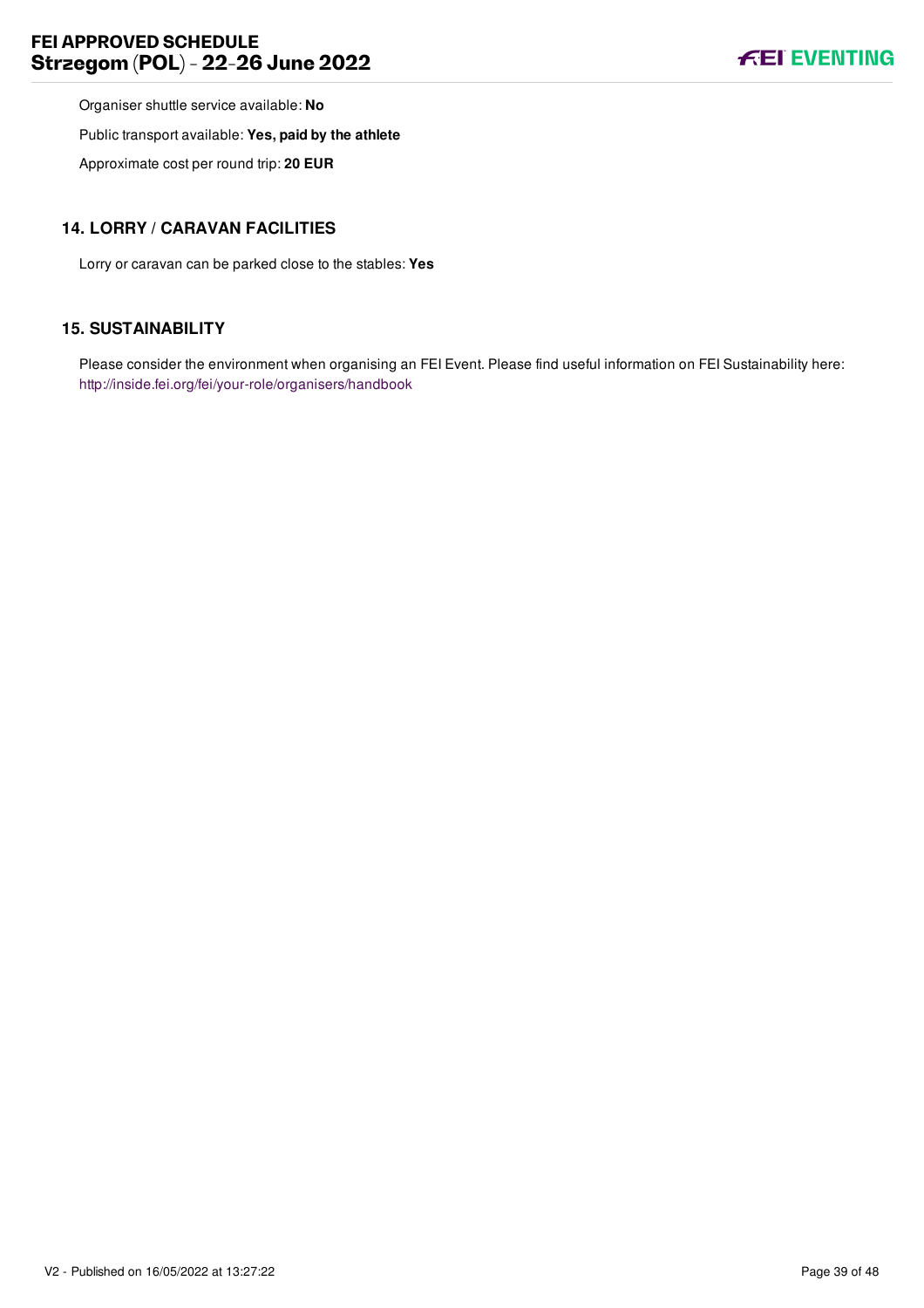Organiser shuttle service available: **No**

Public transport available: **Yes, paid by the athlete**

Approximate cost per round trip: **20 EUR**

#### <span id="page-39-0"></span>**14. LORRY / CARAVAN FACILITIES**

Lorry or caravan can be parked close to the stables: **Yes**

#### <span id="page-39-1"></span>**15. SUSTAINABILITY**

Please consider the environment when organising an FEI Event. Please find useful information on FEI Sustainability here: <http://inside.fei.org/fei/your-role/organisers/handbook>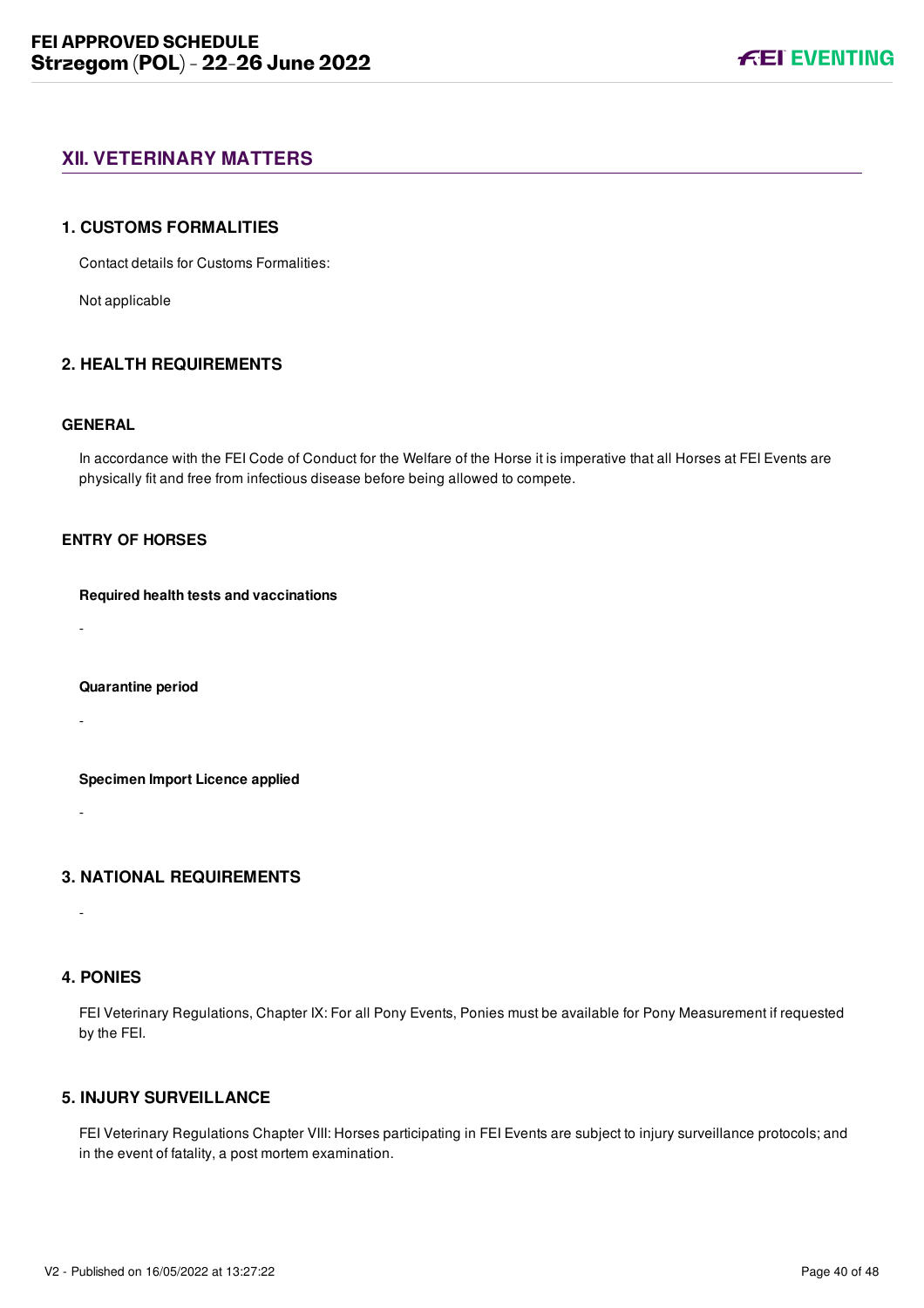### <span id="page-40-0"></span>**XII. VETERINARY MATTERS**

#### <span id="page-40-1"></span>**1. CUSTOMS FORMALITIES**

Contact details for Customs Formalities:

Not applicable

#### <span id="page-40-2"></span>**2. HEALTH REQUIREMENTS**

#### **GENERAL**

In accordance with the FEI Code of Conduct for the Welfare of the Horse it is imperative that all Horses at FEI Events are physically fit and free from infectious disease before being allowed to compete.

#### **ENTRY OF HORSES**

#### **Required health tests and vaccinations**

-

#### **Quarantine period**

-

**Specimen Import Licence applied**

<span id="page-40-3"></span>**3. NATIONAL REQUIREMENTS**

#### <span id="page-40-4"></span>**4. PONIES**

-

-

FEI Veterinary Regulations, Chapter IX: For all Pony Events, Ponies must be available for Pony Measurement if requested by the FEI.

### <span id="page-40-5"></span>**5. INJURY SURVEILLANCE**

FEI Veterinary Regulations Chapter VIII: Horses participating in FEI Events are subject to injury surveillance protocols; and in the event of fatality, a post mortem examination.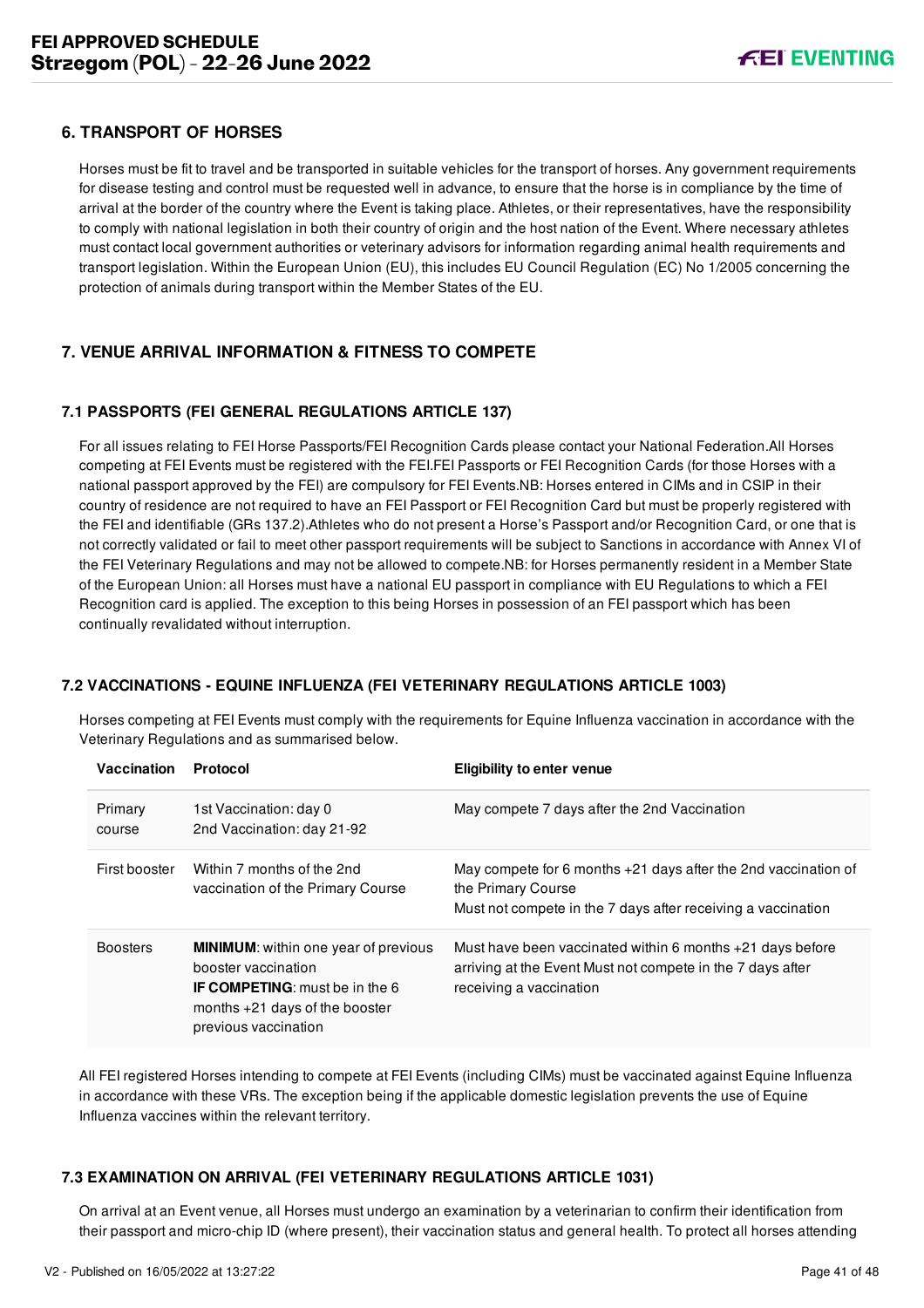#### <span id="page-41-0"></span>**6. TRANSPORT OF HORSES**

Horses must be fit to travel and be transported in suitable vehicles for the transport of horses. Any government requirements for disease testing and control must be requested well in advance, to ensure that the horse is in compliance by the time of arrival at the border of the country where the Event is taking place. Athletes, or their representatives, have the responsibility to comply with national legislation in both their country of origin and the host nation of the Event. Where necessary athletes must contact local government authorities or veterinary advisors for information regarding animal health requirements and transport legislation. Within the European Union (EU), this includes EU Council Regulation (EC) No 1/2005 concerning the protection of animals during transport within the Member States of the EU.

### <span id="page-41-1"></span>**7. VENUE ARRIVAL INFORMATION & FITNESS TO COMPETE**

#### <span id="page-41-2"></span>**7.1 PASSPORTS (FEI GENERAL REGULATIONS ARTICLE 137)**

For all issues relating to FEI Horse Passports/FEI Recognition Cards please contact your National Federation.All Horses competing at FEI Events must be registered with the FEI.FEI Passports or FEI Recognition Cards (for those Horses with a national passport approved by the FEI) are compulsory for FEI Events.NB: Horses entered in CIMs and in CSIP in their country of residence are not required to have an FEI Passport or FEI Recognition Card but must be properly registered with the FEI and identifiable (GRs 137.2).Athletes who do not present a Horse's Passport and/or Recognition Card, or one that is not correctly validated or fail to meet other passport requirements will be subject to Sanctions in accordance with Annex VI of the FEI Veterinary Regulations and may not be allowed to compete.NB: for Horses permanently resident in a Member State of the European Union: all Horses must have a national EU passport in compliance with EU Regulations to which a FEI Recognition card is applied. The exception to this being Horses in possession of an FEI passport which has been continually revalidated without interruption.

#### <span id="page-41-3"></span>**7.2 VACCINATIONS - EQUINE INFLUENZA (FEI VETERINARY REGULATIONS ARTICLE 1003)**

Horses competing at FEI Events must comply with the requirements for Equine Influenza vaccination in accordance with the Veterinary Regulations and as summarised below.

| Vaccination       | Protocol                                                                                                                                                                | <b>Eligibility to enter venue</b>                                                                                                                      |
|-------------------|-------------------------------------------------------------------------------------------------------------------------------------------------------------------------|--------------------------------------------------------------------------------------------------------------------------------------------------------|
| Primary<br>course | 1st Vaccination: day 0<br>2nd Vaccination: day 21-92                                                                                                                    | May compete 7 days after the 2nd Vaccination                                                                                                           |
| First booster     | Within 7 months of the 2nd<br>vaccination of the Primary Course                                                                                                         | May compete for 6 months $+21$ days after the 2nd vaccination of<br>the Primary Course<br>Must not compete in the 7 days after receiving a vaccination |
| <b>Boosters</b>   | <b>MINIMUM:</b> within one year of previous<br>booster vaccination<br><b>IF COMPETING:</b> must be in the 6<br>months $+21$ days of the booster<br>previous vaccination | Must have been vaccinated within 6 months $+21$ days before<br>arriving at the Event Must not compete in the 7 days after<br>receiving a vaccination   |

All FEI registered Horses intending to compete at FEI Events (including CIMs) must be vaccinated against Equine Influenza in accordance with these VRs. The exception being if the applicable domestic legislation prevents the use of Equine Influenza vaccines within the relevant territory.

#### <span id="page-41-4"></span>**7.3 EXAMINATION ON ARRIVAL (FEI VETERINARY REGULATIONS ARTICLE 1031)**

On arrival at an Event venue, all Horses must undergo an examination by a veterinarian to confirm their identification from their passport and micro-chip ID (where present), their vaccination status and general health. To protect all horses attending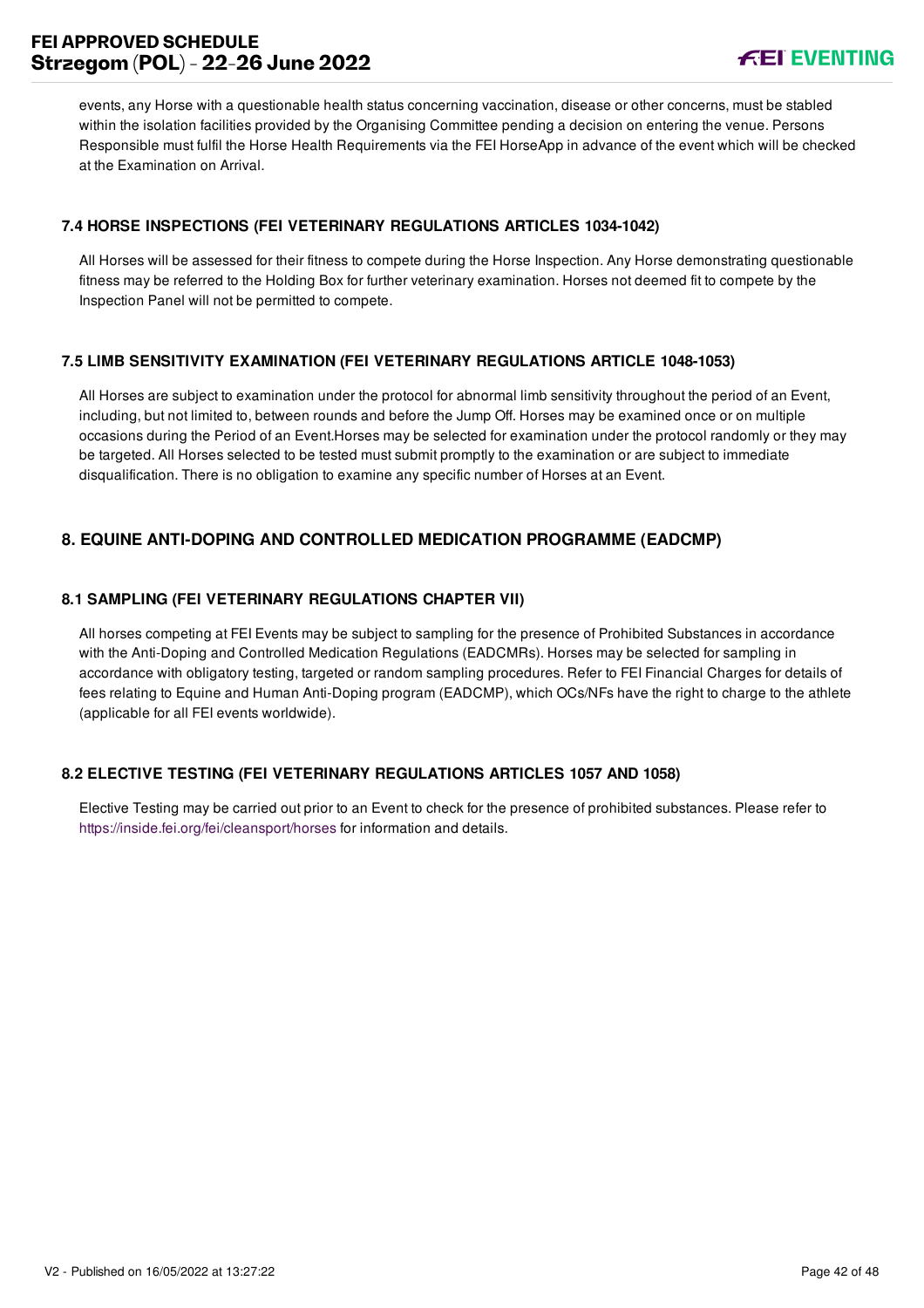events, any Horse with a questionable health status concerning vaccination, disease or other concerns, must be stabled within the isolation facilities provided by the Organising Committee pending a decision on entering the venue. Persons Responsible must fulfil the Horse Health Requirements via the FEI HorseApp in advance of the event which will be checked at the Examination on Arrival.

#### <span id="page-42-0"></span>**7.4 HORSE INSPECTIONS (FEI VETERINARY REGULATIONS ARTICLES 1034-1042)**

All Horses will be assessed for their fitness to compete during the Horse Inspection. Any Horse demonstrating questionable fitness may be referred to the Holding Box for further veterinary examination. Horses not deemed fit to compete by the Inspection Panel will not be permitted to compete.

#### <span id="page-42-1"></span>**7.5 LIMB SENSITIVITY EXAMINATION (FEI VETERINARY REGULATIONS ARTICLE 1048-1053)**

All Horses are subject to examination under the protocol for abnormal limb sensitivity throughout the period of an Event, including, but not limited to, between rounds and before the Jump Off. Horses may be examined once or on multiple occasions during the Period of an Event.Horses may be selected for examination under the protocol randomly or they may be targeted. All Horses selected to be tested must submit promptly to the examination or are subject to immediate disqualification. There is no obligation to examine any specific number of Horses at an Event.

### <span id="page-42-2"></span>**8. EQUINE ANTI-DOPING AND CONTROLLED MEDICATION PROGRAMME (EADCMP)**

#### <span id="page-42-3"></span>**8.1 SAMPLING (FEI VETERINARY REGULATIONS CHAPTER VII)**

All horses competing at FEI Events may be subject to sampling for the presence of Prohibited Substances in accordance with the Anti-Doping and Controlled Medication Regulations (EADCMRs). Horses may be selected for sampling in accordance with obligatory testing, targeted or random sampling procedures. Refer to FEI Financial Charges for details of fees relating to Equine and Human Anti-Doping program (EADCMP), which OCs/NFs have the right to charge to the athlete (applicable for all FEI events worldwide).

#### <span id="page-42-4"></span>**8.2 ELECTIVE TESTING (FEI VETERINARY REGULATIONS ARTICLES 1057 AND 1058)**

Elective Testing may be carried out prior to an Event to check for the presence of prohibited substances. Please refer to <https://inside.fei.org/fei/cleansport/horses>for information and details.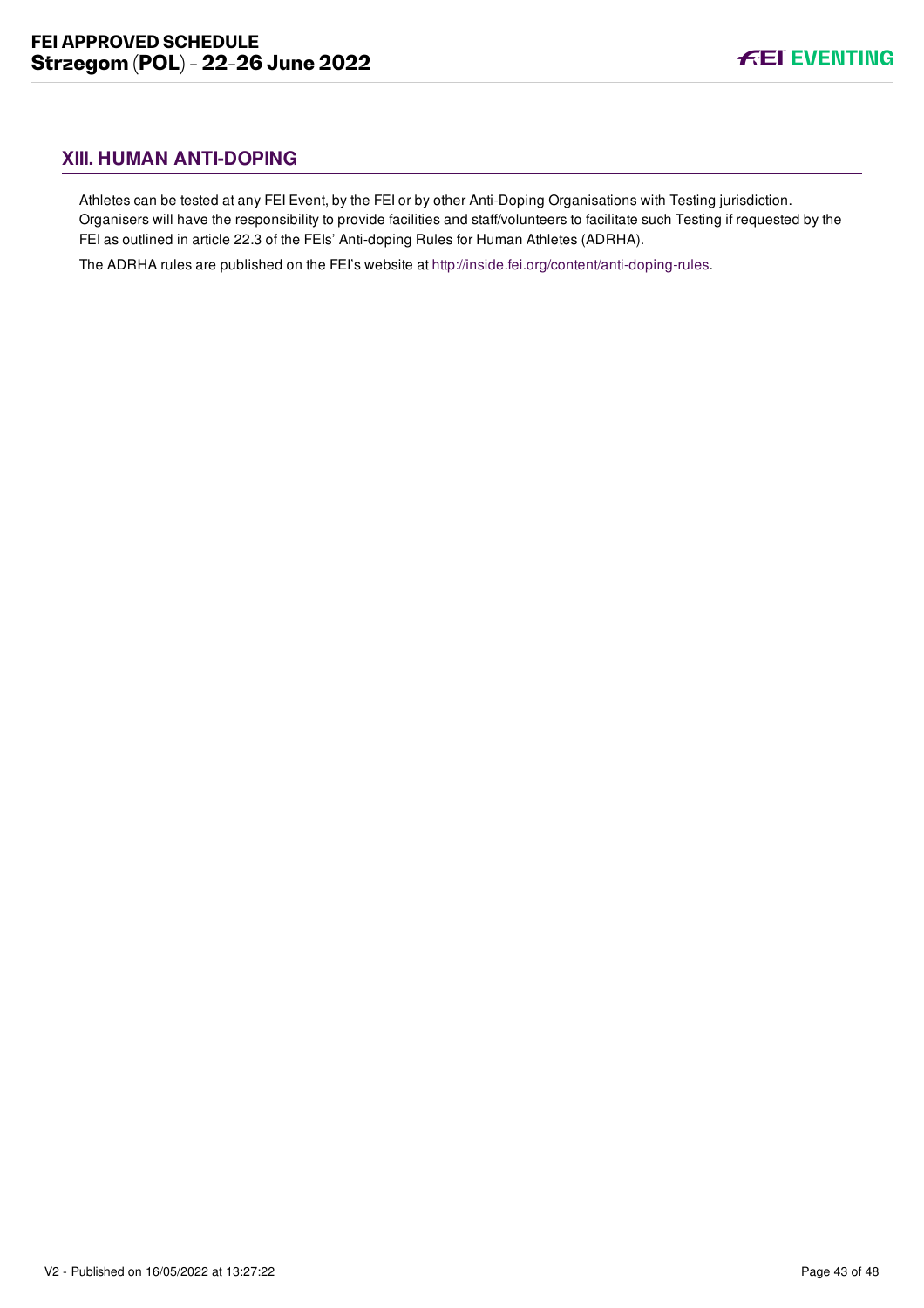# <span id="page-43-0"></span>**XIII. HUMAN ANTI-DOPING**

Athletes can be tested at any FEI Event, by the FEI or by other Anti-Doping Organisations with Testing jurisdiction. Organisers will have the responsibility to provide facilities and staff/volunteers to facilitate such Testing if requested by the FEI as outlined in article 22.3 of the FEIs' Anti-doping Rules for Human Athletes (ADRHA).

The ADRHA rules are published on the FEI's website at [http://inside.fei.org/content/anti-doping-rules.](http://inside.fei.org/content/anti-doping-rules)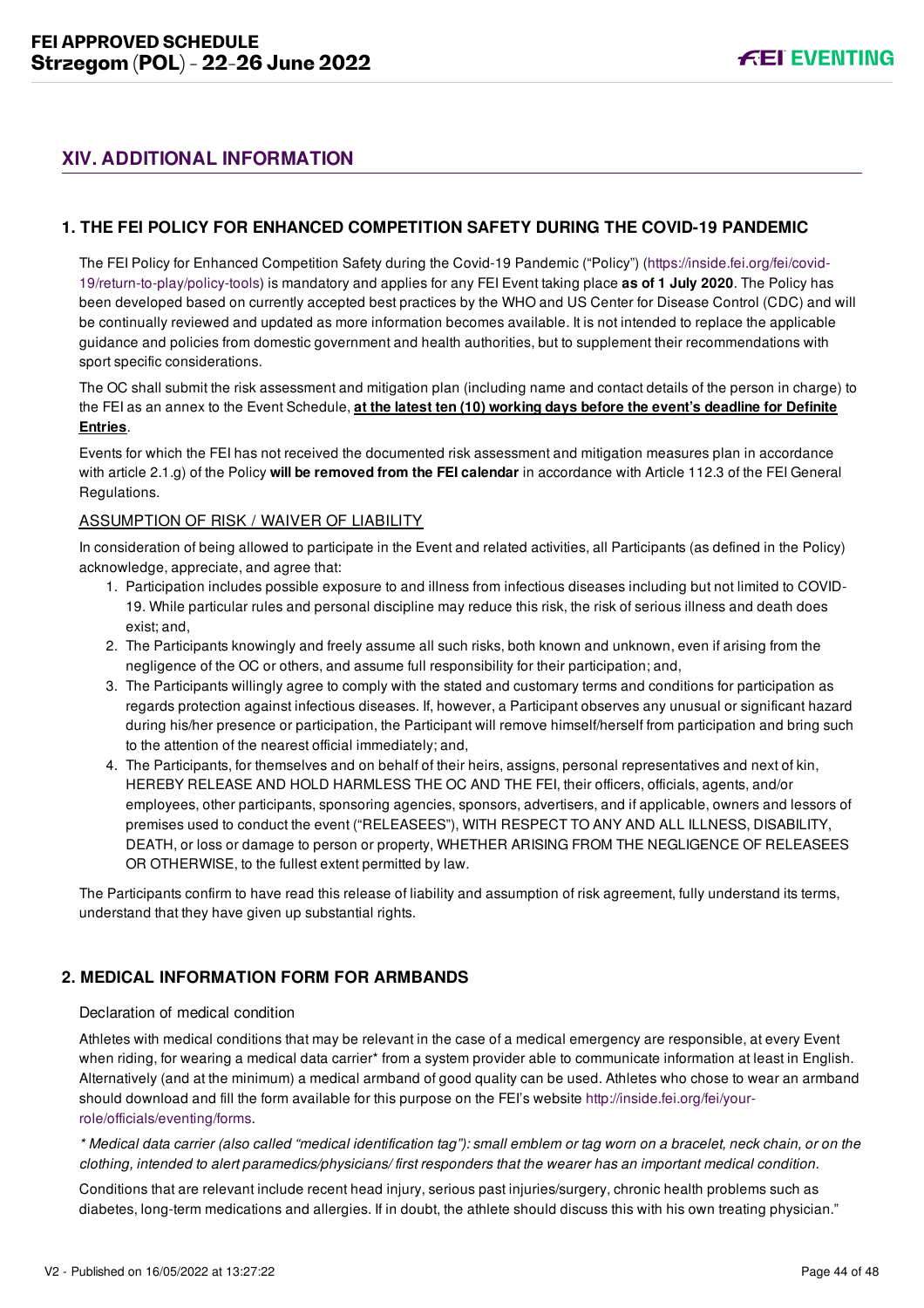# <span id="page-44-0"></span>**XIV. ADDITIONAL INFORMATION**

#### <span id="page-44-1"></span>**1. THE FEI POLICY FOR ENHANCED COMPETITION SAFETY DURING THE COVID-19 PANDEMIC**

[The FEI Policy for Enhanced Competition Safety during the Covid-19 Pandemic \("Policy"\) \(https://inside.fei.org/fei/covid-](https://inside.fei.org/fei/covid-19/return-to-play/policy-tools)19/return-to-play/policy-tools) is mandatory and applies for any FEI Event taking place **as of 1 July 2020**. The Policy has been developed based on currently accepted best practices by the WHO and US Center for Disease Control (CDC) and will be continually reviewed and updated as more information becomes available. It is not intended to replace the applicable guidance and policies from domestic government and health authorities, but to supplement their recommendations with sport specific considerations.

The OC shall submit the risk assessment and mitigation plan (including name and contact details of the person in charge) to the FEI as an annex to the Event Schedule, **at the latest ten (10) working days before the event's deadline for Definite Entries**.

Events for which the FEI has not received the documented risk assessment and mitigation measures plan in accordance with article 2.1.g) of the Policy **will be removed from the FEI calendar** in accordance with Article 112.3 of the FEI General Regulations.

#### ASSUMPTION OF RISK / WAIVER OF LIABILITY

In consideration of being allowed to participate in the Event and related activities, all Participants (as defined in the Policy) acknowledge, appreciate, and agree that:

- 1. Participation includes possible exposure to and illness from infectious diseases including but not limited to COVID-19. While particular rules and personal discipline may reduce this risk, the risk of serious illness and death does exist; and,
- 2. The Participants knowingly and freely assume all such risks, both known and unknown, even if arising from the negligence of the OC or others, and assume full responsibility for their participation; and,
- 3. The Participants willingly agree to comply with the stated and customary terms and conditions for participation as regards protection against infectious diseases. If, however, a Participant observes any unusual or significant hazard during his/her presence or participation, the Participant will remove himself/herself from participation and bring such to the attention of the nearest official immediately; and,
- 4. The Participants, for themselves and on behalf of their heirs, assigns, personal representatives and next of kin, HEREBY RELEASE AND HOLD HARMLESS THE OC AND THE FEI, their officers, officials, agents, and/or employees, other participants, sponsoring agencies, sponsors, advertisers, and if applicable, owners and lessors of premises used to conduct the event ("RELEASEES"), WITH RESPECT TO ANY AND ALL ILLNESS, DISABILITY, DEATH, or loss or damage to person or property, WHETHER ARISING FROM THE NEGLIGENCE OF RELEASEES OR OTHERWISE, to the fullest extent permitted by law.

The Participants confirm to have read this release of liability and assumption of risk agreement, fully understand its terms, understand that they have given up substantial rights.

### <span id="page-44-2"></span>**2. MEDICAL INFORMATION FORM FOR ARMBANDS**

#### Declaration of medical condition

Athletes with medical conditions that may be relevant in the case of a medical emergency are responsible, at every Event when riding, for wearing a medical data carrier\* from a system provider able to communicate information at least in English. Alternatively (and at the minimum) a medical armband of good quality can be used. Athletes who chose to wear an armband [should download and fill the form available for this purpose on the FEI's website http://inside.fei.org/fei/your](http://inside.fei.org/fei/your-role/officials/eventing/forms)role/officials/eventing/forms.

*\* Medical data carrier (also called "medical identification tag"): small emblem or tag worn on a bracelet, neck chain, or on the clothing, intended to alert paramedics/physicians/ first responders that the wearer has an important medical condition.*

Conditions that are relevant include recent head injury, serious past injuries/surgery, chronic health problems such as diabetes, long-term medications and allergies. If in doubt, the athlete should discuss this with his own treating physician."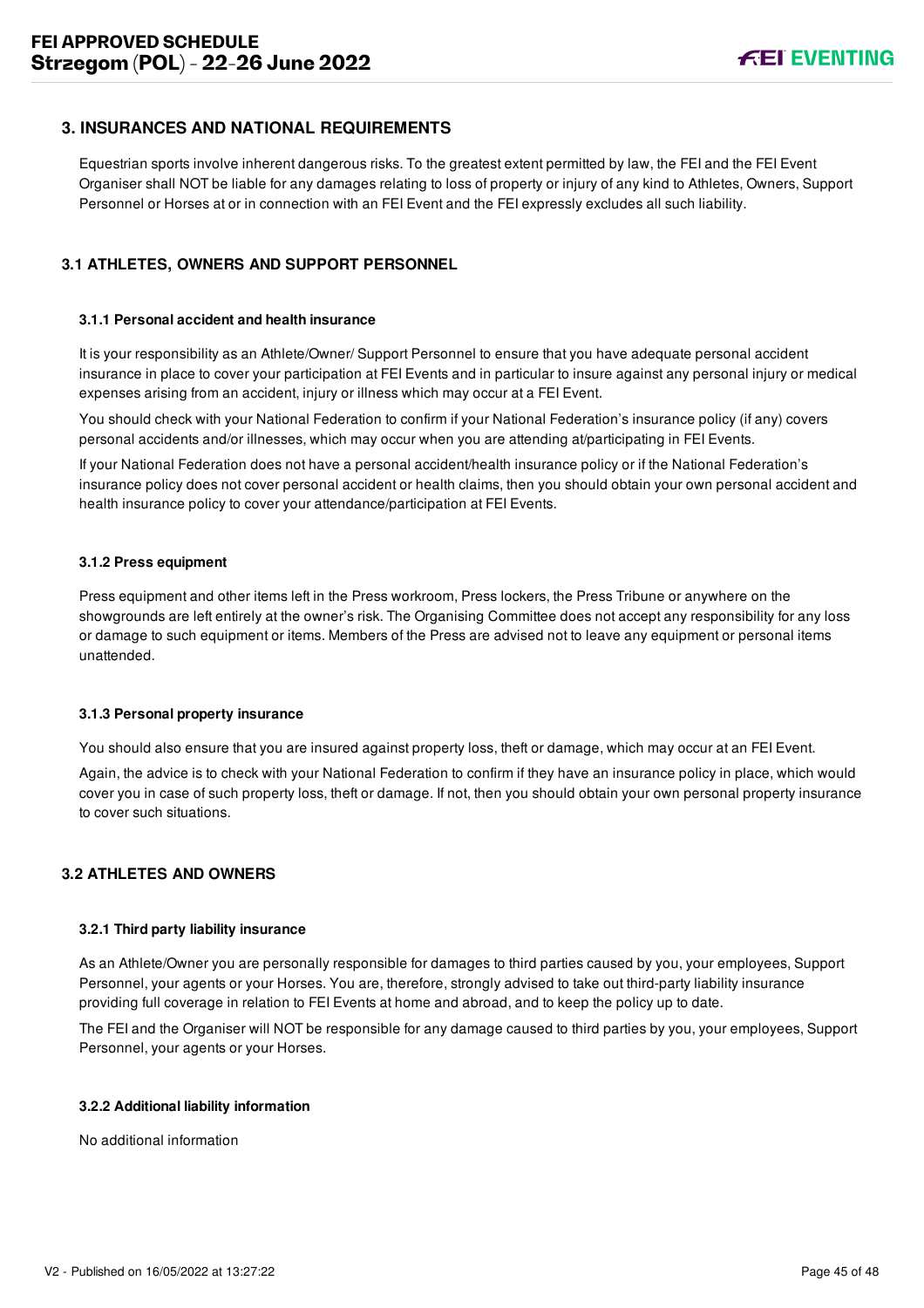#### <span id="page-45-0"></span>**3. INSURANCES AND NATIONAL REQUIREMENTS**

Equestrian sports involve inherent dangerous risks. To the greatest extent permitted by law, the FEI and the FEI Event Organiser shall NOT be liable for any damages relating to loss of property or injury of any kind to Athletes, Owners, Support Personnel or Horses at or in connection with an FEI Event and the FEI expressly excludes all such liability.

#### <span id="page-45-1"></span>**3.1 ATHLETES, OWNERS AND SUPPORT PERSONNEL**

#### **3.1.1 Personal accident and health insurance**

It is your responsibility as an Athlete/Owner/ Support Personnel to ensure that you have adequate personal accident insurance in place to cover your participation at FEI Events and in particular to insure against any personal injury or medical expenses arising from an accident, injury or illness which may occur at a FEI Event.

You should check with your National Federation to confirm if your National Federation's insurance policy (if any) covers personal accidents and/or illnesses, which may occur when you are attending at/participating in FEI Events.

If your National Federation does not have a personal accident/health insurance policy or if the National Federation's insurance policy does not cover personal accident or health claims, then you should obtain your own personal accident and health insurance policy to cover your attendance/participation at FEI Events.

#### **3.1.2 Press equipment**

Press equipment and other items left in the Press workroom, Press lockers, the Press Tribune or anywhere on the showgrounds are left entirely at the owner's risk. The Organising Committee does not accept any responsibility for any loss or damage to such equipment or items. Members of the Press are advised not to leave any equipment or personal items unattended.

#### **3.1.3 Personal property insurance**

You should also ensure that you are insured against property loss, theft or damage, which may occur at an FEI Event.

Again, the advice is to check with your National Federation to confirm if they have an insurance policy in place, which would cover you in case of such property loss, theft or damage. If not, then you should obtain your own personal property insurance to cover such situations.

#### <span id="page-45-2"></span>**3.2 ATHLETES AND OWNERS**

#### **3.2.1 Third party liability insurance**

As an Athlete/Owner you are personally responsible for damages to third parties caused by you, your employees, Support Personnel, your agents or your Horses. You are, therefore, strongly advised to take out third-party liability insurance providing full coverage in relation to FEI Events at home and abroad, and to keep the policy up to date.

The FEI and the Organiser will NOT be responsible for any damage caused to third parties by you, your employees, Support Personnel, your agents or your Horses.

#### **3.2.2 Additional liability information**

No additional information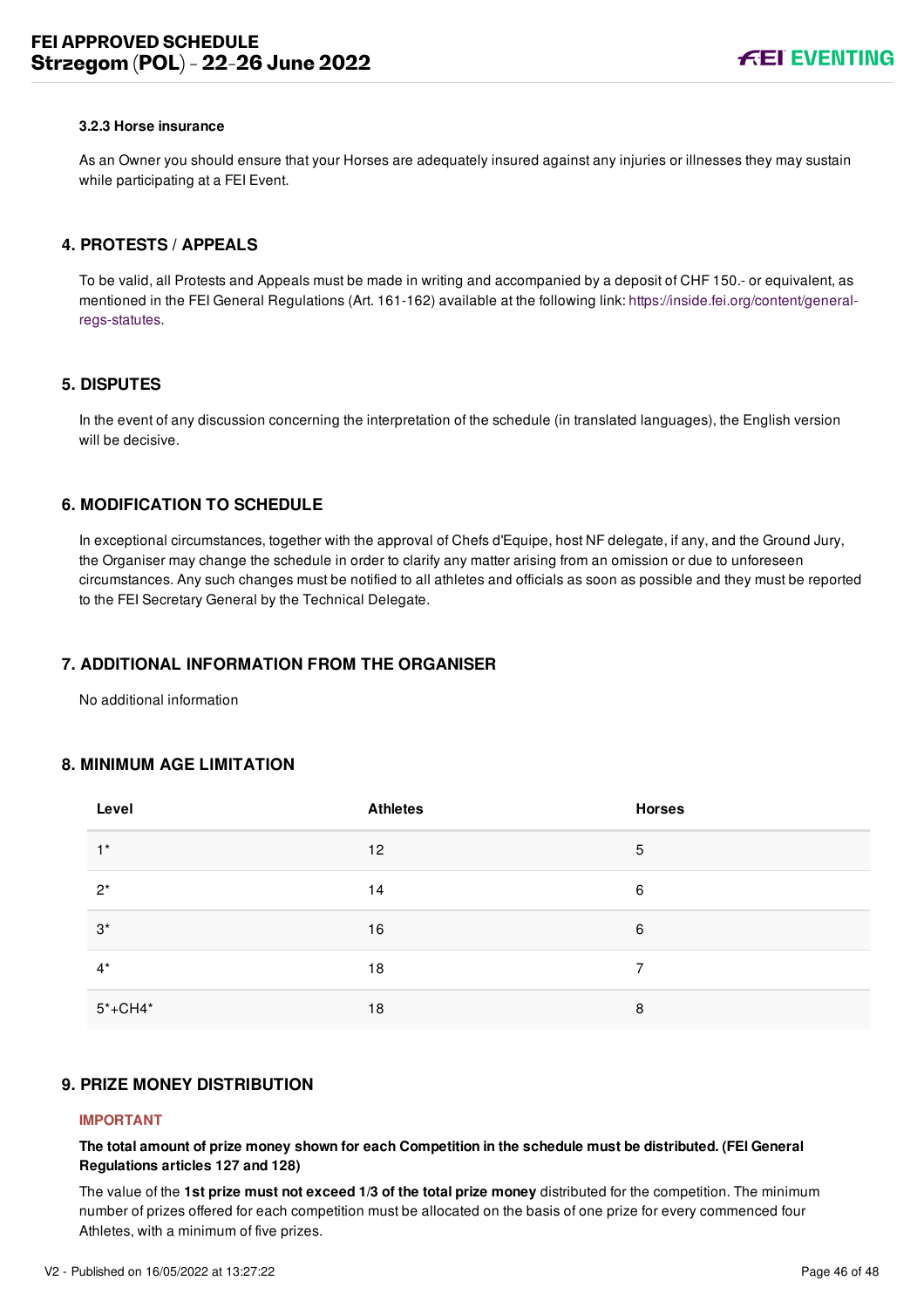#### **3.2.3 Horse insurance**

As an Owner you should ensure that your Horses are adequately insured against any injuries or illnesses they may sustain while participating at a FEI Event.

#### <span id="page-46-0"></span>**4. PROTESTS / APPEALS**

To be valid, all Protests and Appeals must be made in writing and accompanied by a deposit of CHF 150.- or equivalent, as [mentioned in the FEI General Regulations \(Art. 161-162\) available at the following link: https://inside.fei.org/content/general](https://inside.fei.org/content/general-regs-statutes)regs-statutes.

#### <span id="page-46-1"></span>**5. DISPUTES**

In the event of any discussion concerning the interpretation of the schedule (in translated languages), the English version will be decisive.

#### <span id="page-46-2"></span>**6. MODIFICATION TO SCHEDULE**

In exceptional circumstances, together with the approval of Chefs d'Equipe, host NF delegate, if any, and the Ground Jury, the Organiser may change the schedule in order to clarify any matter arising from an omission or due to unforeseen circumstances. Any such changes must be notified to all athletes and officials as soon as possible and they must be reported to the FEI Secretary General by the Technical Delegate.

#### <span id="page-46-3"></span>**7. ADDITIONAL INFORMATION FROM THE ORGANISER**

No additional information

#### <span id="page-46-4"></span>**8. MINIMUM AGE LIMITATION**

| Level       | <b>Athletes</b> | <b>Horses</b> |
|-------------|-----------------|---------------|
| $1^*$       | 12              | 5             |
| $2^*$       | 14              | 6             |
| $3^*$       | 16              | 6             |
| $4^*$       | 18              | 7             |
| $5* + CH4*$ | 18              | 8             |

#### <span id="page-46-5"></span>**9. PRIZE MONEY DISTRIBUTION**

#### **IMPORTANT**

**The total amount of prize money shown for each Competition in the schedule must be distributed. (FEI General Regulations articles 127 and 128)**

The value of the **1st prize must not exceed 1/3 of the total prize money** distributed for the competition. The minimum number of prizes offered for each competition must be allocated on the basis of one prize for every commenced four Athletes, with a minimum of five prizes.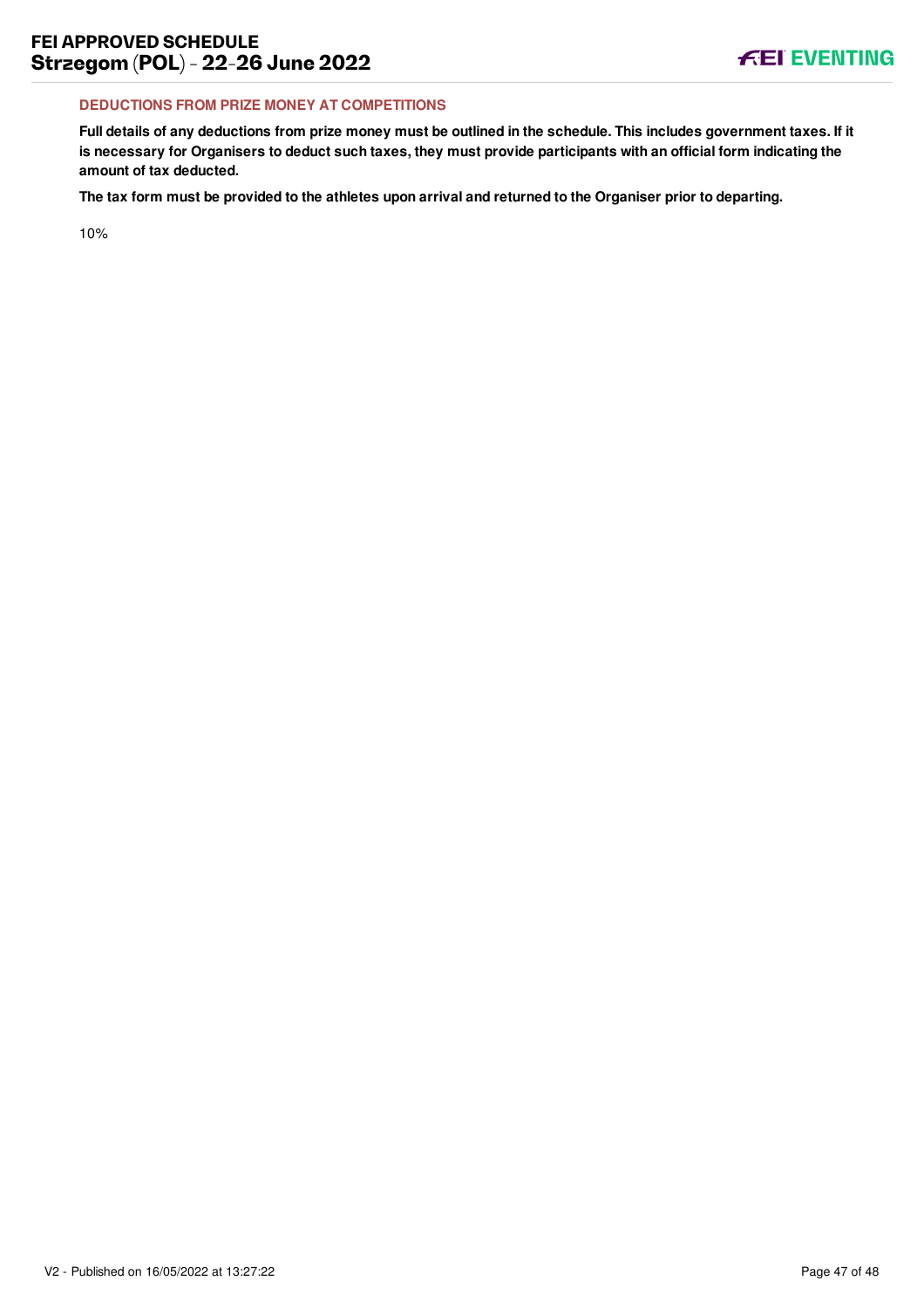#### **DEDUCTIONS FROM PRIZE MONEY AT COMPETITIONS**

**Full details of any deductions from prize money must be outlined in the schedule. This includes government taxes. If it is necessary for Organisers to deduct such taxes, they must provide participants with an official form indicating the amount of tax deducted.**

**The tax form must be provided to the athletes upon arrival and returned to the Organiser prior to departing.**

10%